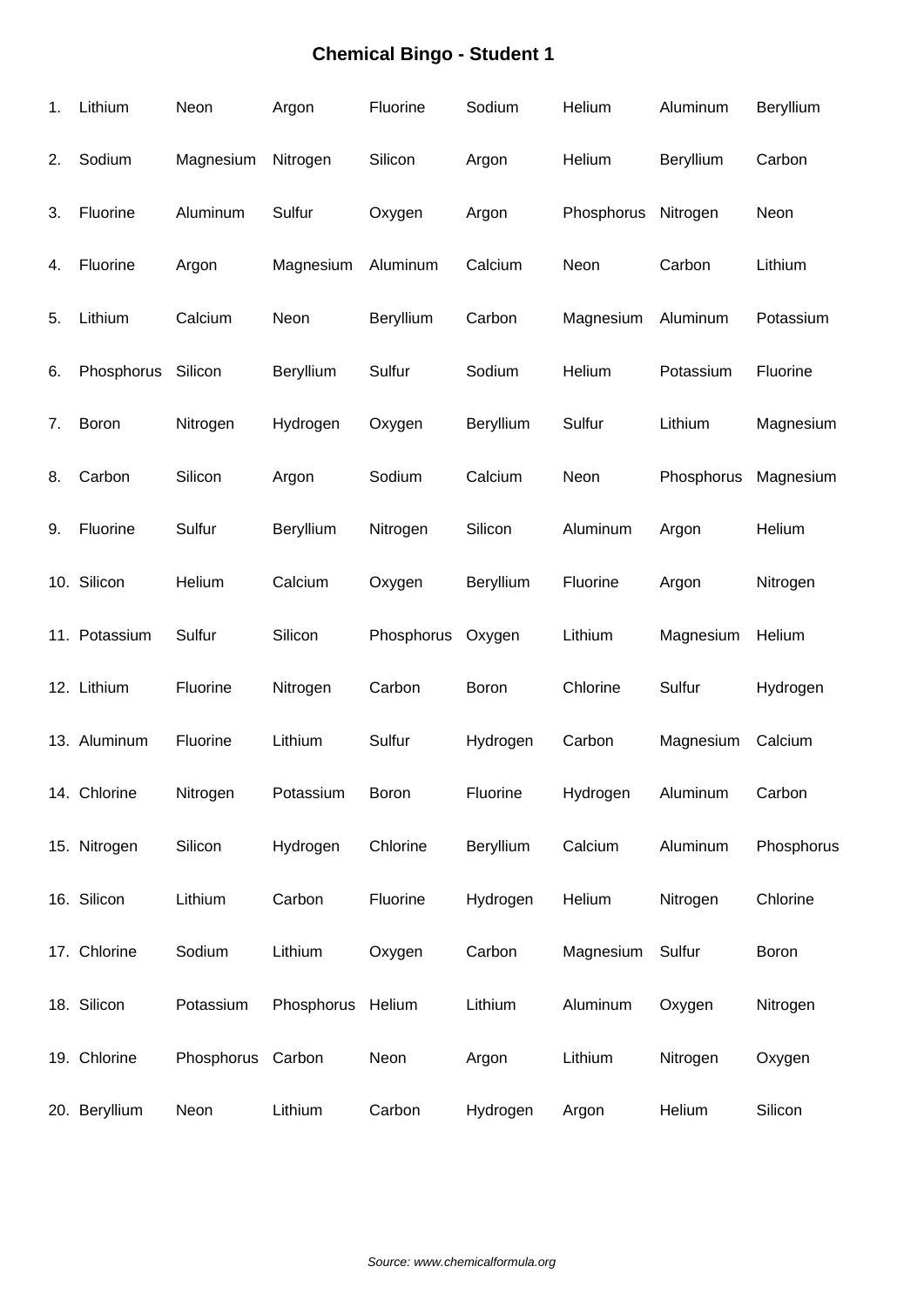| 1. | Lithium       | Neon              | Argon      | Fluorine     | Sodium    | Helium     | Aluminum   | Beryllium    |
|----|---------------|-------------------|------------|--------------|-----------|------------|------------|--------------|
| 2. | Sodium        | Magnesium         | Nitrogen   | Silicon      | Argon     | Helium     | Beryllium  | Carbon       |
| 3. | Fluorine      | Aluminum          | Sulfur     | Oxygen       | Argon     | Phosphorus | Nitrogen   | Neon         |
| 4. | Fluorine      | Argon             | Magnesium  | Aluminum     | Calcium   | Neon       | Carbon     | Lithium      |
| 5. | Lithium       | Calcium           | Neon       | Beryllium    | Carbon    | Magnesium  | Aluminum   | Potassium    |
| 6. | Phosphorus    | Silicon           | Beryllium  | Sulfur       | Sodium    | Helium     | Potassium  | Fluorine     |
| 7. | Boron         | Nitrogen          | Hydrogen   | Oxygen       | Beryllium | Sulfur     | Lithium    | Magnesium    |
| 8. | Carbon        | Silicon           | Argon      | Sodium       | Calcium   | Neon       | Phosphorus | Magnesium    |
| 9. | Fluorine      | Sulfur            | Beryllium  | Nitrogen     | Silicon   | Aluminum   | Argon      | Helium       |
|    | 10. Silicon   | Helium            | Calcium    | Oxygen       | Beryllium | Fluorine   | Argon      | Nitrogen     |
|    | 11. Potassium | Sulfur            | Silicon    | Phosphorus   | Oxygen    | Lithium    | Magnesium  | Helium       |
|    | 12. Lithium   | Fluorine          | Nitrogen   | Carbon       | Boron     | Chlorine   | Sulfur     | Hydrogen     |
|    | 13. Aluminum  | Fluorine          | Lithium    | Sulfur       | Hydrogen  | Carbon     | Magnesium  | Calcium      |
|    | 14. Chlorine  | Nitrogen          | Potassium  | <b>Boron</b> | Fluorine  | Hydrogen   | Aluminum   | Carbon       |
|    | 15. Nitrogen  | Silicon           | Hydrogen   | Chlorine     | Beryllium | Calcium    | Aluminum   | Phosphorus   |
|    | 16. Silicon   | Lithium           | Carbon     | Fluorine     | Hydrogen  | Helium     | Nitrogen   | Chlorine     |
|    | 17. Chlorine  | Sodium            | Lithium    | Oxygen       | Carbon    | Magnesium  | Sulfur     | <b>Boron</b> |
|    | 18. Silicon   | Potassium         | Phosphorus | Helium       | Lithium   | Aluminum   | Oxygen     | Nitrogen     |
|    | 19. Chlorine  | Phosphorus Carbon |            | Neon         | Argon     | Lithium    | Nitrogen   | Oxygen       |
|    | 20. Beryllium | Neon              | Lithium    | Carbon       | Hydrogen  | Argon      | Helium     | Silicon      |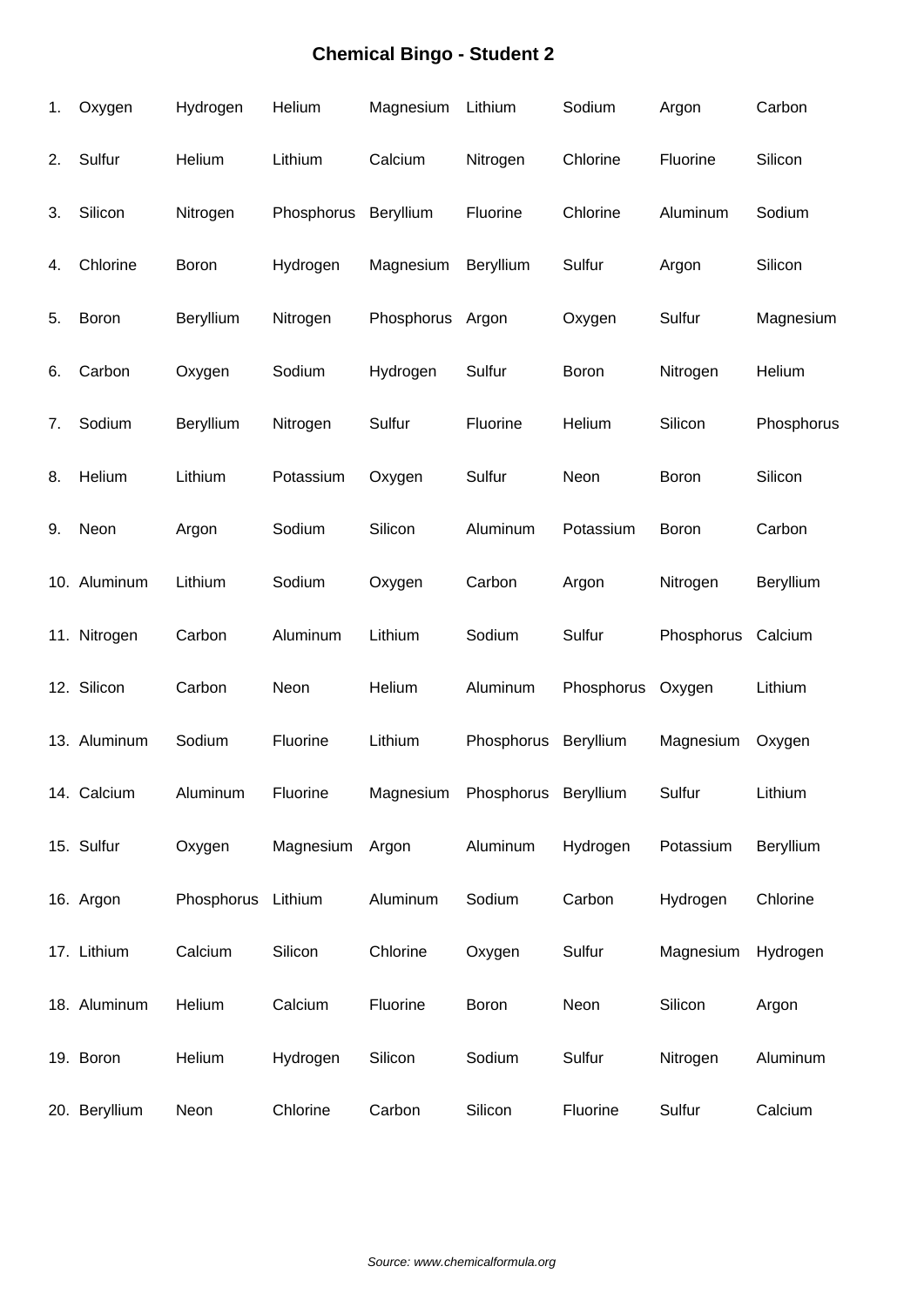| 1. | Oxygen        | Hydrogen           | Helium     | Magnesium        | Lithium              | Sodium     | Argon              | Carbon     |
|----|---------------|--------------------|------------|------------------|----------------------|------------|--------------------|------------|
| 2. | Sulfur        | Helium             | Lithium    | Calcium          | Nitrogen             | Chlorine   | Fluorine           | Silicon    |
| 3. | Silicon       | Nitrogen           | Phosphorus | Beryllium        | Fluorine             | Chlorine   | Aluminum           | Sodium     |
| 4. | Chlorine      | Boron              | Hydrogen   | Magnesium        | Beryllium            | Sulfur     | Argon              | Silicon    |
| 5. | Boron         | Beryllium          | Nitrogen   | Phosphorus Argon |                      | Oxygen     | Sulfur             | Magnesium  |
| 6. | Carbon        | Oxygen             | Sodium     | Hydrogen         | Sulfur               | Boron      | Nitrogen           | Helium     |
| 7. | Sodium        | Beryllium          | Nitrogen   | Sulfur           | Fluorine             | Helium     | Silicon            | Phosphorus |
| 8. | Helium        | Lithium            | Potassium  | Oxygen           | Sulfur               | Neon       | Boron              | Silicon    |
| 9. | Neon          | Argon              | Sodium     | Silicon          | Aluminum             | Potassium  | Boron              | Carbon     |
|    | 10. Aluminum  | Lithium            | Sodium     | Oxygen           | Carbon               | Argon      | Nitrogen           | Beryllium  |
|    | 11. Nitrogen  | Carbon             | Aluminum   | Lithium          | Sodium               | Sulfur     | Phosphorus Calcium |            |
|    | 12. Silicon   | Carbon             | Neon       | Helium           | Aluminum             | Phosphorus | Oxygen             | Lithium    |
|    | 13. Aluminum  | Sodium             | Fluorine   | Lithium          | Phosphorus           | Beryllium  | Magnesium          | Oxygen     |
|    | 14. Calcium   | Aluminum           | Fluorine   | Magnesium        | Phosphorus Beryllium |            | Sulfur             | Lithium    |
|    | 15. Sulfur    | Oxygen             | Magnesium  | Argon            | Aluminum             | Hydrogen   | Potassium          | Beryllium  |
|    | 16. Argon     | Phosphorus Lithium |            | Aluminum         | Sodium               | Carbon     | Hydrogen           | Chlorine   |
|    | 17. Lithium   | Calcium            | Silicon    | Chlorine         | Oxygen               | Sulfur     | Magnesium          | Hydrogen   |
|    | 18. Aluminum  | Helium             | Calcium    | Fluorine         | <b>Boron</b>         | Neon       | Silicon            | Argon      |
|    | 19. Boron     | Helium             | Hydrogen   | Silicon          | Sodium               | Sulfur     | Nitrogen           | Aluminum   |
|    | 20. Beryllium | Neon               | Chlorine   | Carbon           | Silicon              | Fluorine   | Sulfur             | Calcium    |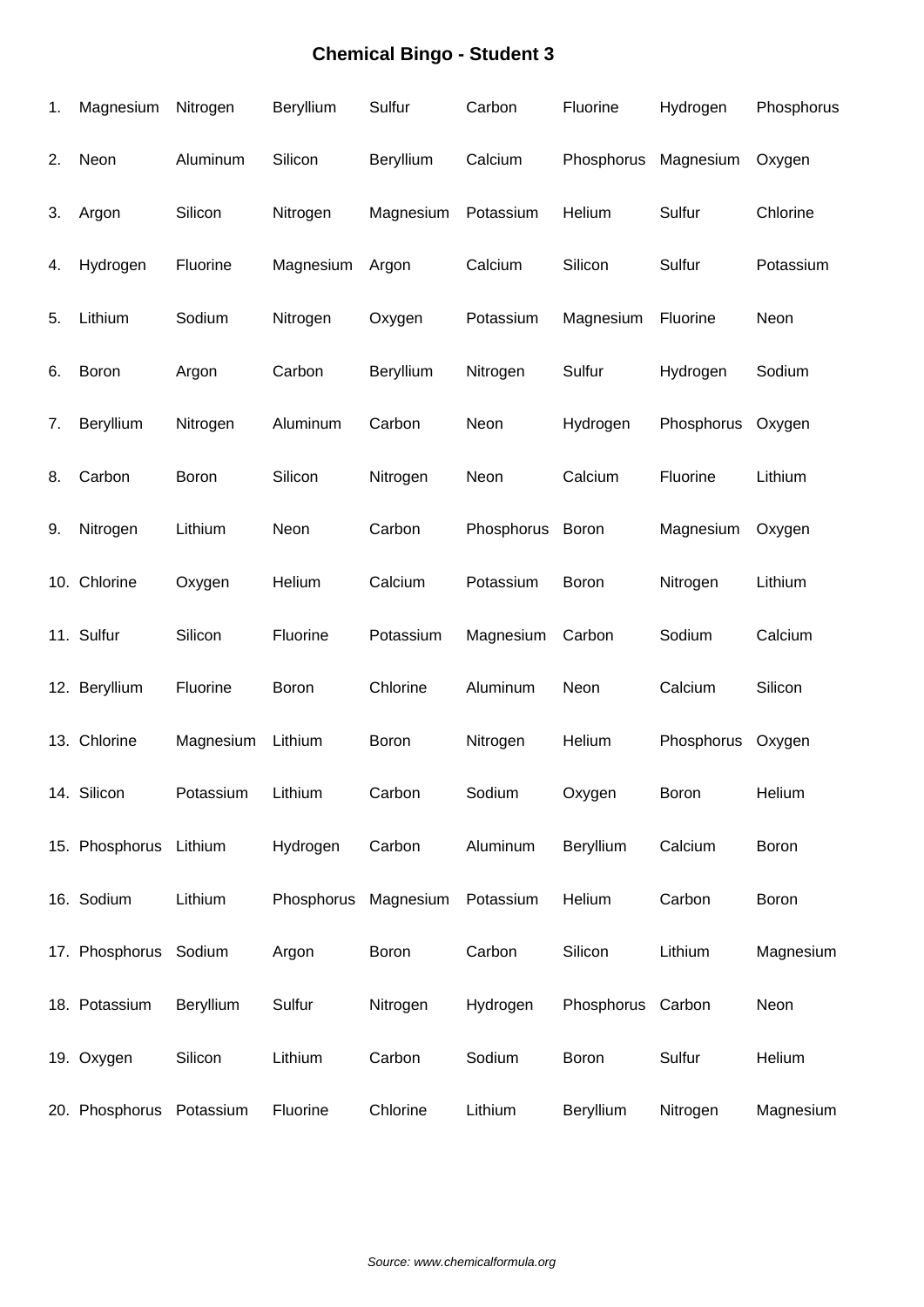| 1. | Magnesium                | Nitrogen  | Beryllium  | Sulfur    | Carbon     | Fluorine          | Hydrogen   | Phosphorus |
|----|--------------------------|-----------|------------|-----------|------------|-------------------|------------|------------|
| 2. | Neon                     | Aluminum  | Silicon    | Beryllium | Calcium    | Phosphorus        | Magnesium  | Oxygen     |
| 3. | Argon                    | Silicon   | Nitrogen   | Magnesium | Potassium  | Helium            | Sulfur     | Chlorine   |
| 4. | Hydrogen                 | Fluorine  | Magnesium  | Argon     | Calcium    | Silicon           | Sulfur     | Potassium  |
| 5. | Lithium                  | Sodium    | Nitrogen   | Oxygen    | Potassium  | Magnesium         | Fluorine   | Neon       |
| 6. | Boron                    | Argon     | Carbon     | Beryllium | Nitrogen   | Sulfur            | Hydrogen   | Sodium     |
| 7. | Beryllium                | Nitrogen  | Aluminum   | Carbon    | Neon       | Hydrogen          | Phosphorus | Oxygen     |
| 8. | Carbon                   | Boron     | Silicon    | Nitrogen  | Neon       | Calcium           | Fluorine   | Lithium    |
| 9. | Nitrogen                 | Lithium   | Neon       | Carbon    | Phosphorus | Boron             | Magnesium  | Oxygen     |
|    | 10. Chlorine             | Oxygen    | Helium     | Calcium   | Potassium  | Boron             | Nitrogen   | Lithium    |
|    | 11. Sulfur               | Silicon   | Fluorine   | Potassium | Magnesium  | Carbon            | Sodium     | Calcium    |
|    | 12. Beryllium            | Fluorine  | Boron      | Chlorine  | Aluminum   | Neon              | Calcium    | Silicon    |
|    | 13. Chlorine             | Magnesium | Lithium    | Boron     | Nitrogen   | Helium            | Phosphorus | Oxygen     |
|    | 14. Silicon              | Potassium | Lithium    | Carbon    | Sodium     | Oxygen            | Boron      | Helium     |
|    | 15. Phosphorus Lithium   |           | Hydrogen   | Carbon    | Aluminum   | Beryllium         | Calcium    | Boron      |
|    | 16. Sodium               | Lithium   | Phosphorus | Magnesium | Potassium  | Helium            | Carbon     | Boron      |
|    | 17. Phosphorus Sodium    |           | Argon      | Boron     | Carbon     | Silicon           | Lithium    | Magnesium  |
|    | 18. Potassium            | Beryllium | Sulfur     | Nitrogen  | Hydrogen   | Phosphorus Carbon |            | Neon       |
|    | 19. Oxygen               | Silicon   | Lithium    | Carbon    | Sodium     | <b>Boron</b>      | Sulfur     | Helium     |
|    | 20. Phosphorus Potassium |           | Fluorine   | Chlorine  | Lithium    | Beryllium         | Nitrogen   | Magnesium  |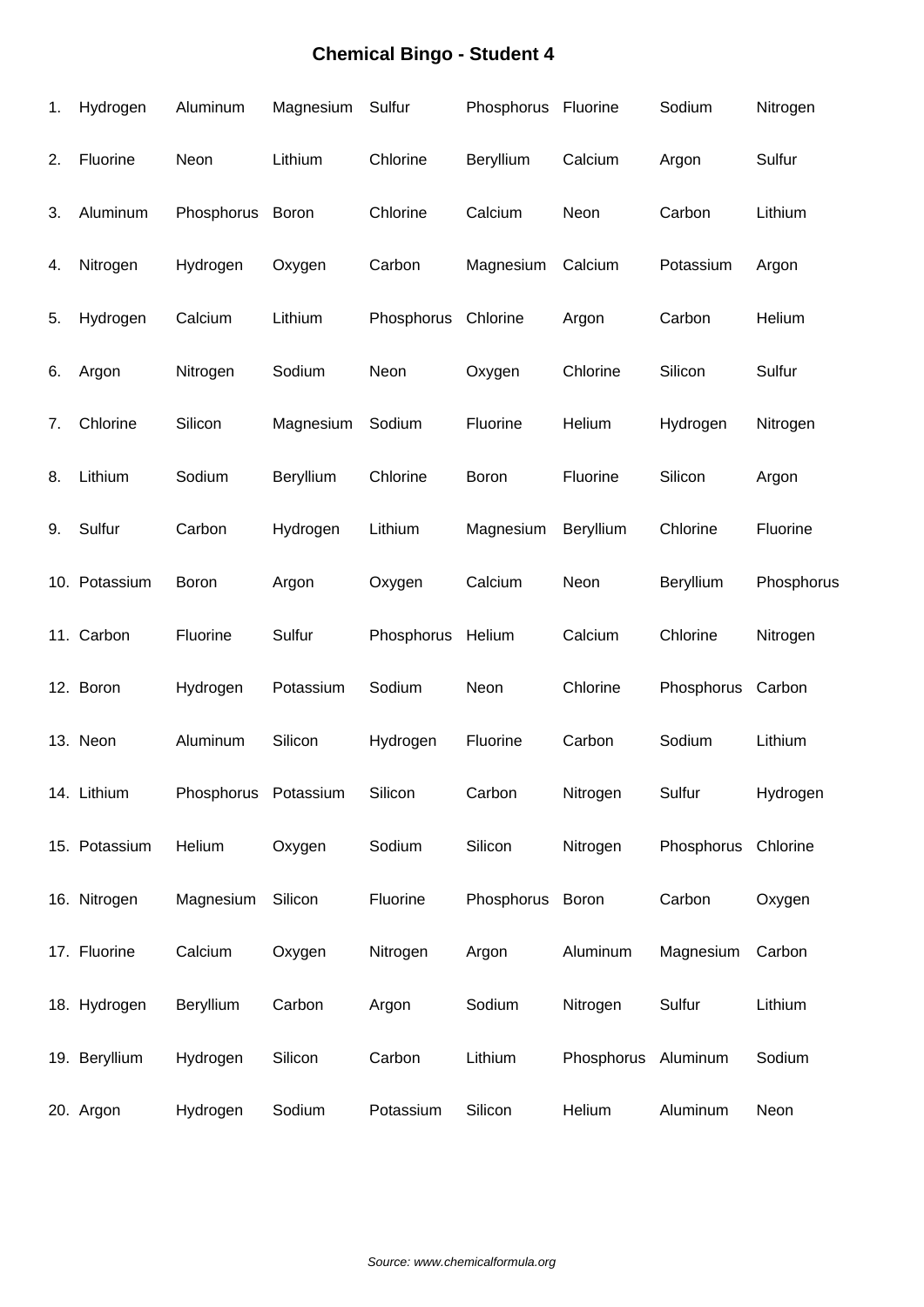| 1. | Hydrogen      | Aluminum             | Magnesium | Sulfur     | Phosphorus Fluorine |                     | Sodium              | Nitrogen   |
|----|---------------|----------------------|-----------|------------|---------------------|---------------------|---------------------|------------|
| 2. | Fluorine      | Neon                 | Lithium   | Chlorine   | Beryllium           | Calcium             | Argon               | Sulfur     |
| 3. | Aluminum      | Phosphorus           | Boron     | Chlorine   | Calcium             | Neon                | Carbon              | Lithium    |
| 4. | Nitrogen      | Hydrogen             | Oxygen    | Carbon     | Magnesium           | Calcium             | Potassium           | Argon      |
| 5. | Hydrogen      | Calcium              | Lithium   | Phosphorus | Chlorine            | Argon               | Carbon              | Helium     |
| 6. | Argon         | Nitrogen             | Sodium    | Neon       | Oxygen              | Chlorine            | Silicon             | Sulfur     |
| 7. | Chlorine      | Silicon              | Magnesium | Sodium     | Fluorine            | Helium              | Hydrogen            | Nitrogen   |
| 8. | Lithium       | Sodium               | Beryllium | Chlorine   | Boron               | Fluorine            | Silicon             | Argon      |
| 9. | Sulfur        | Carbon               | Hydrogen  | Lithium    | Magnesium           | Beryllium           | Chlorine            | Fluorine   |
|    | 10. Potassium | Boron                | Argon     | Oxygen     | Calcium             | Neon                | Beryllium           | Phosphorus |
|    | 11. Carbon    | Fluorine             | Sulfur    | Phosphorus | Helium              | Calcium             | Chlorine            | Nitrogen   |
|    | 12. Boron     | Hydrogen             | Potassium | Sodium     | Neon                | Chlorine            | Phosphorus          | Carbon     |
|    | 13. Neon      | Aluminum             | Silicon   | Hydrogen   | Fluorine            | Carbon              | Sodium              | Lithium    |
|    | 14. Lithium   | Phosphorus Potassium |           | Silicon    | Carbon              | Nitrogen            | Sulfur              | Hydrogen   |
|    | 15. Potassium | Helium               | Oxygen    | Sodium     | Silicon             | Nitrogen            | Phosphorus Chlorine |            |
|    | 16. Nitrogen  | Magnesium            | Silicon   | Fluorine   | Phosphorus Boron    |                     | Carbon              | Oxygen     |
|    | 17. Fluorine  | Calcium              | Oxygen    | Nitrogen   | Argon               | Aluminum            | Magnesium           | Carbon     |
|    | 18. Hydrogen  | Beryllium            | Carbon    | Argon      | Sodium              | Nitrogen            | Sulfur              | Lithium    |
|    | 19. Beryllium | Hydrogen             | Silicon   | Carbon     | Lithium             | Phosphorus Aluminum |                     | Sodium     |
|    | 20. Argon     | Hydrogen             | Sodium    | Potassium  | Silicon             | Helium              | Aluminum            | Neon       |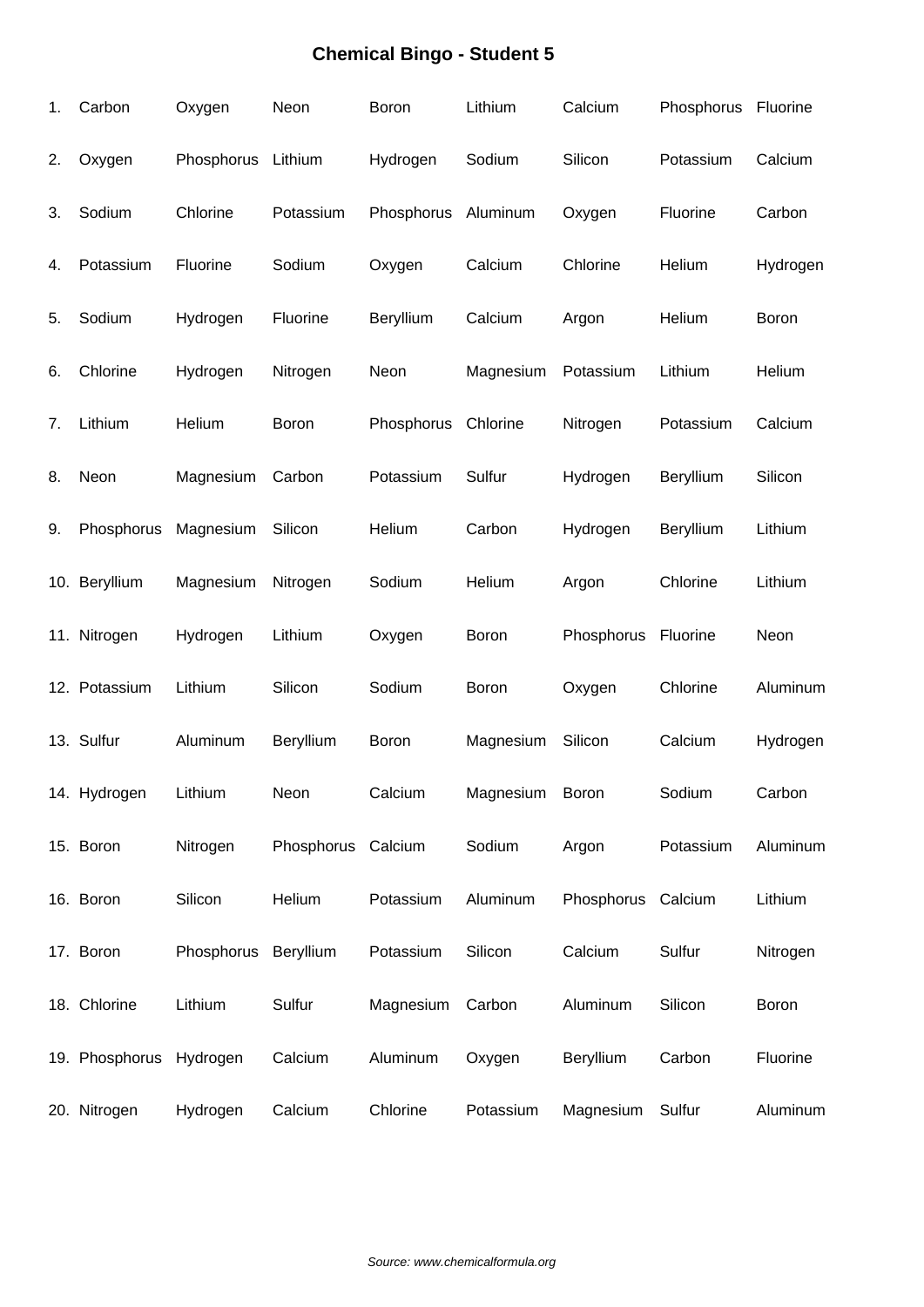| 1. | Carbon         | Oxygen     | Neon               | <b>Boron</b> | Lithium   | Calcium    | Phosphorus Fluorine |          |
|----|----------------|------------|--------------------|--------------|-----------|------------|---------------------|----------|
| 2. | Oxygen         | Phosphorus | Lithium            | Hydrogen     | Sodium    | Silicon    | Potassium           | Calcium  |
| 3. | Sodium         | Chlorine   | Potassium          | Phosphorus   | Aluminum  | Oxygen     | Fluorine            | Carbon   |
| 4. | Potassium      | Fluorine   | Sodium             | Oxygen       | Calcium   | Chlorine   | Helium              | Hydrogen |
| 5. | Sodium         | Hydrogen   | Fluorine           | Beryllium    | Calcium   | Argon      | Helium              | Boron    |
| 6. | Chlorine       | Hydrogen   | Nitrogen           | Neon         | Magnesium | Potassium  | Lithium             | Helium   |
| 7. | Lithium        | Helium     | Boron              | Phosphorus   | Chlorine  | Nitrogen   | Potassium           | Calcium  |
| 8. | Neon           | Magnesium  | Carbon             | Potassium    | Sulfur    | Hydrogen   | Beryllium           | Silicon  |
| 9. | Phosphorus     | Magnesium  | Silicon            | Helium       | Carbon    | Hydrogen   | Beryllium           | Lithium  |
|    | 10. Beryllium  | Magnesium  | Nitrogen           | Sodium       | Helium    | Argon      | Chlorine            | Lithium  |
|    | 11. Nitrogen   | Hydrogen   | Lithium            | Oxygen       | Boron     | Phosphorus | Fluorine            | Neon     |
|    | 12. Potassium  | Lithium    | Silicon            | Sodium       | Boron     | Oxygen     | Chlorine            | Aluminum |
|    | 13. Sulfur     | Aluminum   | Beryllium          | <b>Boron</b> | Magnesium | Silicon    | Calcium             | Hydrogen |
|    | 14. Hydrogen   | Lithium    | Neon               | Calcium      | Magnesium | Boron      | Sodium              | Carbon   |
|    | 15. Boron      | Nitrogen   | Phosphorus Calcium |              | Sodium    | Argon      | Potassium           | Aluminum |
|    | 16. Boron      | Silicon    | Helium             | Potassium    | Aluminum  | Phosphorus | Calcium             | Lithium  |
|    | 17. Boron      | Phosphorus | Beryllium          | Potassium    | Silicon   | Calcium    | Sulfur              | Nitrogen |
|    | 18. Chlorine   | Lithium    | Sulfur             | Magnesium    | Carbon    | Aluminum   | Silicon             | Boron    |
|    | 19. Phosphorus | Hydrogen   | Calcium            | Aluminum     | Oxygen    | Beryllium  | Carbon              | Fluorine |
|    | 20. Nitrogen   | Hydrogen   | Calcium            | Chlorine     | Potassium | Magnesium  | Sulfur              | Aluminum |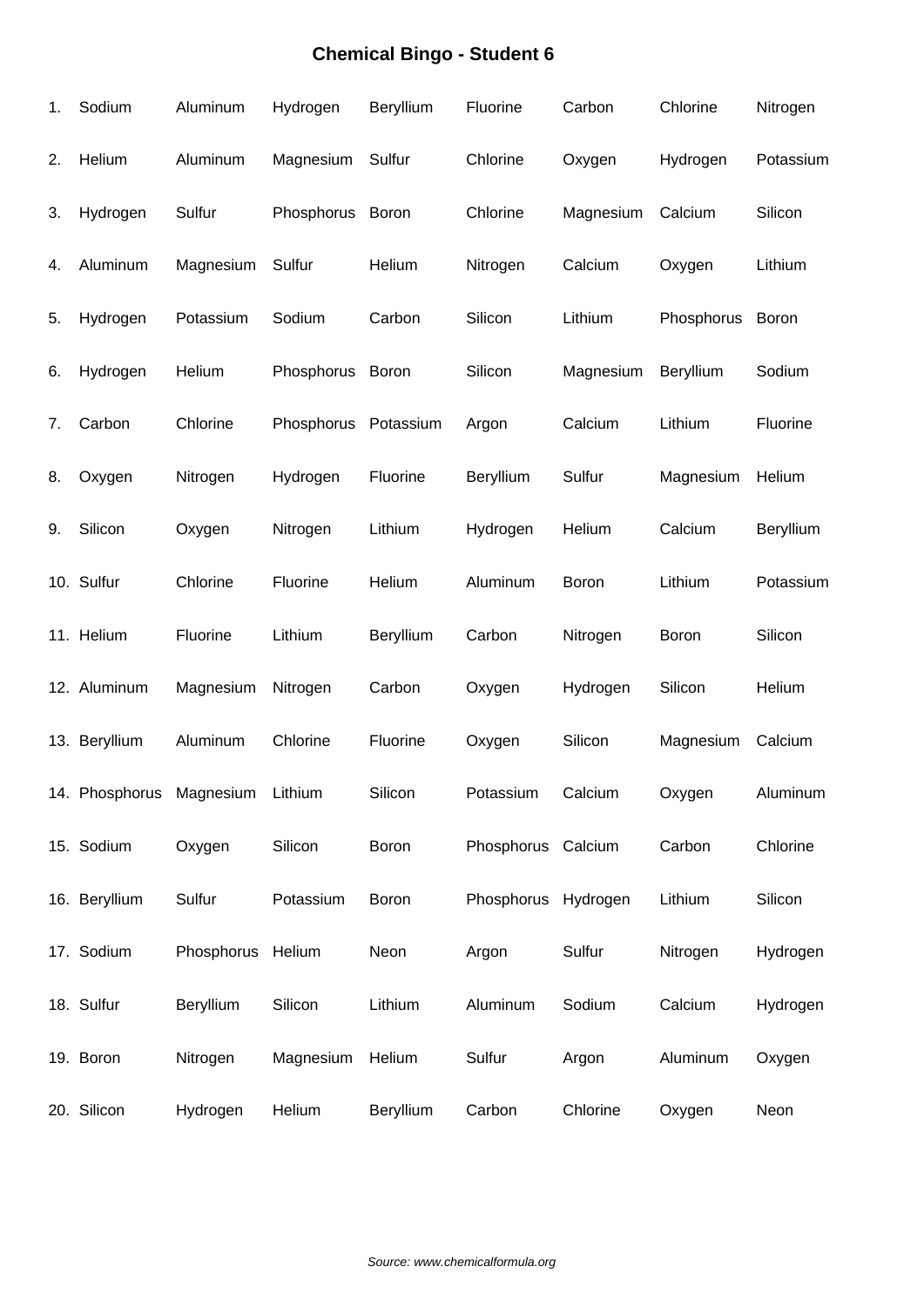| 1. | Sodium                   | Aluminum          | Hydrogen   | Beryllium | Fluorine            | Carbon    | Chlorine   | Nitrogen  |
|----|--------------------------|-------------------|------------|-----------|---------------------|-----------|------------|-----------|
| 2. | Helium                   | Aluminum          | Magnesium  | Sulfur    | Chlorine            | Oxygen    | Hydrogen   | Potassium |
| 3. | Hydrogen                 | Sulfur            | Phosphorus | Boron     | Chlorine            | Magnesium | Calcium    | Silicon   |
| 4. | Aluminum                 | Magnesium         | Sulfur     | Helium    | Nitrogen            | Calcium   | Oxygen     | Lithium   |
| 5. | Hydrogen                 | Potassium         | Sodium     | Carbon    | Silicon             | Lithium   | Phosphorus | Boron     |
| 6. | Hydrogen                 | Helium            | Phosphorus | Boron     | Silicon             | Magnesium | Beryllium  | Sodium    |
| 7. | Carbon                   | Chlorine          | Phosphorus | Potassium | Argon               | Calcium   | Lithium    | Fluorine  |
| 8. | Oxygen                   | Nitrogen          | Hydrogen   | Fluorine  | Beryllium           | Sulfur    | Magnesium  | Helium    |
| 9. | Silicon                  | Oxygen            | Nitrogen   | Lithium   | Hydrogen            | Helium    | Calcium    | Beryllium |
|    | 10. Sulfur               | Chlorine          | Fluorine   | Helium    | Aluminum            | Boron     | Lithium    | Potassium |
|    | 11. Helium               | Fluorine          | Lithium    | Beryllium | Carbon              | Nitrogen  | Boron      | Silicon   |
|    | 12. Aluminum             | Magnesium         | Nitrogen   | Carbon    | Oxygen              | Hydrogen  | Silicon    | Helium    |
|    | 13. Beryllium            | Aluminum          | Chlorine   | Fluorine  | Oxygen              | Silicon   | Magnesium  | Calcium   |
|    | 14. Phosphorus Magnesium |                   | Lithium    | Silicon   | Potassium           | Calcium   | Oxygen     | Aluminum  |
|    | 15. Sodium               | Oxygen            | Silicon    | Boron     | Phosphorus Calcium  |           | Carbon     | Chlorine  |
|    | 16. Beryllium            | Sulfur            | Potassium  | Boron     | Phosphorus Hydrogen |           | Lithium    | Silicon   |
|    | 17. Sodium               | Phosphorus Helium |            | Neon      | Argon               | Sulfur    | Nitrogen   | Hydrogen  |
|    | 18. Sulfur               | Beryllium         | Silicon    | Lithium   | Aluminum            | Sodium    | Calcium    | Hydrogen  |
|    | 19. Boron                | Nitrogen          | Magnesium  | Helium    | Sulfur              | Argon     | Aluminum   | Oxygen    |
|    | 20. Silicon              | Hydrogen          | Helium     | Beryllium | Carbon              | Chlorine  | Oxygen     | Neon      |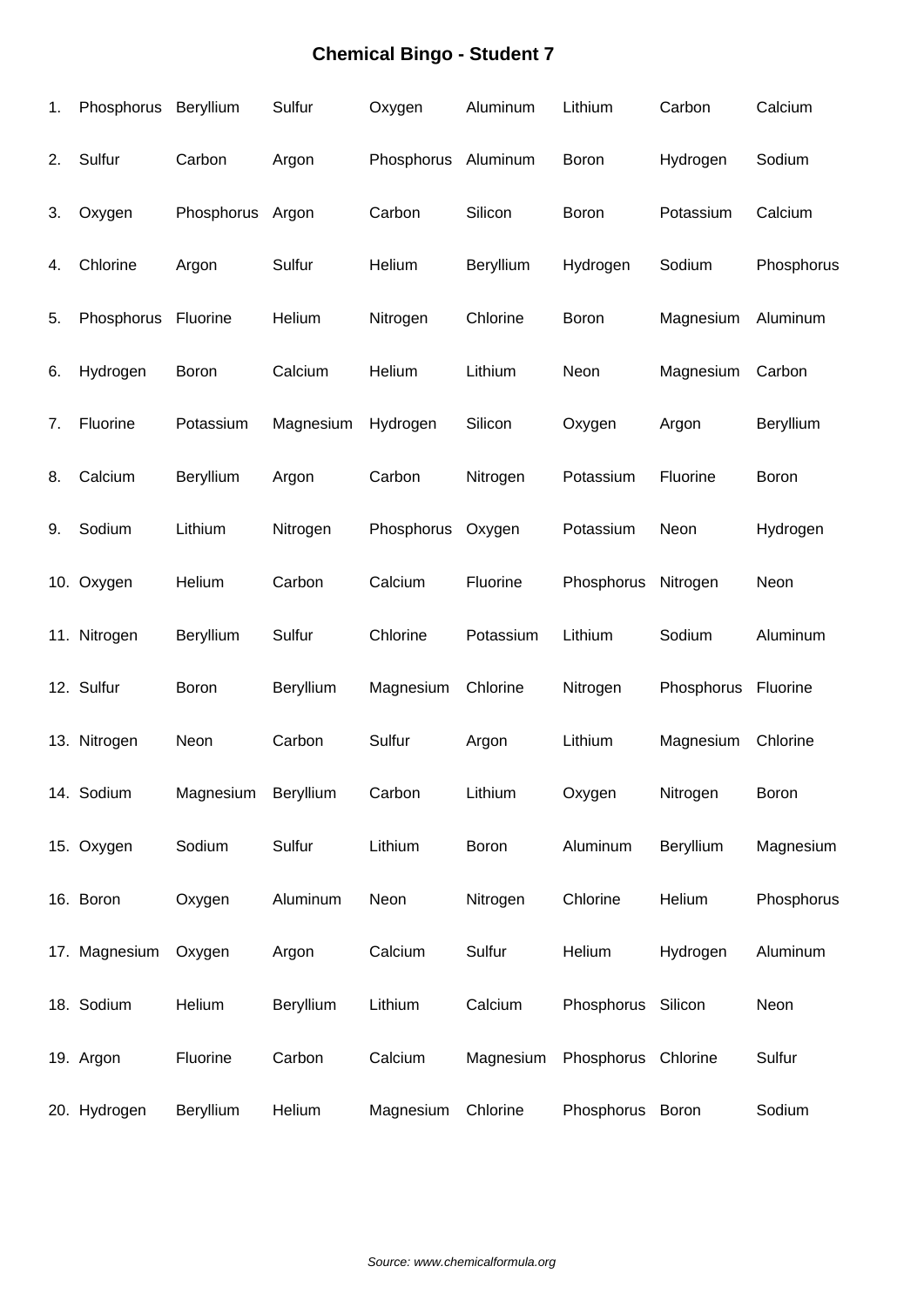| 1. | Phosphorus    | Beryllium  | Sulfur    | Oxygen              | Aluminum  | Lithium             | Carbon     | Calcium    |
|----|---------------|------------|-----------|---------------------|-----------|---------------------|------------|------------|
| 2. | Sulfur        | Carbon     | Argon     | Phosphorus Aluminum |           | Boron               | Hydrogen   | Sodium     |
| 3. | Oxygen        | Phosphorus | Argon     | Carbon              | Silicon   | Boron               | Potassium  | Calcium    |
| 4. | Chlorine      | Argon      | Sulfur    | Helium              | Beryllium | Hydrogen            | Sodium     | Phosphorus |
| 5. | Phosphorus    | Fluorine   | Helium    | Nitrogen            | Chlorine  | Boron               | Magnesium  | Aluminum   |
| 6. | Hydrogen      | Boron      | Calcium   | Helium              | Lithium   | Neon                | Magnesium  | Carbon     |
| 7. | Fluorine      | Potassium  | Magnesium | Hydrogen            | Silicon   | Oxygen              | Argon      | Beryllium  |
| 8. | Calcium       | Beryllium  | Argon     | Carbon              | Nitrogen  | Potassium           | Fluorine   | Boron      |
| 9. | Sodium        | Lithium    | Nitrogen  | Phosphorus          | Oxygen    | Potassium           | Neon       | Hydrogen   |
|    | 10. Oxygen    | Helium     | Carbon    | Calcium             | Fluorine  | Phosphorus          | Nitrogen   | Neon       |
|    | 11. Nitrogen  | Beryllium  | Sulfur    | Chlorine            | Potassium | Lithium             | Sodium     | Aluminum   |
|    | 12. Sulfur    | Boron      | Beryllium | Magnesium           | Chlorine  | Nitrogen            | Phosphorus | Fluorine   |
|    | 13. Nitrogen  | Neon       | Carbon    | Sulfur              | Argon     | Lithium             | Magnesium  | Chlorine   |
|    | 14. Sodium    | Magnesium  | Beryllium | Carbon              | Lithium   | Oxygen              | Nitrogen   | Boron      |
|    | 15. Oxygen    | Sodium     | Sulfur    | Lithium             | Boron     | Aluminum            | Beryllium  | Magnesium  |
|    | 16. Boron     | Oxygen     | Aluminum  | Neon                | Nitrogen  | Chlorine            | Helium     | Phosphorus |
|    | 17. Magnesium | Oxygen     | Argon     | Calcium             | Sulfur    | Helium              | Hydrogen   | Aluminum   |
|    | 18. Sodium    | Helium     | Beryllium | Lithium             | Calcium   | Phosphorus Silicon  |            | Neon       |
|    | 19. Argon     | Fluorine   | Carbon    | Calcium             | Magnesium | Phosphorus Chlorine |            | Sulfur     |
|    | 20. Hydrogen  | Beryllium  | Helium    | Magnesium           | Chlorine  | Phosphorus Boron    |            | Sodium     |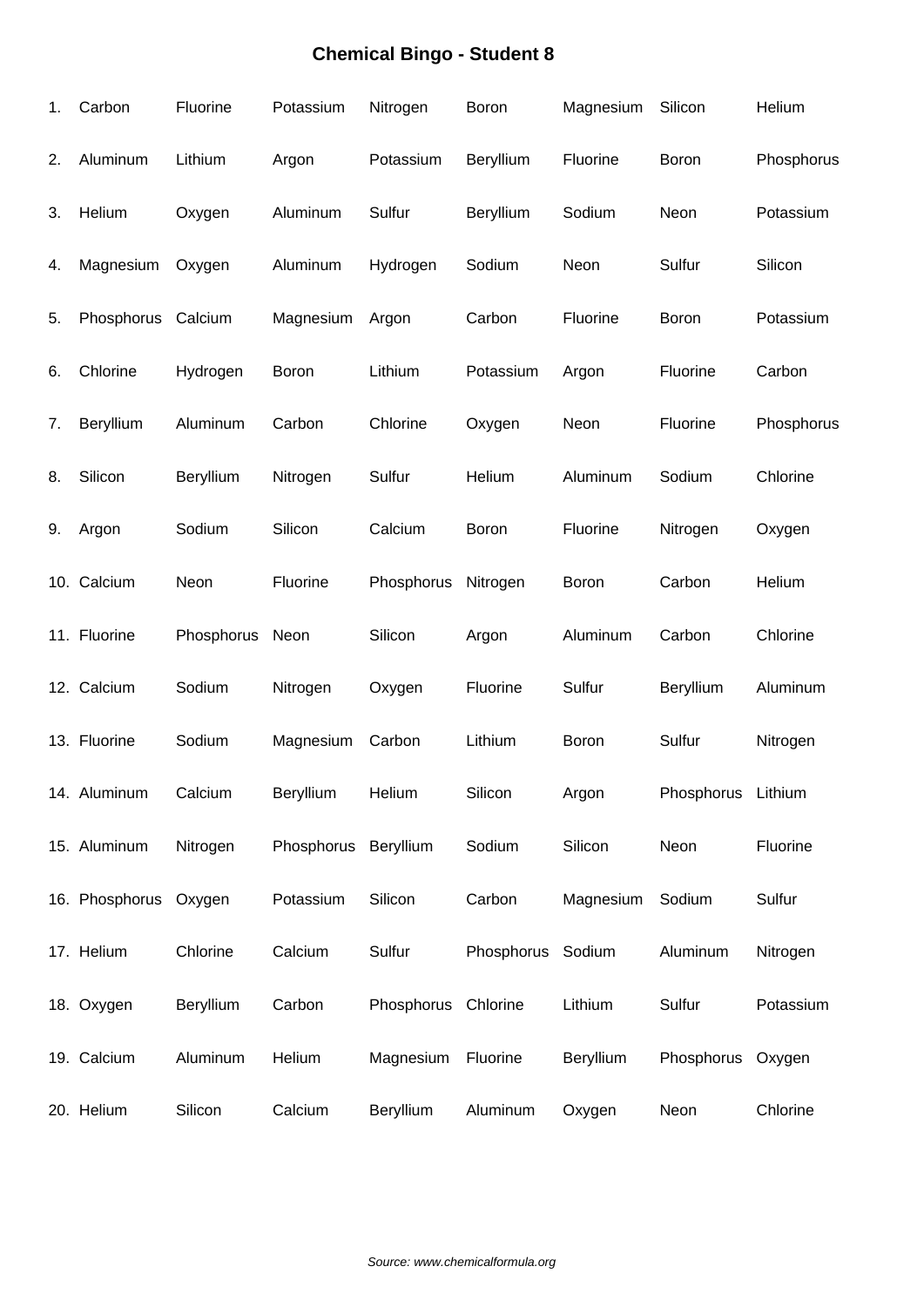| 1. | Carbon                | Fluorine   | Potassium  | Nitrogen            | Boron            | Magnesium    | Silicon            | Helium     |
|----|-----------------------|------------|------------|---------------------|------------------|--------------|--------------------|------------|
| 2. | Aluminum              | Lithium    | Argon      | Potassium           | <b>Beryllium</b> | Fluorine     | <b>Boron</b>       | Phosphorus |
| 3. | Helium                | Oxygen     | Aluminum   | Sulfur              | Beryllium        | Sodium       | Neon               | Potassium  |
| 4. | Magnesium             | Oxygen     | Aluminum   | Hydrogen            | Sodium           | Neon         | Sulfur             | Silicon    |
| 5. | Phosphorus            | Calcium    | Magnesium  | Argon               | Carbon           | Fluorine     | Boron              | Potassium  |
| 6. | Chlorine              | Hydrogen   | Boron      | Lithium             | Potassium        | Argon        | Fluorine           | Carbon     |
| 7. | Beryllium             | Aluminum   | Carbon     | Chlorine            | Oxygen           | Neon         | Fluorine           | Phosphorus |
| 8. | Silicon               | Beryllium  | Nitrogen   | Sulfur              | Helium           | Aluminum     | Sodium             | Chlorine   |
| 9. | Argon                 | Sodium     | Silicon    | Calcium             | Boron            | Fluorine     | Nitrogen           | Oxygen     |
|    | 10. Calcium           | Neon       | Fluorine   | Phosphorus          | Nitrogen         | <b>Boron</b> | Carbon             | Helium     |
|    | 11. Fluorine          | Phosphorus | Neon       | Silicon             | Argon            | Aluminum     | Carbon             | Chlorine   |
|    | 12. Calcium           | Sodium     | Nitrogen   | Oxygen              | Fluorine         | Sulfur       | Beryllium          | Aluminum   |
|    | 13. Fluorine          | Sodium     | Magnesium  | Carbon              | Lithium          | Boron        | Sulfur             | Nitrogen   |
|    | 14. Aluminum          | Calcium    | Beryllium  | Helium              | Silicon          | Argon        | Phosphorus Lithium |            |
|    | 15. Aluminum          | Nitrogen   | Phosphorus | Beryllium           | Sodium           | Silicon      | Neon               | Fluorine   |
|    | 16. Phosphorus Oxygen |            | Potassium  | Silicon             | Carbon           | Magnesium    | Sodium             | Sulfur     |
|    | 17. Helium            | Chlorine   | Calcium    | Sulfur              | Phosphorus       | Sodium       | Aluminum           | Nitrogen   |
|    | 18. Oxygen            | Beryllium  | Carbon     | Phosphorus Chlorine |                  | Lithium      | Sulfur             | Potassium  |
|    | 19. Calcium           | Aluminum   | Helium     | Magnesium           | Fluorine         | Beryllium    | Phosphorus         | Oxygen     |
|    | 20. Helium            | Silicon    | Calcium    | Beryllium           | Aluminum         | Oxygen       | Neon               | Chlorine   |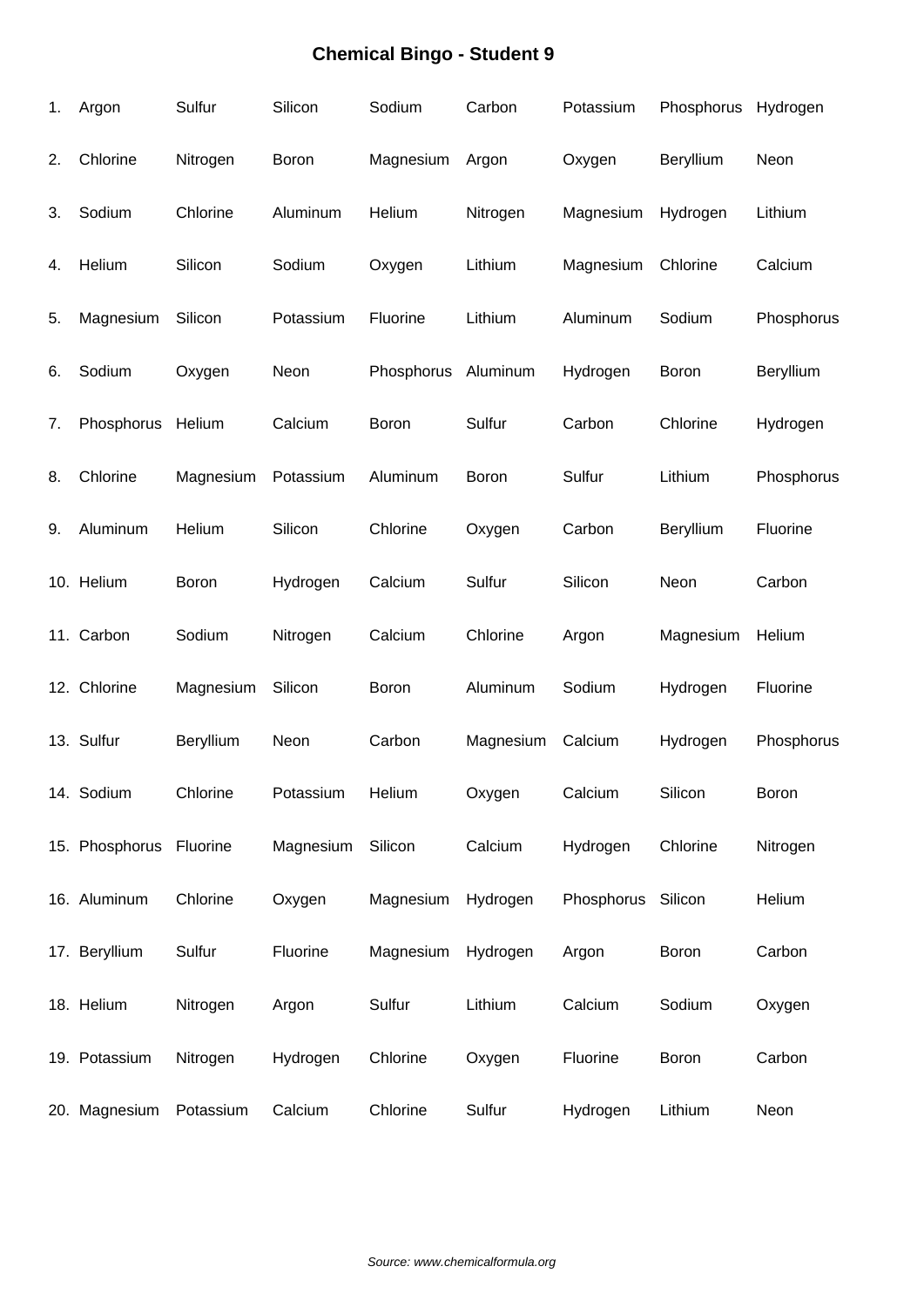| 1. | Argon                   | Sulfur    | Silicon   | Sodium     | Carbon    | Potassium          | Phosphorus   | Hydrogen   |
|----|-------------------------|-----------|-----------|------------|-----------|--------------------|--------------|------------|
| 2. | Chlorine                | Nitrogen  | Boron     | Magnesium  | Argon     | Oxygen             | Beryllium    | Neon       |
| 3. | Sodium                  | Chlorine  | Aluminum  | Helium     | Nitrogen  | Magnesium          | Hydrogen     | Lithium    |
| 4. | Helium                  | Silicon   | Sodium    | Oxygen     | Lithium   | Magnesium          | Chlorine     | Calcium    |
| 5. | Magnesium               | Silicon   | Potassium | Fluorine   | Lithium   | Aluminum           | Sodium       | Phosphorus |
| 6. | Sodium                  | Oxygen    | Neon      | Phosphorus | Aluminum  | Hydrogen           | Boron        | Beryllium  |
| 7. | Phosphorus              | Helium    | Calcium   | Boron      | Sulfur    | Carbon             | Chlorine     | Hydrogen   |
| 8. | Chlorine                | Magnesium | Potassium | Aluminum   | Boron     | Sulfur             | Lithium      | Phosphorus |
| 9. | Aluminum                | Helium    | Silicon   | Chlorine   | Oxygen    | Carbon             | Beryllium    | Fluorine   |
|    | 10. Helium              | Boron     | Hydrogen  | Calcium    | Sulfur    | Silicon            | Neon         | Carbon     |
|    | 11. Carbon              | Sodium    | Nitrogen  | Calcium    | Chlorine  | Argon              | Magnesium    | Helium     |
|    | 12. Chlorine            | Magnesium | Silicon   | Boron      | Aluminum  | Sodium             | Hydrogen     | Fluorine   |
|    | 13. Sulfur              | Beryllium | Neon      | Carbon     | Magnesium | Calcium            | Hydrogen     | Phosphorus |
|    | 14. Sodium              | Chlorine  | Potassium | Helium     | Oxygen    | Calcium            | Silicon      | Boron      |
|    | 15. Phosphorus Fluorine |           | Magnesium | Silicon    | Calcium   | Hydrogen           | Chlorine     | Nitrogen   |
|    | 16. Aluminum            | Chlorine  | Oxygen    | Magnesium  | Hydrogen  | Phosphorus Silicon |              | Helium     |
|    | 17. Beryllium           | Sulfur    | Fluorine  | Magnesium  | Hydrogen  | Argon              | <b>Boron</b> | Carbon     |
|    | 18. Helium              | Nitrogen  | Argon     | Sulfur     | Lithium   | Calcium            | Sodium       | Oxygen     |
|    | 19. Potassium           | Nitrogen  | Hydrogen  | Chlorine   | Oxygen    | Fluorine           | Boron        | Carbon     |
|    | 20. Magnesium           | Potassium | Calcium   | Chlorine   | Sulfur    | Hydrogen           | Lithium      | Neon       |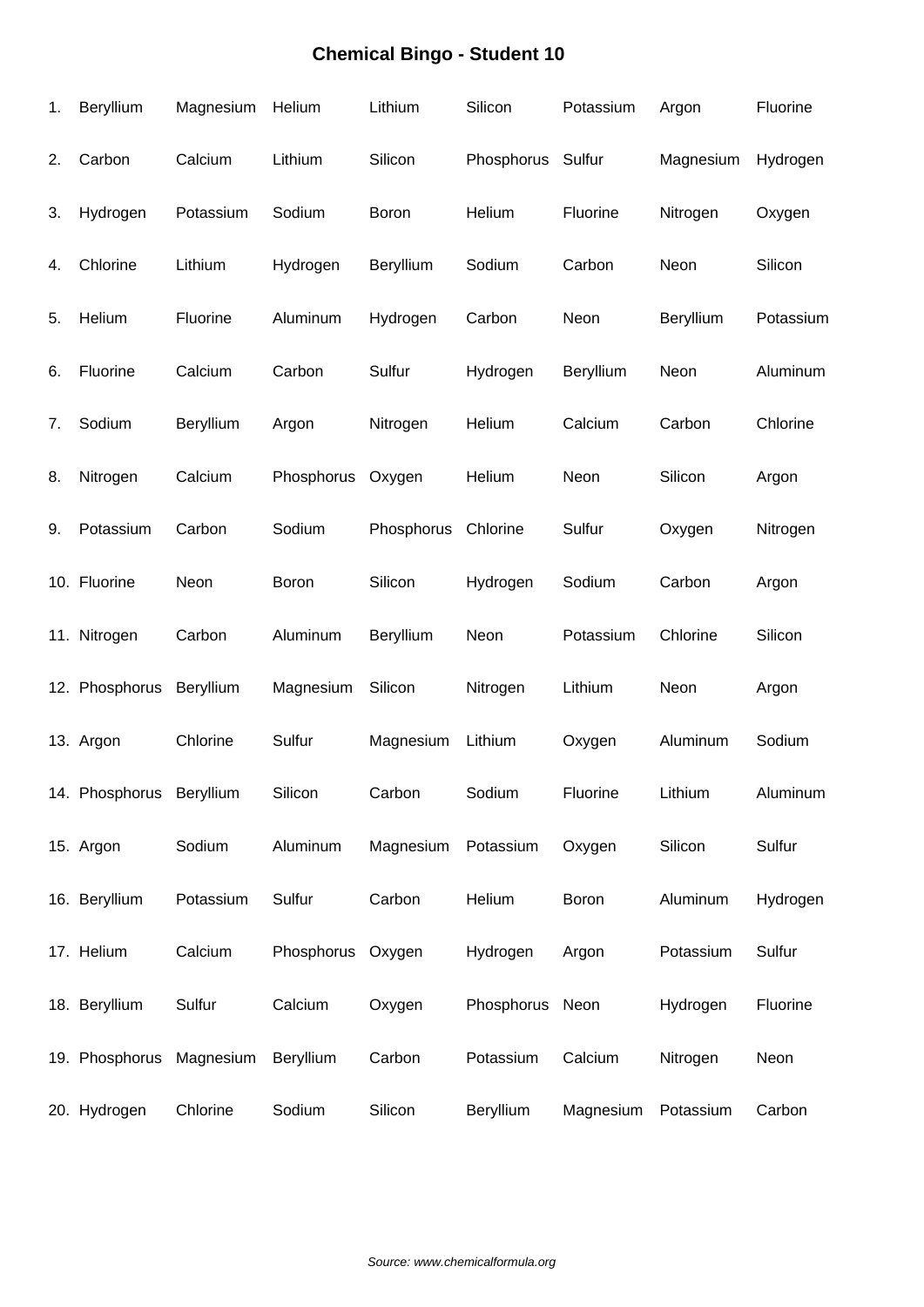| 1. | Beryllium                | Magnesium | Helium            | Lithium    | Silicon           | Potassium | Argon     | Fluorine  |
|----|--------------------------|-----------|-------------------|------------|-------------------|-----------|-----------|-----------|
| 2. | Carbon                   | Calcium   | Lithium           | Silicon    | Phosphorus Sulfur |           | Magnesium | Hydrogen  |
| 3. | Hydrogen                 | Potassium | Sodium            | Boron      | Helium            | Fluorine  | Nitrogen  | Oxygen    |
| 4. | Chlorine                 | Lithium   | Hydrogen          | Beryllium  | Sodium            | Carbon    | Neon      | Silicon   |
| 5. | Helium                   | Fluorine  | Aluminum          | Hydrogen   | Carbon            | Neon      | Beryllium | Potassium |
| 6. | Fluorine                 | Calcium   | Carbon            | Sulfur     | Hydrogen          | Beryllium | Neon      | Aluminum  |
| 7. | Sodium                   | Beryllium | Argon             | Nitrogen   | Helium            | Calcium   | Carbon    | Chlorine  |
| 8. | Nitrogen                 | Calcium   | Phosphorus        | Oxygen     | Helium            | Neon      | Silicon   | Argon     |
| 9. | Potassium                | Carbon    | Sodium            | Phosphorus | Chlorine          | Sulfur    | Oxygen    | Nitrogen  |
|    | 10. Fluorine             | Neon      | Boron             | Silicon    | Hydrogen          | Sodium    | Carbon    | Argon     |
|    | 11. Nitrogen             | Carbon    | Aluminum          | Beryllium  | Neon              | Potassium | Chlorine  | Silicon   |
|    | 12. Phosphorus           | Beryllium | Magnesium         | Silicon    | Nitrogen          | Lithium   | Neon      | Argon     |
|    | 13. Argon                | Chlorine  | Sulfur            | Magnesium  | Lithium           | Oxygen    | Aluminum  | Sodium    |
|    | 14. Phosphorus Beryllium |           | Silicon           | Carbon     | Sodium            | Fluorine  | Lithium   | Aluminum  |
|    | 15. Argon                | Sodium    | Aluminum          | Magnesium  | Potassium         | Oxygen    | Silicon   | Sulfur    |
|    | 16. Beryllium            | Potassium | Sulfur            | Carbon     | Helium            | Boron     | Aluminum  | Hydrogen  |
|    | 17. Helium               | Calcium   | Phosphorus Oxygen |            | Hydrogen          | Argon     | Potassium | Sulfur    |
|    | 18. Beryllium            | Sulfur    | Calcium           | Oxygen     | Phosphorus        | Neon      | Hydrogen  | Fluorine  |
|    | 19. Phosphorus           | Magnesium | Beryllium         | Carbon     | Potassium         | Calcium   | Nitrogen  | Neon      |
|    | 20. Hydrogen             | Chlorine  | Sodium            | Silicon    | Beryllium         | Magnesium | Potassium | Carbon    |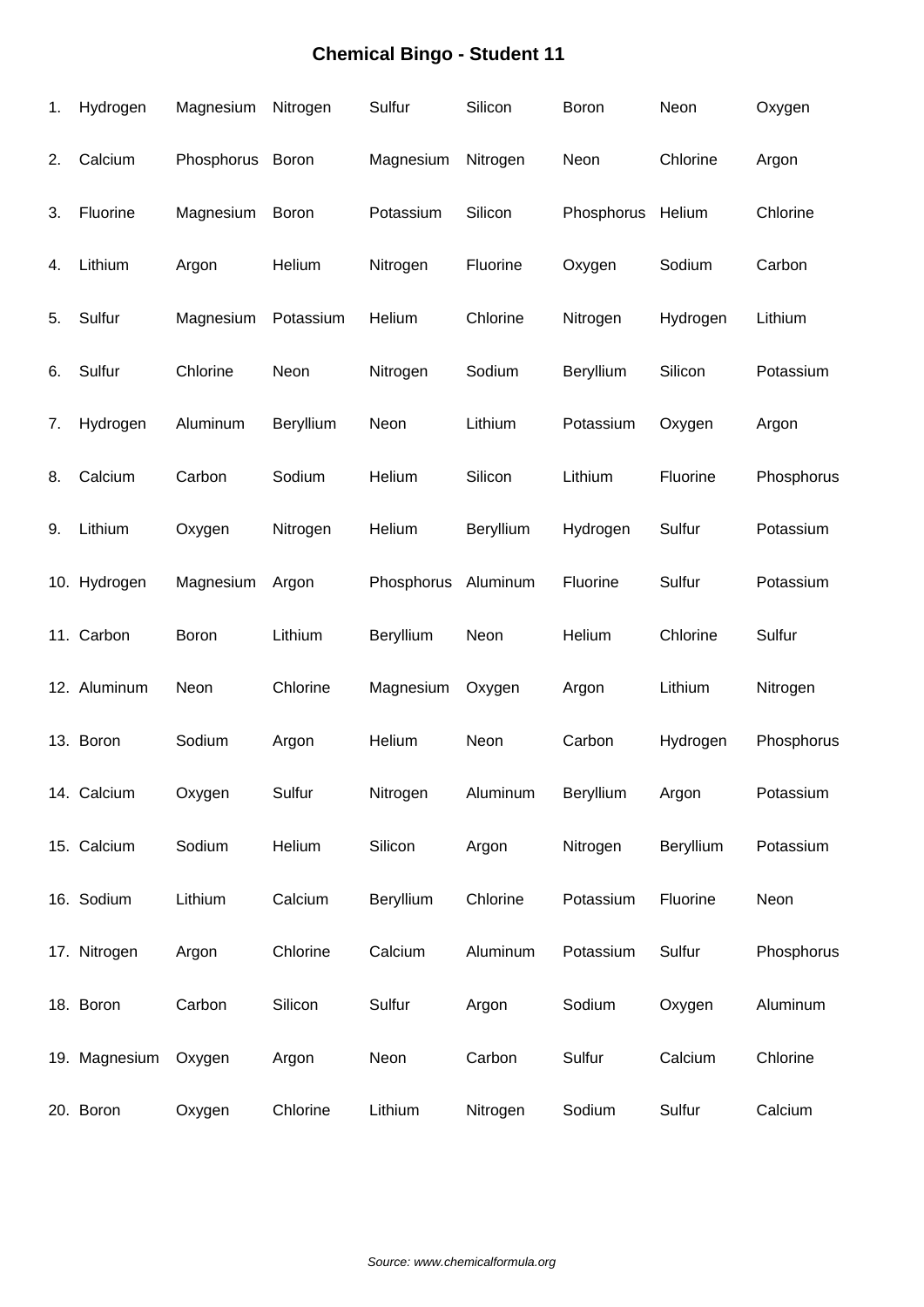| 1. | Hydrogen      | Magnesium  | Nitrogen  | Sulfur              | Silicon   | Boron             | Neon      | Oxygen     |
|----|---------------|------------|-----------|---------------------|-----------|-------------------|-----------|------------|
| 2. | Calcium       | Phosphorus | Boron     | Magnesium           | Nitrogen  | Neon              | Chlorine  | Argon      |
| 3. | Fluorine      | Magnesium  | Boron     | Potassium           | Silicon   | Phosphorus Helium |           | Chlorine   |
| 4. | Lithium       | Argon      | Helium    | Nitrogen            | Fluorine  | Oxygen            | Sodium    | Carbon     |
| 5. | Sulfur        | Magnesium  | Potassium | Helium              | Chlorine  | Nitrogen          | Hydrogen  | Lithium    |
| 6. | Sulfur        | Chlorine   | Neon      | Nitrogen            | Sodium    | Beryllium         | Silicon   | Potassium  |
| 7. | Hydrogen      | Aluminum   | Beryllium | Neon                | Lithium   | Potassium         | Oxygen    | Argon      |
| 8. | Calcium       | Carbon     | Sodium    | Helium              | Silicon   | Lithium           | Fluorine  | Phosphorus |
| 9. | Lithium       | Oxygen     | Nitrogen  | Helium              | Beryllium | Hydrogen          | Sulfur    | Potassium  |
|    | 10. Hydrogen  | Magnesium  | Argon     | Phosphorus Aluminum |           | Fluorine          | Sulfur    | Potassium  |
|    | 11. Carbon    | Boron      | Lithium   | Beryllium           | Neon      | Helium            | Chlorine  | Sulfur     |
|    | 12. Aluminum  | Neon       | Chlorine  | Magnesium           | Oxygen    | Argon             | Lithium   | Nitrogen   |
|    | 13. Boron     | Sodium     | Argon     | Helium              | Neon      | Carbon            | Hydrogen  | Phosphorus |
|    | 14. Calcium   | Oxygen     | Sulfur    | Nitrogen            | Aluminum  | Beryllium         | Argon     | Potassium  |
|    | 15. Calcium   | Sodium     | Helium    | Silicon             | Argon     | Nitrogen          | Beryllium | Potassium  |
|    | 16. Sodium    | Lithium    | Calcium   | Beryllium           | Chlorine  | Potassium         | Fluorine  | Neon       |
|    | 17. Nitrogen  | Argon      | Chlorine  | Calcium             | Aluminum  | Potassium         | Sulfur    | Phosphorus |
|    | 18. Boron     | Carbon     | Silicon   | Sulfur              | Argon     | Sodium            | Oxygen    | Aluminum   |
|    | 19. Magnesium | Oxygen     | Argon     | Neon                | Carbon    | Sulfur            | Calcium   | Chlorine   |
|    | 20. Boron     | Oxygen     | Chlorine  | Lithium             | Nitrogen  | Sodium            | Sulfur    | Calcium    |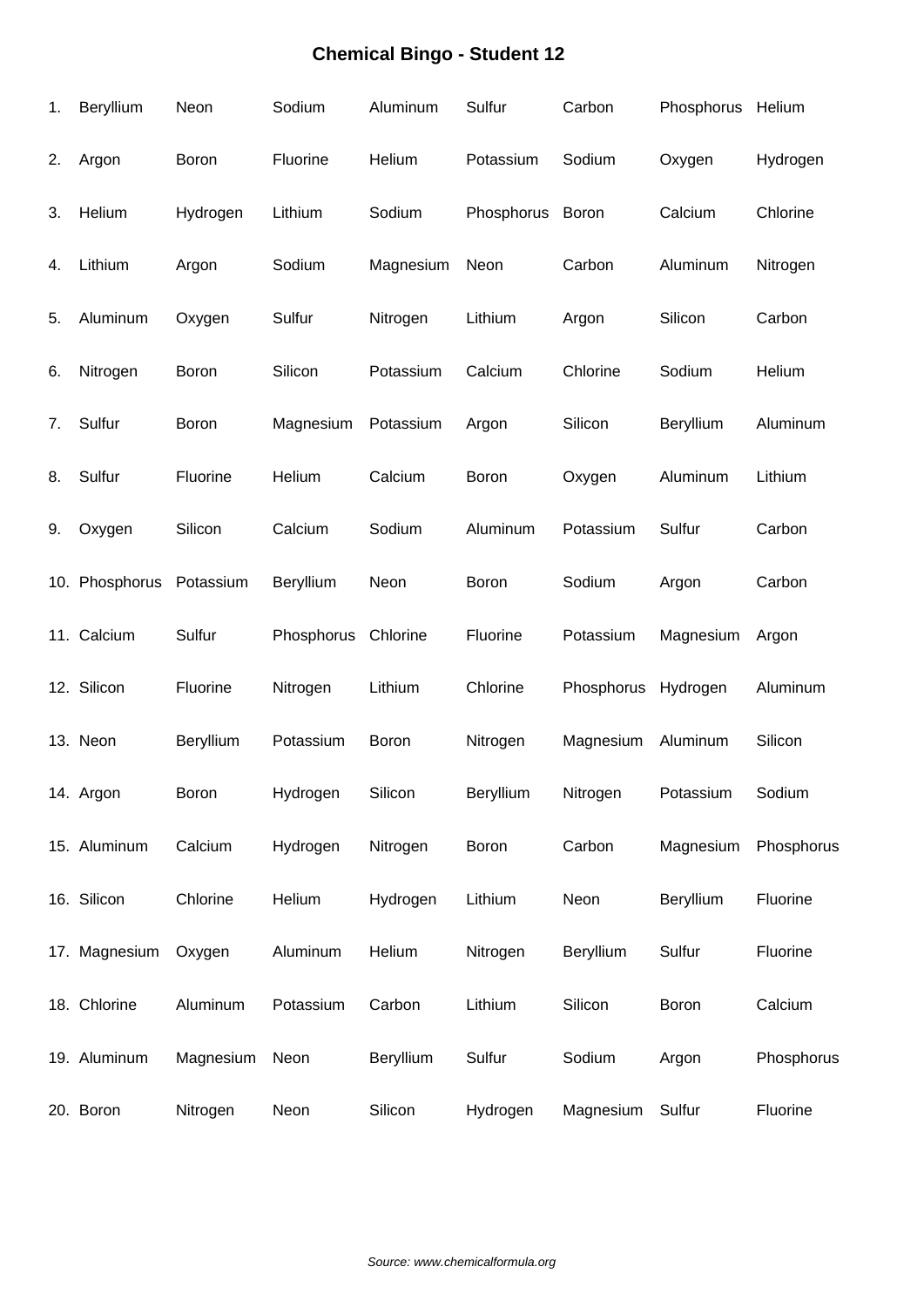| 1. | Beryllium                | Neon      | Sodium     | Aluminum  | Sulfur     | Carbon     | Phosphorus Helium |            |
|----|--------------------------|-----------|------------|-----------|------------|------------|-------------------|------------|
| 2. | Argon                    | Boron     | Fluorine   | Helium    | Potassium  | Sodium     | Oxygen            | Hydrogen   |
| 3. | Helium                   | Hydrogen  | Lithium    | Sodium    | Phosphorus | Boron      | Calcium           | Chlorine   |
| 4. | Lithium                  | Argon     | Sodium     | Magnesium | Neon       | Carbon     | Aluminum          | Nitrogen   |
| 5. | Aluminum                 | Oxygen    | Sulfur     | Nitrogen  | Lithium    | Argon      | Silicon           | Carbon     |
| 6. | Nitrogen                 | Boron     | Silicon    | Potassium | Calcium    | Chlorine   | Sodium            | Helium     |
| 7. | Sulfur                   | Boron     | Magnesium  | Potassium | Argon      | Silicon    | Beryllium         | Aluminum   |
| 8. | Sulfur                   | Fluorine  | Helium     | Calcium   | Boron      | Oxygen     | Aluminum          | Lithium    |
| 9. | Oxygen                   | Silicon   | Calcium    | Sodium    | Aluminum   | Potassium  | Sulfur            | Carbon     |
|    | 10. Phosphorus Potassium |           | Beryllium  | Neon      | Boron      | Sodium     | Argon             | Carbon     |
|    | 11. Calcium              | Sulfur    | Phosphorus | Chlorine  | Fluorine   | Potassium  | Magnesium         | Argon      |
|    | 12. Silicon              | Fluorine  | Nitrogen   | Lithium   | Chlorine   | Phosphorus | Hydrogen          | Aluminum   |
|    | 13. Neon                 | Beryllium | Potassium  | Boron     | Nitrogen   | Magnesium  | Aluminum          | Silicon    |
|    | 14. Argon                | Boron     | Hydrogen   | Silicon   | Beryllium  | Nitrogen   | Potassium         | Sodium     |
|    | 15. Aluminum             | Calcium   | Hydrogen   | Nitrogen  | Boron      | Carbon     | Magnesium         | Phosphorus |
|    | 16. Silicon              | Chlorine  | Helium     | Hydrogen  | Lithium    | Neon       | Beryllium         | Fluorine   |
|    | 17. Magnesium            | Oxygen    | Aluminum   | Helium    | Nitrogen   | Beryllium  | Sulfur            | Fluorine   |
|    | 18. Chlorine             | Aluminum  | Potassium  | Carbon    | Lithium    | Silicon    | <b>Boron</b>      | Calcium    |
|    | 19. Aluminum             | Magnesium | Neon       | Beryllium | Sulfur     | Sodium     | Argon             | Phosphorus |
|    | 20. Boron                | Nitrogen  | Neon       | Silicon   | Hydrogen   | Magnesium  | Sulfur            | Fluorine   |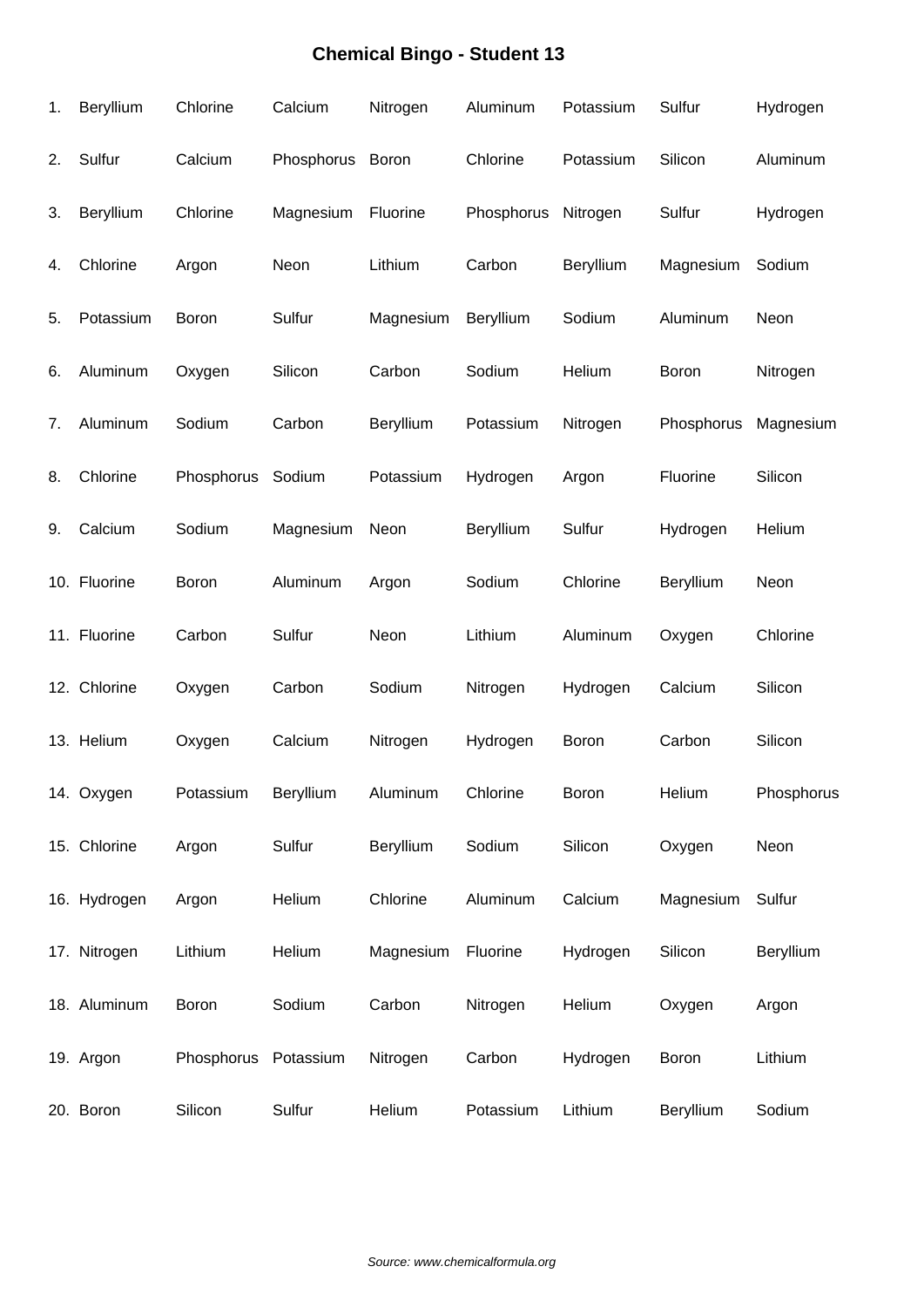| 1. | Beryllium    | Chlorine             | Calcium    | Nitrogen     | Aluminum   | Potassium    | Sulfur     | Hydrogen   |
|----|--------------|----------------------|------------|--------------|------------|--------------|------------|------------|
| 2. | Sulfur       | Calcium              | Phosphorus | <b>Boron</b> | Chlorine   | Potassium    | Silicon    | Aluminum   |
| 3. | Beryllium    | Chlorine             | Magnesium  | Fluorine     | Phosphorus | Nitrogen     | Sulfur     | Hydrogen   |
| 4. | Chlorine     | Argon                | Neon       | Lithium      | Carbon     | Beryllium    | Magnesium  | Sodium     |
| 5. | Potassium    | Boron                | Sulfur     | Magnesium    | Beryllium  | Sodium       | Aluminum   | Neon       |
| 6. | Aluminum     | Oxygen               | Silicon    | Carbon       | Sodium     | Helium       | Boron      | Nitrogen   |
| 7. | Aluminum     | Sodium               | Carbon     | Beryllium    | Potassium  | Nitrogen     | Phosphorus | Magnesium  |
| 8. | Chlorine     | Phosphorus           | Sodium     | Potassium    | Hydrogen   | Argon        | Fluorine   | Silicon    |
| 9. | Calcium      | Sodium               | Magnesium  | Neon         | Beryllium  | Sulfur       | Hydrogen   | Helium     |
|    | 10. Fluorine | Boron                | Aluminum   | Argon        | Sodium     | Chlorine     | Beryllium  | Neon       |
|    | 11. Fluorine | Carbon               | Sulfur     | Neon         | Lithium    | Aluminum     | Oxygen     | Chlorine   |
|    | 12. Chlorine | Oxygen               | Carbon     | Sodium       | Nitrogen   | Hydrogen     | Calcium    | Silicon    |
|    | 13. Helium   | Oxygen               | Calcium    | Nitrogen     | Hydrogen   | Boron        | Carbon     | Silicon    |
|    | 14. Oxygen   | Potassium            | Beryllium  | Aluminum     | Chlorine   | <b>Boron</b> | Helium     | Phosphorus |
|    | 15. Chlorine | Argon                | Sulfur     | Beryllium    | Sodium     | Silicon      | Oxygen     | Neon       |
|    | 16. Hydrogen | Argon                | Helium     | Chlorine     | Aluminum   | Calcium      | Magnesium  | Sulfur     |
|    | 17. Nitrogen | Lithium              | Helium     | Magnesium    | Fluorine   | Hydrogen     | Silicon    | Beryllium  |
|    | 18. Aluminum | Boron                | Sodium     | Carbon       | Nitrogen   | Helium       | Oxygen     | Argon      |
|    | 19. Argon    | Phosphorus Potassium |            | Nitrogen     | Carbon     | Hydrogen     | Boron      | Lithium    |
|    | 20. Boron    | Silicon              | Sulfur     | Helium       | Potassium  | Lithium      | Beryllium  | Sodium     |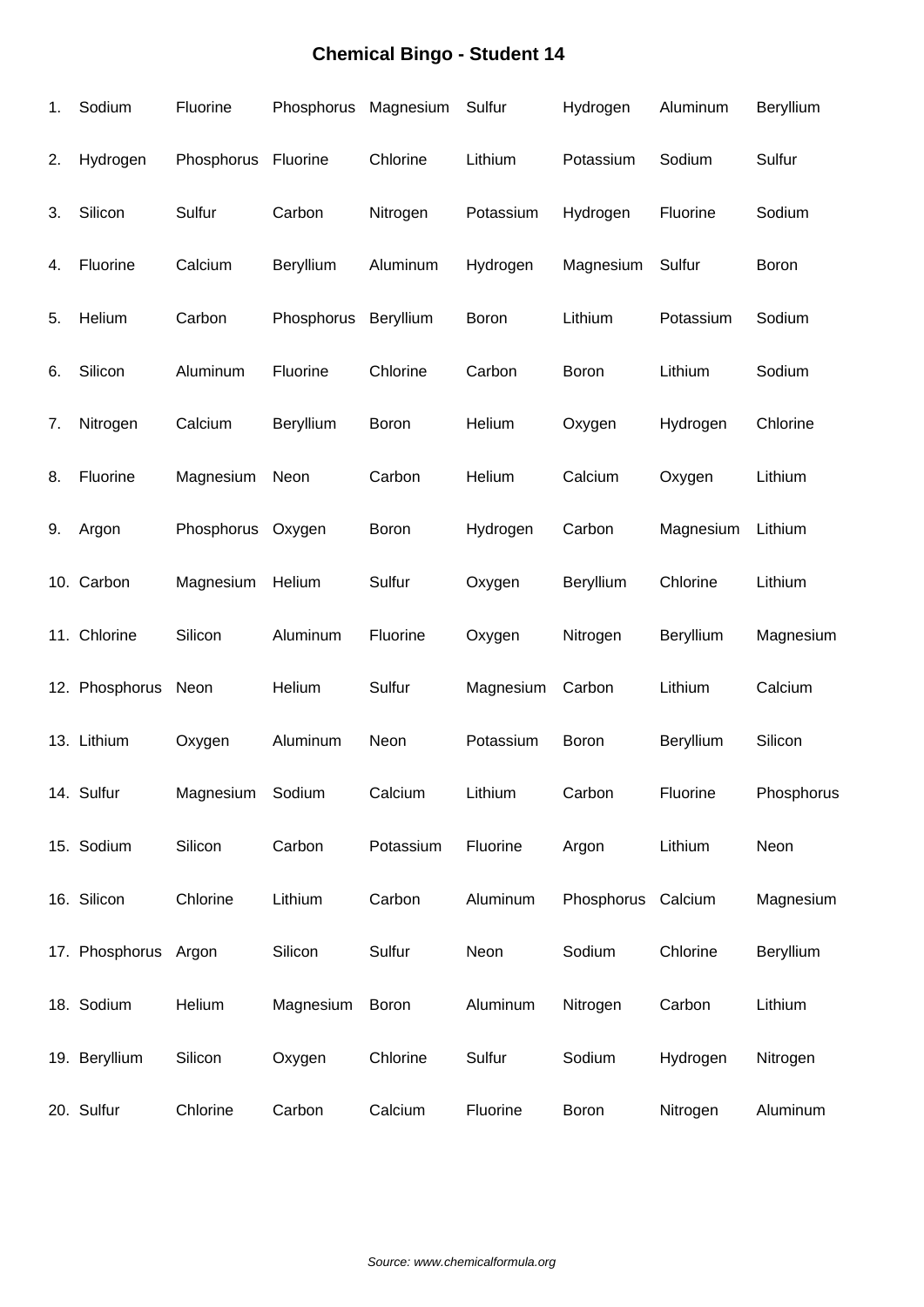| 1. | Sodium               | Fluorine         | Phosphorus | Magnesium    | Sulfur    | Hydrogen           | Aluminum  | Beryllium    |
|----|----------------------|------------------|------------|--------------|-----------|--------------------|-----------|--------------|
| 2. | Hydrogen             | Phosphorus       | Fluorine   | Chlorine     | Lithium   | Potassium          | Sodium    | Sulfur       |
| 3. | Silicon              | Sulfur           | Carbon     | Nitrogen     | Potassium | Hydrogen           | Fluorine  | Sodium       |
| 4. | Fluorine             | Calcium          | Beryllium  | Aluminum     | Hydrogen  | Magnesium          | Sulfur    | <b>Boron</b> |
| 5. | Helium               | Carbon           | Phosphorus | Beryllium    | Boron     | Lithium            | Potassium | Sodium       |
| 6. | Silicon              | Aluminum         | Fluorine   | Chlorine     | Carbon    | Boron              | Lithium   | Sodium       |
| 7. | Nitrogen             | Calcium          | Beryllium  | Boron        | Helium    | Oxygen             | Hydrogen  | Chlorine     |
| 8. | Fluorine             | Magnesium        | Neon       | Carbon       | Helium    | Calcium            | Oxygen    | Lithium      |
| 9. | Argon                | Phosphorus       | Oxygen     | <b>Boron</b> | Hydrogen  | Carbon             | Magnesium | Lithium      |
|    | 10. Carbon           | Magnesium        | Helium     | Sulfur       | Oxygen    | Beryllium          | Chlorine  | Lithium      |
|    | 11. Chlorine         | Silicon          | Aluminum   | Fluorine     | Oxygen    | Nitrogen           | Beryllium | Magnesium    |
|    | 12. Phosphorus       | Neon             | Helium     | Sulfur       | Magnesium | Carbon             | Lithium   | Calcium      |
|    | 13. Lithium          | Oxygen           | Aluminum   | Neon         | Potassium | Boron              | Beryllium | Silicon      |
|    | 14. Sulfur           | Magnesium Sodium |            | Calcium      | Lithium   | Carbon             | Fluorine  | Phosphorus   |
|    | 15. Sodium           | Silicon          | Carbon     | Potassium    | Fluorine  | Argon              | Lithium   | Neon         |
|    | 16. Silicon          | Chlorine         | Lithium    | Carbon       | Aluminum  | Phosphorus Calcium |           | Magnesium    |
|    | 17. Phosphorus Argon |                  | Silicon    | Sulfur       | Neon      | Sodium             | Chlorine  | Beryllium    |
|    | 18. Sodium           | Helium           | Magnesium  | Boron        | Aluminum  | Nitrogen           | Carbon    | Lithium      |
|    | 19. Beryllium        | Silicon          | Oxygen     | Chlorine     | Sulfur    | Sodium             | Hydrogen  | Nitrogen     |
|    | 20. Sulfur           | Chlorine         | Carbon     | Calcium      | Fluorine  | Boron              | Nitrogen  | Aluminum     |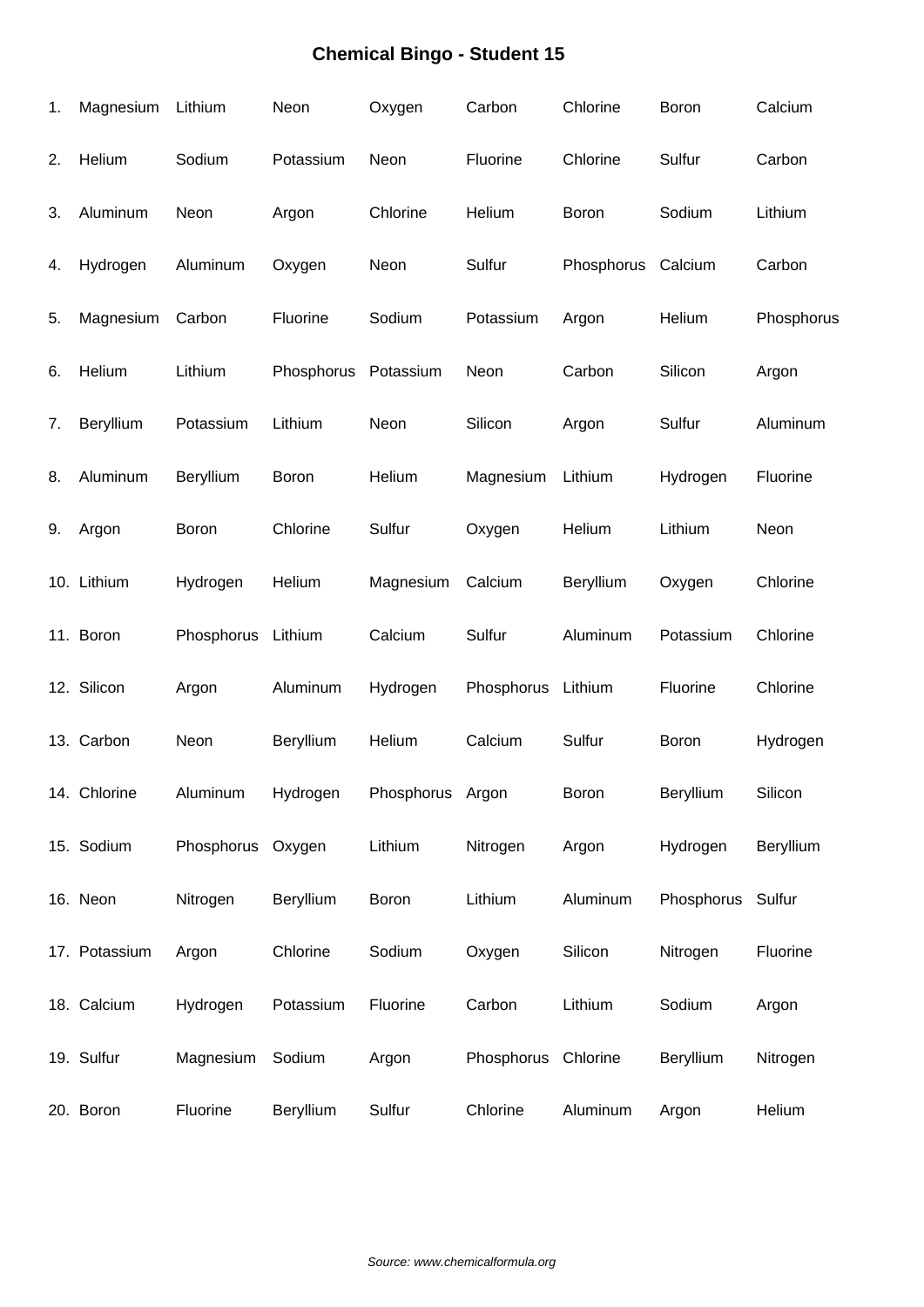| 1. | Magnesium     | Lithium            | Neon       | Oxygen           | Carbon     | Chlorine     | Boron             | Calcium    |
|----|---------------|--------------------|------------|------------------|------------|--------------|-------------------|------------|
| 2. | Helium        | Sodium             | Potassium  | Neon             | Fluorine   | Chlorine     | Sulfur            | Carbon     |
| 3. | Aluminum      | Neon               | Argon      | Chlorine         | Helium     | Boron        | Sodium            | Lithium    |
| 4. | Hydrogen      | Aluminum           | Oxygen     | Neon             | Sulfur     | Phosphorus   | Calcium           | Carbon     |
| 5. | Magnesium     | Carbon             | Fluorine   | Sodium           | Potassium  | Argon        | Helium            | Phosphorus |
| 6. | Helium        | Lithium            | Phosphorus | Potassium        | Neon       | Carbon       | Silicon           | Argon      |
| 7. | Beryllium     | Potassium          | Lithium    | Neon             | Silicon    | Argon        | Sulfur            | Aluminum   |
| 8. | Aluminum      | Beryllium          | Boron      | Helium           | Magnesium  | Lithium      | Hydrogen          | Fluorine   |
| 9. | Argon         | Boron              | Chlorine   | Sulfur           | Oxygen     | Helium       | Lithium           | Neon       |
|    | 10. Lithium   | Hydrogen           | Helium     | Magnesium        | Calcium    | Beryllium    | Oxygen            | Chlorine   |
|    | 11. Boron     | Phosphorus Lithium |            | Calcium          | Sulfur     | Aluminum     | Potassium         | Chlorine   |
|    | 12. Silicon   | Argon              | Aluminum   | Hydrogen         | Phosphorus | Lithium      | Fluorine          | Chlorine   |
|    | 13. Carbon    | Neon               | Beryllium  | Helium           | Calcium    | Sulfur       | Boron             | Hydrogen   |
|    | 14. Chlorine  | Aluminum           | Hydrogen   | Phosphorus Argon |            | <b>Boron</b> | Beryllium         | Silicon    |
|    | 15. Sodium    | Phosphorus         | Oxygen     | Lithium          | Nitrogen   | Argon        | Hydrogen          | Beryllium  |
|    | 16. Neon      | Nitrogen           | Beryllium  | Boron            | Lithium    | Aluminum     | Phosphorus Sulfur |            |
|    | 17. Potassium | Argon              | Chlorine   | Sodium           | Oxygen     | Silicon      | Nitrogen          | Fluorine   |
|    | 18. Calcium   | Hydrogen           | Potassium  | Fluorine         | Carbon     | Lithium      | Sodium            | Argon      |
|    | 19. Sulfur    | Magnesium          | Sodium     | Argon            | Phosphorus | Chlorine     | Beryllium         | Nitrogen   |
|    | 20. Boron     | Fluorine           | Beryllium  | Sulfur           | Chlorine   | Aluminum     | Argon             | Helium     |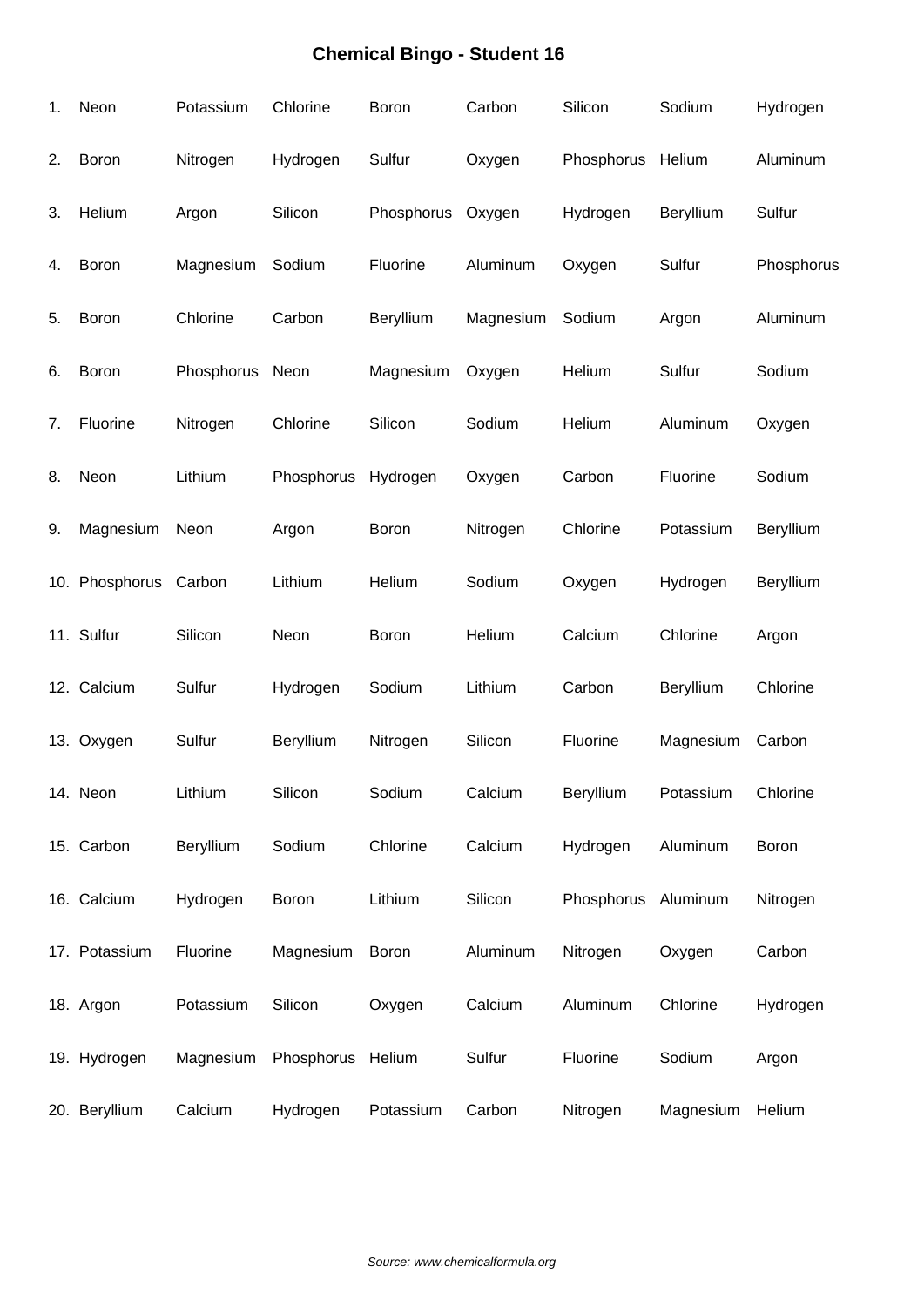| 1. | Neon                  | Potassium       | Chlorine          | Boron        | Carbon    | Silicon             | Sodium    | Hydrogen   |
|----|-----------------------|-----------------|-------------------|--------------|-----------|---------------------|-----------|------------|
| 2. | Boron                 | Nitrogen        | Hydrogen          | Sulfur       | Oxygen    | Phosphorus Helium   |           | Aluminum   |
| 3. | Helium                | Argon           | Silicon           | Phosphorus   | Oxygen    | Hydrogen            | Beryllium | Sulfur     |
| 4. | Boron                 | Magnesium       | Sodium            | Fluorine     | Aluminum  | Oxygen              | Sulfur    | Phosphorus |
| 5. | Boron                 | Chlorine        | Carbon            | Beryllium    | Magnesium | Sodium              | Argon     | Aluminum   |
| 6. | Boron                 | Phosphorus Neon |                   | Magnesium    | Oxygen    | Helium              | Sulfur    | Sodium     |
| 7. | Fluorine              | Nitrogen        | Chlorine          | Silicon      | Sodium    | Helium              | Aluminum  | Oxygen     |
| 8. | Neon                  | Lithium         | Phosphorus        | Hydrogen     | Oxygen    | Carbon              | Fluorine  | Sodium     |
| 9. | Magnesium             | Neon            | Argon             | <b>Boron</b> | Nitrogen  | Chlorine            | Potassium | Beryllium  |
|    | 10. Phosphorus Carbon |                 | Lithium           | Helium       | Sodium    | Oxygen              | Hydrogen  | Beryllium  |
|    | 11. Sulfur            | Silicon         | Neon              | Boron        | Helium    | Calcium             | Chlorine  | Argon      |
|    | 12. Calcium           | Sulfur          | Hydrogen          | Sodium       | Lithium   | Carbon              | Beryllium | Chlorine   |
|    | 13. Oxygen            | Sulfur          | Beryllium         | Nitrogen     | Silicon   | Fluorine            | Magnesium | Carbon     |
|    | 14. Neon              | Lithium         | Silicon           | Sodium       | Calcium   | Beryllium           | Potassium | Chlorine   |
|    | 15. Carbon            | Beryllium       | Sodium            | Chlorine     | Calcium   | Hydrogen            | Aluminum  | Boron      |
|    | 16. Calcium           | Hydrogen        | Boron             | Lithium      | Silicon   | Phosphorus Aluminum |           | Nitrogen   |
|    | 17. Potassium         | Fluorine        | Magnesium         | Boron        | Aluminum  | Nitrogen            | Oxygen    | Carbon     |
|    | 18. Argon             | Potassium       | Silicon           | Oxygen       | Calcium   | Aluminum            | Chlorine  | Hydrogen   |
|    | 19. Hydrogen          | Magnesium       | Phosphorus Helium |              | Sulfur    | Fluorine            | Sodium    | Argon      |
|    | 20. Beryllium         | Calcium         | Hydrogen          | Potassium    | Carbon    | Nitrogen            | Magnesium | Helium     |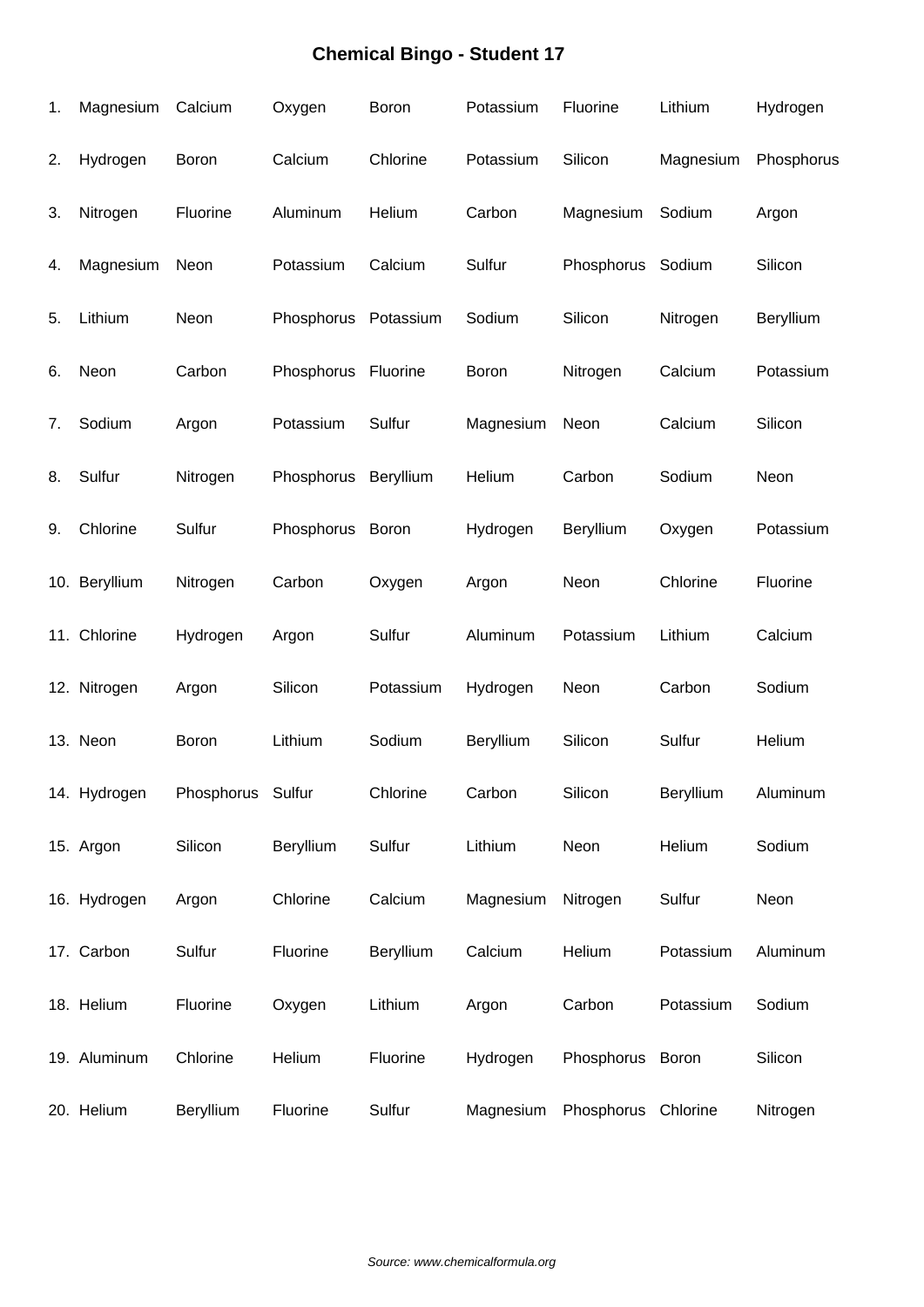| 1. | Magnesium     | Calcium           | Oxygen     | Boron     | Potassium | Fluorine          | Lithium   | Hydrogen   |
|----|---------------|-------------------|------------|-----------|-----------|-------------------|-----------|------------|
| 2. | Hydrogen      | Boron             | Calcium    | Chlorine  | Potassium | Silicon           | Magnesium | Phosphorus |
| 3. | Nitrogen      | Fluorine          | Aluminum   | Helium    | Carbon    | Magnesium         | Sodium    | Argon      |
| 4. | Magnesium     | Neon              | Potassium  | Calcium   | Sulfur    | Phosphorus Sodium |           | Silicon    |
| 5. | Lithium       | Neon              | Phosphorus | Potassium | Sodium    | Silicon           | Nitrogen  | Beryllium  |
| 6. | Neon          | Carbon            | Phosphorus | Fluorine  | Boron     | Nitrogen          | Calcium   | Potassium  |
| 7. | Sodium        | Argon             | Potassium  | Sulfur    | Magnesium | Neon              | Calcium   | Silicon    |
| 8. | Sulfur        | Nitrogen          | Phosphorus | Beryllium | Helium    | Carbon            | Sodium    | Neon       |
| 9. | Chlorine      | Sulfur            | Phosphorus | Boron     | Hydrogen  | Beryllium         | Oxygen    | Potassium  |
|    | 10. Beryllium | Nitrogen          | Carbon     | Oxygen    | Argon     | Neon              | Chlorine  | Fluorine   |
|    | 11. Chlorine  | Hydrogen          | Argon      | Sulfur    | Aluminum  | Potassium         | Lithium   | Calcium    |
|    | 12. Nitrogen  | Argon             | Silicon    | Potassium | Hydrogen  | Neon              | Carbon    | Sodium     |
|    | 13. Neon      | Boron             | Lithium    | Sodium    | Beryllium | Silicon           | Sulfur    | Helium     |
|    | 14. Hydrogen  | Phosphorus Sulfur |            | Chlorine  | Carbon    | Silicon           | Beryllium | Aluminum   |
|    | 15. Argon     | Silicon           | Beryllium  | Sulfur    | Lithium   | Neon              | Helium    | Sodium     |
|    | 16. Hydrogen  | Argon             | Chlorine   | Calcium   | Magnesium | Nitrogen          | Sulfur    | Neon       |
|    | 17. Carbon    | Sulfur            | Fluorine   | Beryllium | Calcium   | Helium            | Potassium | Aluminum   |
|    | 18. Helium    | Fluorine          | Oxygen     | Lithium   | Argon     | Carbon            | Potassium | Sodium     |
|    | 19. Aluminum  | Chlorine          | Helium     | Fluorine  | Hydrogen  | Phosphorus Boron  |           | Silicon    |
|    | 20. Helium    | Beryllium         | Fluorine   | Sulfur    | Magnesium | Phosphorus        | Chlorine  | Nitrogen   |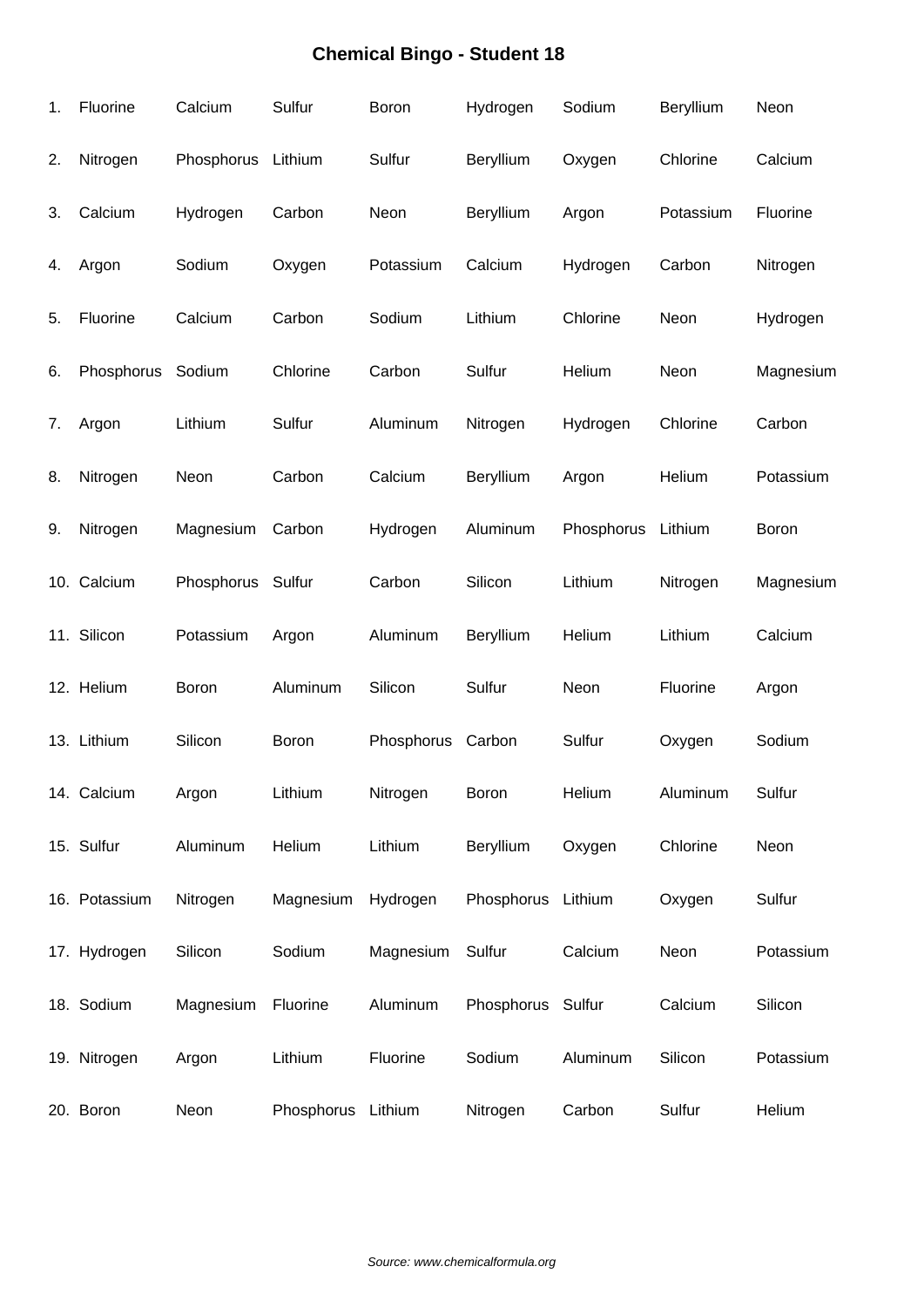| 1. | Fluorine      | Calcium            | Sulfur       | Boron      | Hydrogen           | Sodium     | Beryllium | Neon      |
|----|---------------|--------------------|--------------|------------|--------------------|------------|-----------|-----------|
| 2. | Nitrogen      | Phosphorus Lithium |              | Sulfur     | Beryllium          | Oxygen     | Chlorine  | Calcium   |
| 3. | Calcium       | Hydrogen           | Carbon       | Neon       | Beryllium          | Argon      | Potassium | Fluorine  |
| 4. | Argon         | Sodium             | Oxygen       | Potassium  | Calcium            | Hydrogen   | Carbon    | Nitrogen  |
| 5. | Fluorine      | Calcium            | Carbon       | Sodium     | Lithium            | Chlorine   | Neon      | Hydrogen  |
| 6. | Phosphorus    | Sodium             | Chlorine     | Carbon     | Sulfur             | Helium     | Neon      | Magnesium |
| 7. | Argon         | Lithium            | Sulfur       | Aluminum   | Nitrogen           | Hydrogen   | Chlorine  | Carbon    |
| 8. | Nitrogen      | Neon               | Carbon       | Calcium    | Beryllium          | Argon      | Helium    | Potassium |
| 9. | Nitrogen      | Magnesium          | Carbon       | Hydrogen   | Aluminum           | Phosphorus | Lithium   | Boron     |
|    | 10. Calcium   | Phosphorus Sulfur  |              | Carbon     | Silicon            | Lithium    | Nitrogen  | Magnesium |
|    | 11. Silicon   | Potassium          | Argon        | Aluminum   | Beryllium          | Helium     | Lithium   | Calcium   |
|    | 12. Helium    | Boron              | Aluminum     | Silicon    | Sulfur             | Neon       | Fluorine  | Argon     |
|    | 13. Lithium   | Silicon            | <b>Boron</b> | Phosphorus | Carbon             | Sulfur     | Oxygen    | Sodium    |
|    | 14. Calcium   | Argon              | Lithium      | Nitrogen   | Boron              | Helium     | Aluminum  | Sulfur    |
|    | 15. Sulfur    | Aluminum           | Helium       | Lithium    | Beryllium          | Oxygen     | Chlorine  | Neon      |
|    | 16. Potassium | Nitrogen           | Magnesium    | Hydrogen   | Phosphorus Lithium |            | Oxygen    | Sulfur    |
|    | 17. Hydrogen  | Silicon            | Sodium       | Magnesium  | Sulfur             | Calcium    | Neon      | Potassium |
|    | 18. Sodium    | Magnesium          | Fluorine     | Aluminum   | Phosphorus Sulfur  |            | Calcium   | Silicon   |
|    | 19. Nitrogen  | Argon              | Lithium      | Fluorine   | Sodium             | Aluminum   | Silicon   | Potassium |
|    | 20. Boron     | Neon               | Phosphorus   | Lithium    | Nitrogen           | Carbon     | Sulfur    | Helium    |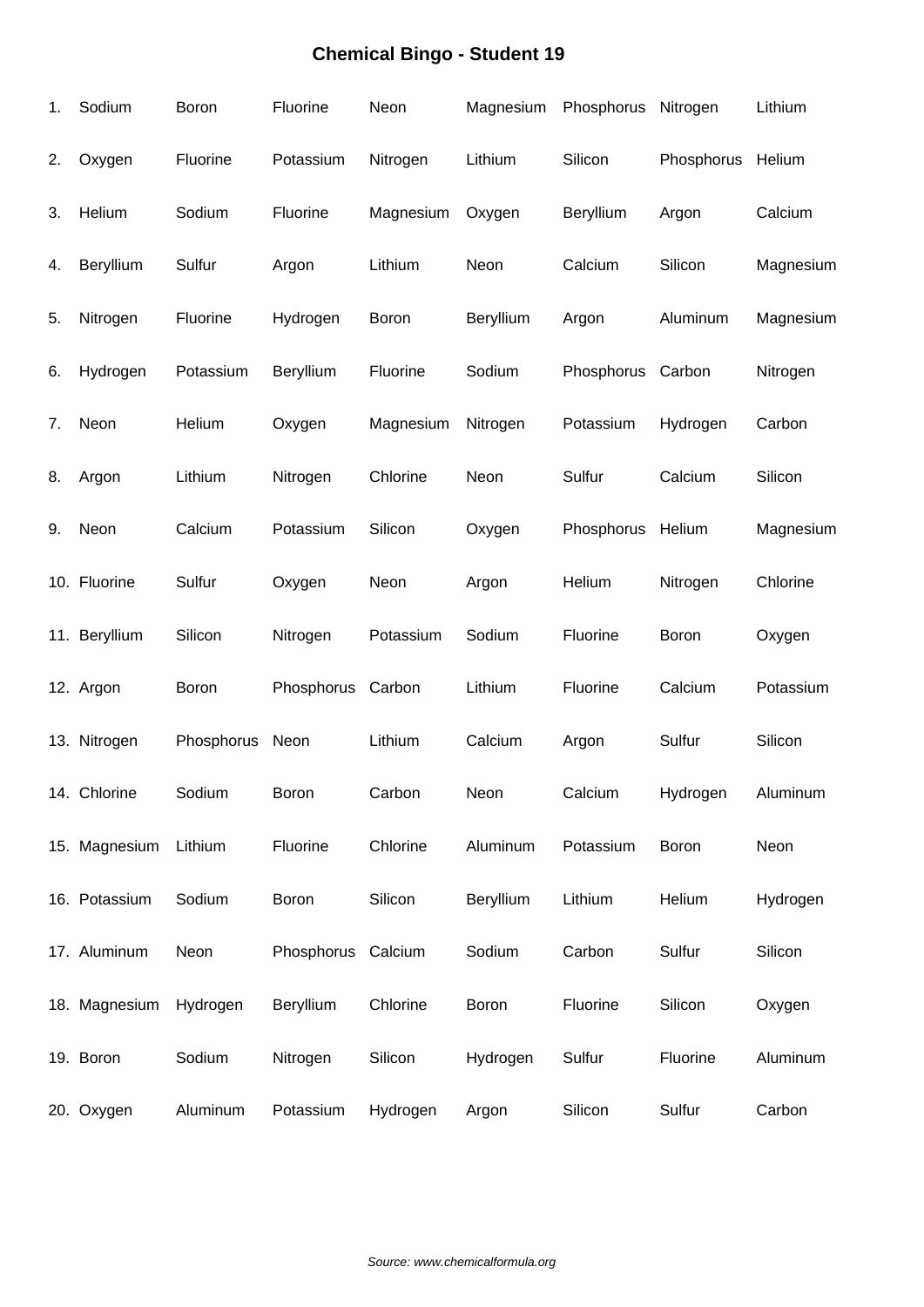| 1. | Sodium        | Boron      | Fluorine           | Neon      | Magnesium | Phosphorus Nitrogen |            | Lithium   |
|----|---------------|------------|--------------------|-----------|-----------|---------------------|------------|-----------|
| 2. | Oxygen        | Fluorine   | Potassium          | Nitrogen  | Lithium   | Silicon             | Phosphorus | Helium    |
| 3. | Helium        | Sodium     | Fluorine           | Magnesium | Oxygen    | Beryllium           | Argon      | Calcium   |
| 4. | Beryllium     | Sulfur     | Argon              | Lithium   | Neon      | Calcium             | Silicon    | Magnesium |
| 5. | Nitrogen      | Fluorine   | Hydrogen           | Boron     | Beryllium | Argon               | Aluminum   | Magnesium |
| 6. | Hydrogen      | Potassium  | Beryllium          | Fluorine  | Sodium    | Phosphorus          | Carbon     | Nitrogen  |
| 7. | Neon          | Helium     | Oxygen             | Magnesium | Nitrogen  | Potassium           | Hydrogen   | Carbon    |
| 8. | Argon         | Lithium    | Nitrogen           | Chlorine  | Neon      | Sulfur              | Calcium    | Silicon   |
| 9. | Neon          | Calcium    | Potassium          | Silicon   | Oxygen    | Phosphorus          | Helium     | Magnesium |
|    | 10. Fluorine  | Sulfur     | Oxygen             | Neon      | Argon     | Helium              | Nitrogen   | Chlorine  |
|    | 11. Beryllium | Silicon    | Nitrogen           | Potassium | Sodium    | Fluorine            | Boron      | Oxygen    |
|    | 12. Argon     | Boron      | Phosphorus         | Carbon    | Lithium   | Fluorine            | Calcium    | Potassium |
|    | 13. Nitrogen  | Phosphorus | Neon               | Lithium   | Calcium   | Argon               | Sulfur     | Silicon   |
|    | 14. Chlorine  | Sodium     | Boron              | Carbon    | Neon      | Calcium             | Hydrogen   | Aluminum  |
|    | 15. Magnesium | Lithium    | Fluorine           | Chlorine  | Aluminum  | Potassium           | Boron      | Neon      |
|    | 16. Potassium | Sodium     | Boron              | Silicon   | Beryllium | Lithium             | Helium     | Hydrogen  |
|    | 17. Aluminum  | Neon       | Phosphorus Calcium |           | Sodium    | Carbon              | Sulfur     | Silicon   |
|    | 18. Magnesium | Hydrogen   | Beryllium          | Chlorine  | Boron     | Fluorine            | Silicon    | Oxygen    |
|    | 19. Boron     | Sodium     | Nitrogen           | Silicon   | Hydrogen  | Sulfur              | Fluorine   | Aluminum  |
|    | 20. Oxygen    | Aluminum   | Potassium          | Hydrogen  | Argon     | Silicon             | Sulfur     | Carbon    |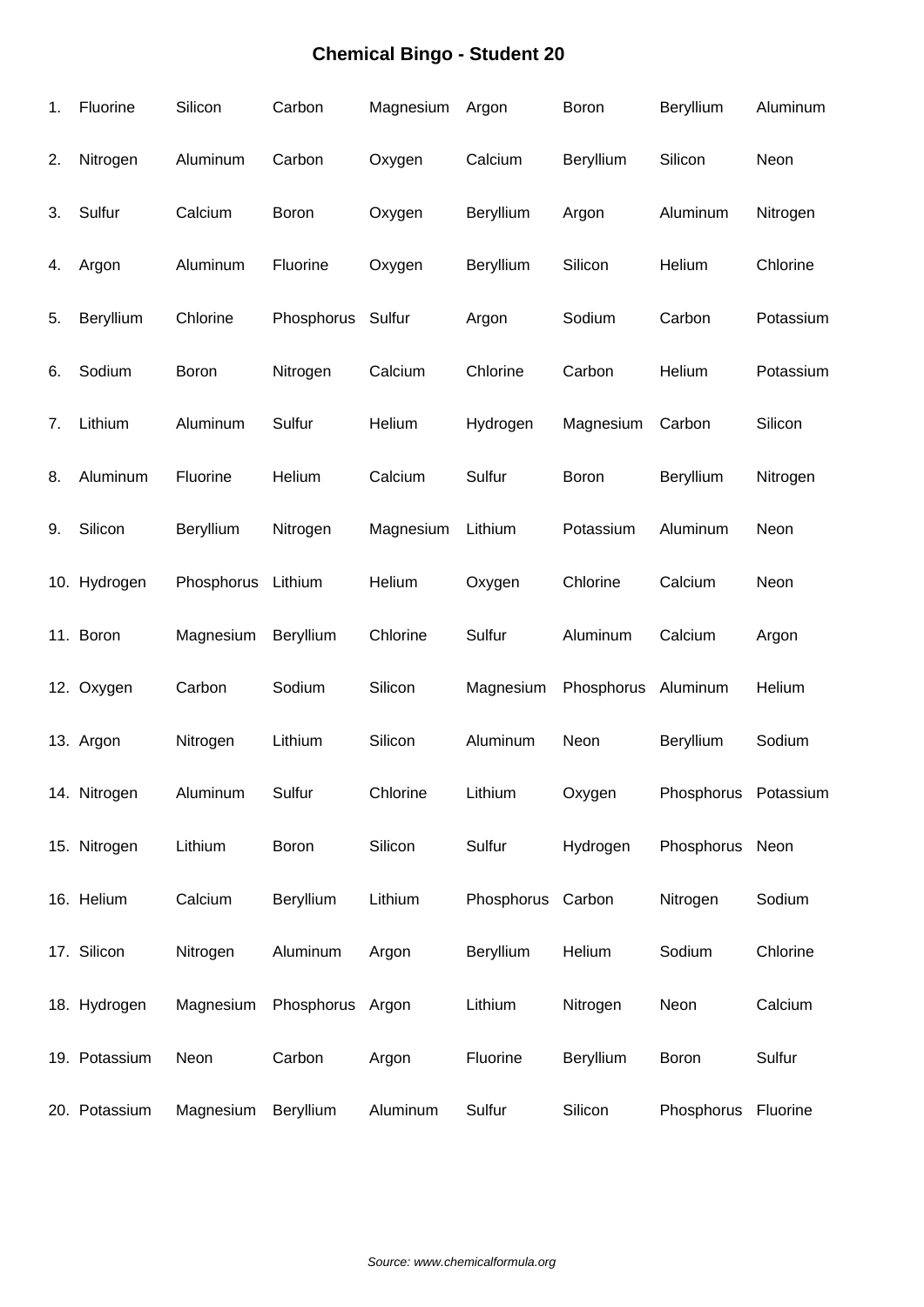| 1. | Fluorine      | Silicon            | Carbon           | Magnesium | Argon             | Boron      | Beryllium            | Aluminum  |
|----|---------------|--------------------|------------------|-----------|-------------------|------------|----------------------|-----------|
| 2. | Nitrogen      | Aluminum           | Carbon           | Oxygen    | Calcium           | Beryllium  | Silicon              | Neon      |
| 3. | Sulfur        | Calcium            | Boron            | Oxygen    | Beryllium         | Argon      | Aluminum             | Nitrogen  |
| 4. | Argon         | Aluminum           | Fluorine         | Oxygen    | Beryllium         | Silicon    | Helium               | Chlorine  |
| 5. | Beryllium     | Chlorine           | Phosphorus       | Sulfur    | Argon             | Sodium     | Carbon               | Potassium |
| 6. | Sodium        | Boron              | Nitrogen         | Calcium   | Chlorine          | Carbon     | Helium               | Potassium |
| 7. | Lithium       | Aluminum           | Sulfur           | Helium    | Hydrogen          | Magnesium  | Carbon               | Silicon   |
| 8. | Aluminum      | Fluorine           | Helium           | Calcium   | Sulfur            | Boron      | Beryllium            | Nitrogen  |
| 9. | Silicon       | Beryllium          | Nitrogen         | Magnesium | Lithium           | Potassium  | Aluminum             | Neon      |
|    | 10. Hydrogen  | Phosphorus Lithium |                  | Helium    | Oxygen            | Chlorine   | Calcium              | Neon      |
|    | 11. Boron     | Magnesium          | Beryllium        | Chlorine  | Sulfur            | Aluminum   | Calcium              | Argon     |
|    | 12. Oxygen    | Carbon             | Sodium           | Silicon   | Magnesium         | Phosphorus | Aluminum             | Helium    |
|    | 13. Argon     | Nitrogen           | Lithium          | Silicon   | Aluminum          | Neon       | Beryllium            | Sodium    |
|    | 14. Nitrogen  | Aluminum           | Sulfur           | Chlorine  | Lithium           | Oxygen     | Phosphorus Potassium |           |
|    | 15. Nitrogen  | Lithium            | Boron            | Silicon   | Sulfur            | Hydrogen   | Phosphorus Neon      |           |
|    | 16. Helium    | Calcium            | Beryllium        | Lithium   | Phosphorus Carbon |            | Nitrogen             | Sodium    |
|    | 17. Silicon   | Nitrogen           | Aluminum         | Argon     | Beryllium         | Helium     | Sodium               | Chlorine  |
|    | 18. Hydrogen  | Magnesium          | Phosphorus Argon |           | Lithium           | Nitrogen   | Neon                 | Calcium   |
|    | 19. Potassium | Neon               | Carbon           | Argon     | Fluorine          | Beryllium  | Boron                | Sulfur    |
|    | 20. Potassium | Magnesium          | Beryllium        | Aluminum  | Sulfur            | Silicon    | Phosphorus Fluorine  |           |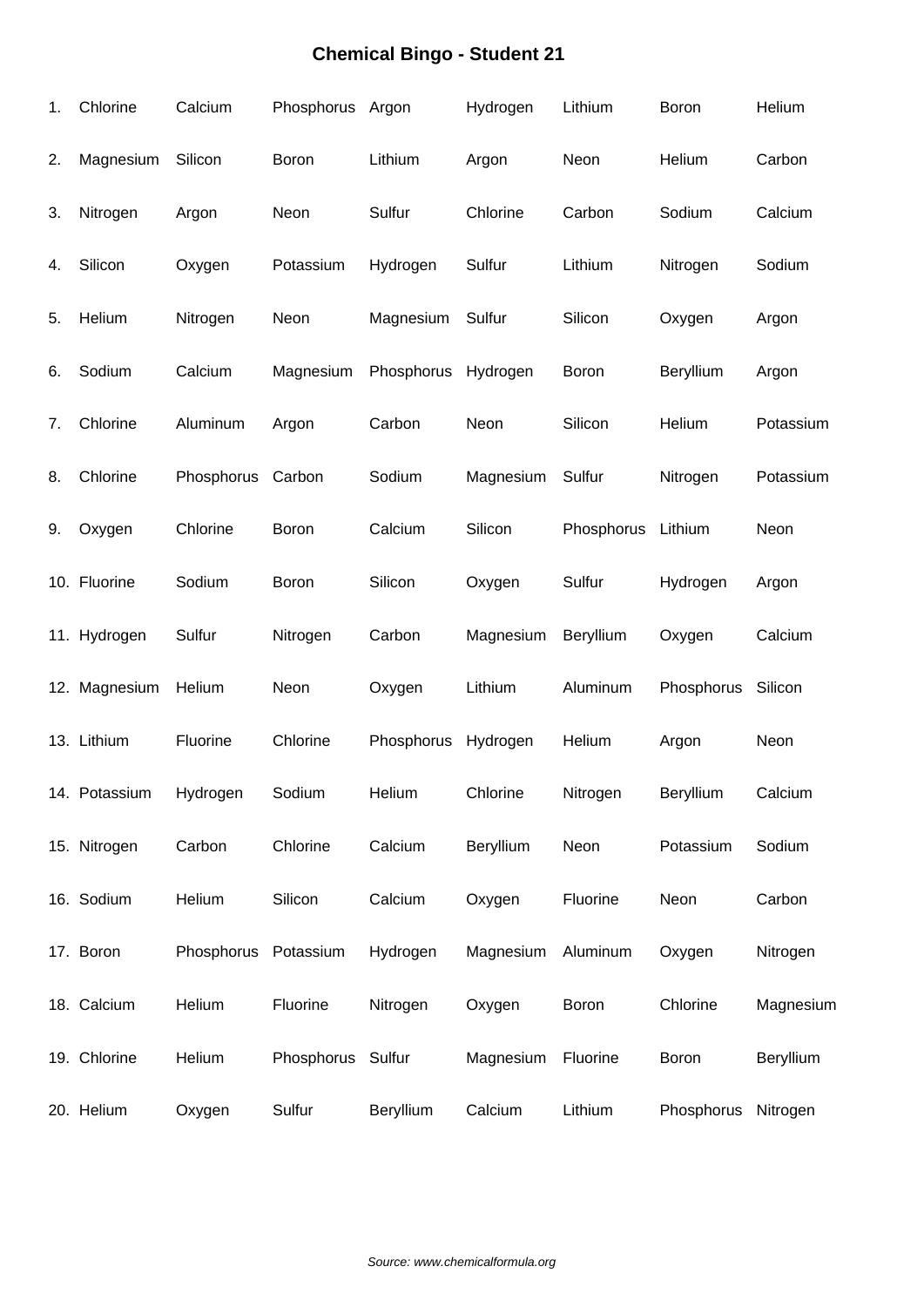| 1. | Chlorine      | Calcium              | Phosphorus Argon  |            | Hydrogen  | Lithium    | Boron        | Helium    |
|----|---------------|----------------------|-------------------|------------|-----------|------------|--------------|-----------|
| 2. | Magnesium     | Silicon              | Boron             | Lithium    | Argon     | Neon       | Helium       | Carbon    |
| 3. | Nitrogen      | Argon                | Neon              | Sulfur     | Chlorine  | Carbon     | Sodium       | Calcium   |
| 4. | Silicon       | Oxygen               | Potassium         | Hydrogen   | Sulfur    | Lithium    | Nitrogen     | Sodium    |
| 5. | Helium        | Nitrogen             | Neon              | Magnesium  | Sulfur    | Silicon    | Oxygen       | Argon     |
| 6. | Sodium        | Calcium              | Magnesium         | Phosphorus | Hydrogen  | Boron      | Beryllium    | Argon     |
| 7. | Chlorine      | Aluminum             | Argon             | Carbon     | Neon      | Silicon    | Helium       | Potassium |
| 8. | Chlorine      | Phosphorus           | Carbon            | Sodium     | Magnesium | Sulfur     | Nitrogen     | Potassium |
| 9. | Oxygen        | Chlorine             | Boron             | Calcium    | Silicon   | Phosphorus | Lithium      | Neon      |
|    | 10. Fluorine  | Sodium               | Boron             | Silicon    | Oxygen    | Sulfur     | Hydrogen     | Argon     |
|    | 11. Hydrogen  | Sulfur               | Nitrogen          | Carbon     | Magnesium | Beryllium  | Oxygen       | Calcium   |
|    | 12. Magnesium | Helium               | Neon              | Oxygen     | Lithium   | Aluminum   | Phosphorus   | Silicon   |
|    | 13. Lithium   | Fluorine             | Chlorine          | Phosphorus | Hydrogen  | Helium     | Argon        | Neon      |
|    | 14. Potassium | Hydrogen             | Sodium            | Helium     | Chlorine  | Nitrogen   | Beryllium    | Calcium   |
|    | 15. Nitrogen  | Carbon               | Chlorine          | Calcium    | Beryllium | Neon       | Potassium    | Sodium    |
|    | 16. Sodium    | Helium               | Silicon           | Calcium    | Oxygen    | Fluorine   | Neon         | Carbon    |
|    | 17. Boron     | Phosphorus Potassium |                   | Hydrogen   | Magnesium | Aluminum   | Oxygen       | Nitrogen  |
|    | 18. Calcium   | Helium               | Fluorine          | Nitrogen   | Oxygen    | Boron      | Chlorine     | Magnesium |
|    | 19. Chlorine  | Helium               | Phosphorus Sulfur |            | Magnesium | Fluorine   | <b>Boron</b> | Beryllium |
|    | 20. Helium    | Oxygen               | Sulfur            | Beryllium  | Calcium   | Lithium    | Phosphorus   | Nitrogen  |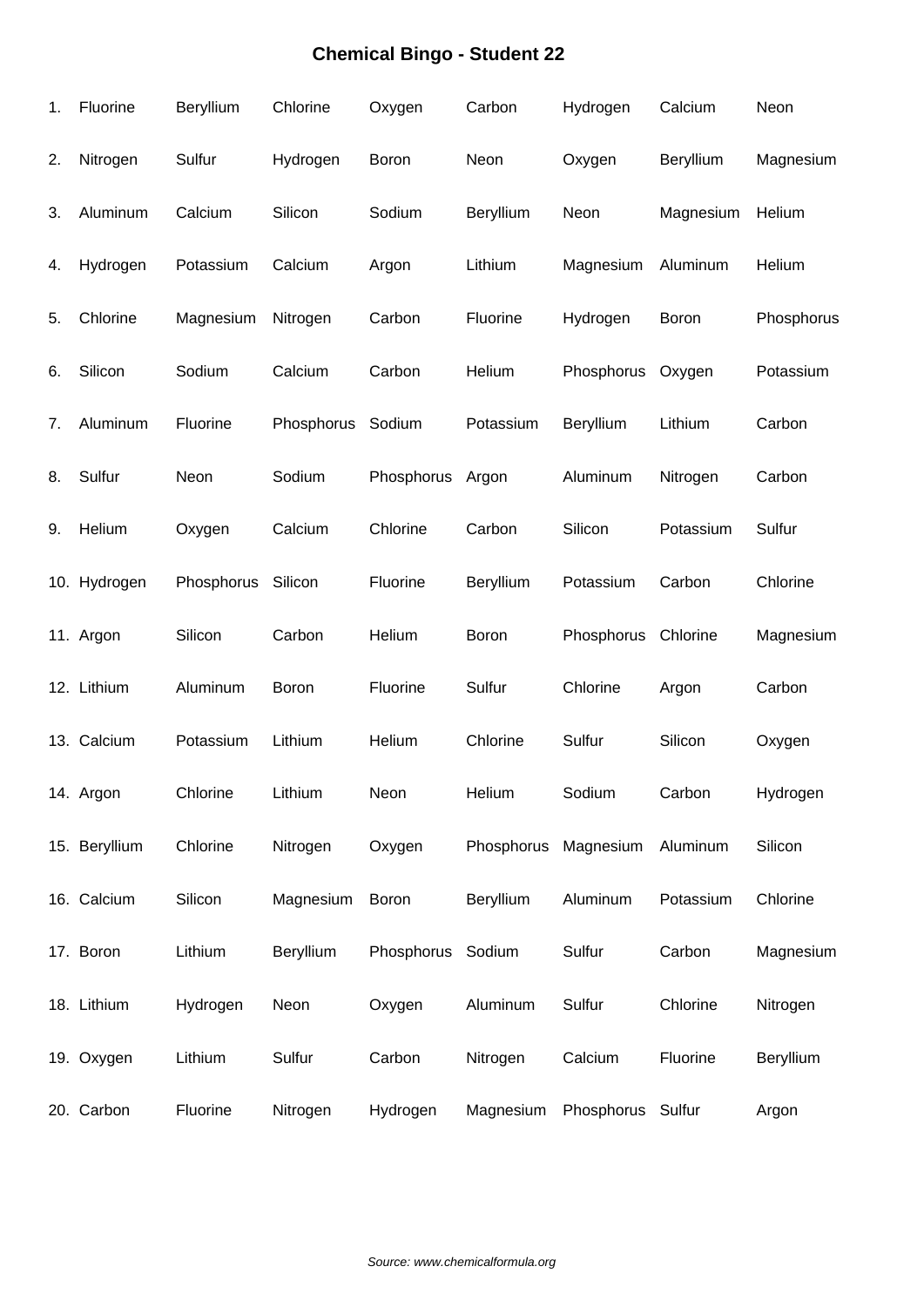| 1. | Fluorine      | Beryllium  | Chlorine   | Oxygen            | Carbon           | Hydrogen          | Calcium   | Neon       |
|----|---------------|------------|------------|-------------------|------------------|-------------------|-----------|------------|
| 2. | Nitrogen      | Sulfur     | Hydrogen   | Boron             | Neon             | Oxygen            | Beryllium | Magnesium  |
| 3. | Aluminum      | Calcium    | Silicon    | Sodium            | <b>Beryllium</b> | Neon              | Magnesium | Helium     |
| 4. | Hydrogen      | Potassium  | Calcium    | Argon             | Lithium          | Magnesium         | Aluminum  | Helium     |
| 5. | Chlorine      | Magnesium  | Nitrogen   | Carbon            | Fluorine         | Hydrogen          | Boron     | Phosphorus |
| 6. | Silicon       | Sodium     | Calcium    | Carbon            | Helium           | Phosphorus        | Oxygen    | Potassium  |
| 7. | Aluminum      | Fluorine   | Phosphorus | Sodium            | Potassium        | Beryllium         | Lithium   | Carbon     |
| 8. | Sulfur        | Neon       | Sodium     | Phosphorus        | Argon            | Aluminum          | Nitrogen  | Carbon     |
| 9. | Helium        | Oxygen     | Calcium    | Chlorine          | Carbon           | Silicon           | Potassium | Sulfur     |
|    | 10. Hydrogen  | Phosphorus | Silicon    | Fluorine          | Beryllium        | Potassium         | Carbon    | Chlorine   |
|    | 11. Argon     | Silicon    | Carbon     | Helium            | Boron            | Phosphorus        | Chlorine  | Magnesium  |
|    | 12. Lithium   | Aluminum   | Boron      | Fluorine          | Sulfur           | Chlorine          | Argon     | Carbon     |
|    | 13. Calcium   | Potassium  | Lithium    | Helium            | Chlorine         | Sulfur            | Silicon   | Oxygen     |
|    | 14. Argon     | Chlorine   | Lithium    | Neon              | Helium           | Sodium            | Carbon    | Hydrogen   |
|    | 15. Beryllium | Chlorine   | Nitrogen   | Oxygen            | Phosphorus       | Magnesium         | Aluminum  | Silicon    |
|    | 16. Calcium   | Silicon    | Magnesium  | Boron             | <b>Beryllium</b> | Aluminum          | Potassium | Chlorine   |
|    | 17. Boron     | Lithium    | Beryllium  | Phosphorus Sodium |                  | Sulfur            | Carbon    | Magnesium  |
|    | 18. Lithium   | Hydrogen   | Neon       | Oxygen            | Aluminum         | Sulfur            | Chlorine  | Nitrogen   |
|    | 19. Oxygen    | Lithium    | Sulfur     | Carbon            | Nitrogen         | Calcium           | Fluorine  | Beryllium  |
|    | 20. Carbon    | Fluorine   | Nitrogen   | Hydrogen          | Magnesium        | Phosphorus Sulfur |           | Argon      |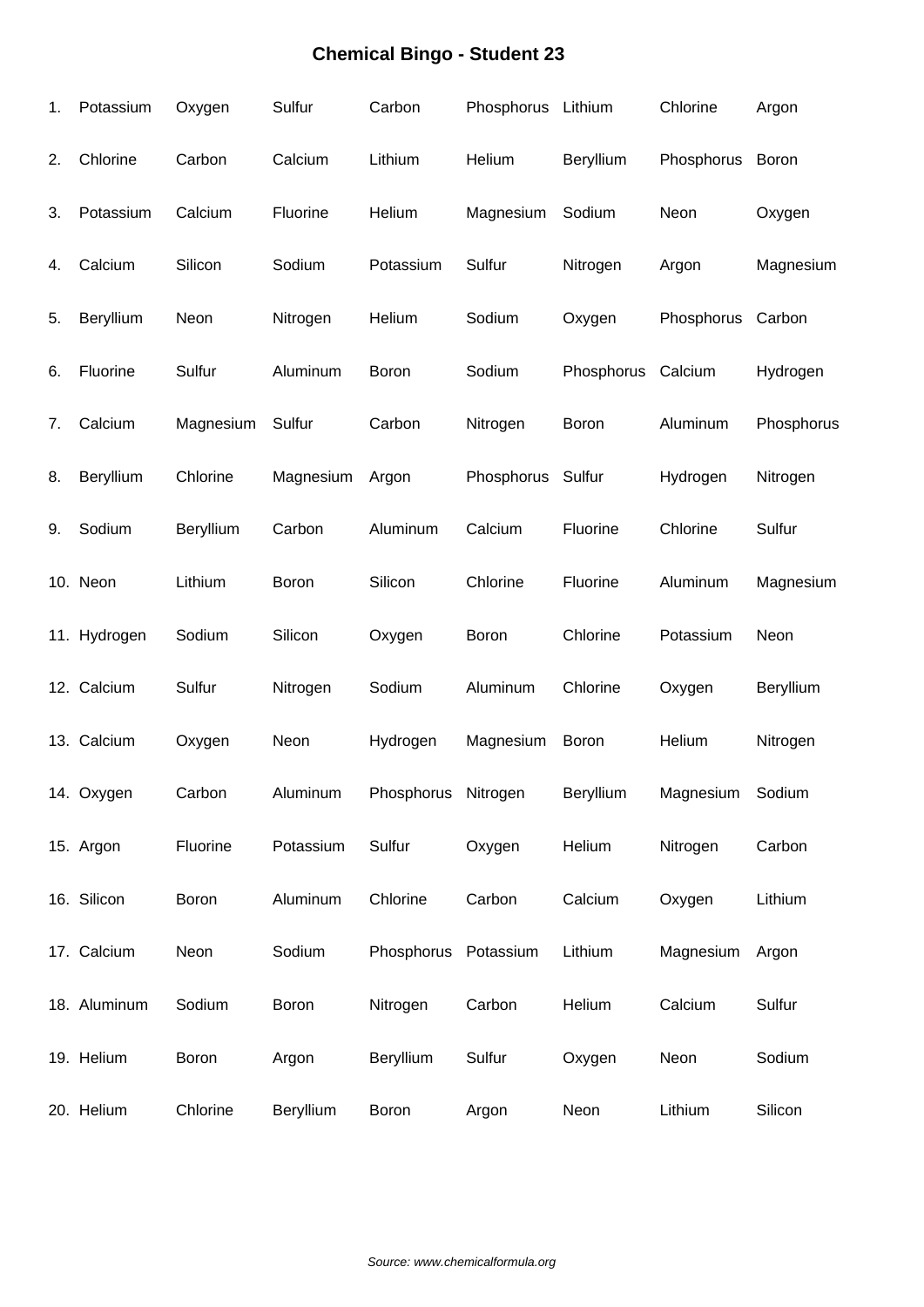| 1. | Potassium    | Oxygen    | Sulfur    | Carbon               | Phosphorus Lithium |              | Chlorine   | Argon        |
|----|--------------|-----------|-----------|----------------------|--------------------|--------------|------------|--------------|
| 2. | Chlorine     | Carbon    | Calcium   | Lithium              | Helium             | Beryllium    | Phosphorus | <b>Boron</b> |
| 3. | Potassium    | Calcium   | Fluorine  | Helium               | Magnesium          | Sodium       | Neon       | Oxygen       |
| 4. | Calcium      | Silicon   | Sodium    | Potassium            | Sulfur             | Nitrogen     | Argon      | Magnesium    |
| 5. | Beryllium    | Neon      | Nitrogen  | Helium               | Sodium             | Oxygen       | Phosphorus | Carbon       |
| 6. | Fluorine     | Sulfur    | Aluminum  | Boron                | Sodium             | Phosphorus   | Calcium    | Hydrogen     |
| 7. | Calcium      | Magnesium | Sulfur    | Carbon               | Nitrogen           | Boron        | Aluminum   | Phosphorus   |
| 8. | Beryllium    | Chlorine  | Magnesium | Argon                | Phosphorus         | Sulfur       | Hydrogen   | Nitrogen     |
| 9. | Sodium       | Beryllium | Carbon    | Aluminum             | Calcium            | Fluorine     | Chlorine   | Sulfur       |
|    | 10. Neon     | Lithium   | Boron     | Silicon              | Chlorine           | Fluorine     | Aluminum   | Magnesium    |
|    | 11. Hydrogen | Sodium    | Silicon   | Oxygen               | Boron              | Chlorine     | Potassium  | Neon         |
|    | 12. Calcium  | Sulfur    | Nitrogen  | Sodium               | Aluminum           | Chlorine     | Oxygen     | Beryllium    |
|    | 13. Calcium  | Oxygen    | Neon      | Hydrogen             | Magnesium          | <b>Boron</b> | Helium     | Nitrogen     |
|    | 14. Oxygen   | Carbon    | Aluminum  | Phosphorus Nitrogen  |                    | Beryllium    | Magnesium  | Sodium       |
|    | 15. Argon    | Fluorine  | Potassium | Sulfur               | Oxygen             | Helium       | Nitrogen   | Carbon       |
|    | 16. Silicon  | Boron     | Aluminum  | Chlorine             | Carbon             | Calcium      | Oxygen     | Lithium      |
|    | 17. Calcium  | Neon      | Sodium    | Phosphorus Potassium |                    | Lithium      | Magnesium  | Argon        |
|    | 18. Aluminum | Sodium    | Boron     | Nitrogen             | Carbon             | Helium       | Calcium    | Sulfur       |
|    | 19. Helium   | Boron     | Argon     | Beryllium            | Sulfur             | Oxygen       | Neon       | Sodium       |
|    | 20. Helium   | Chlorine  | Beryllium | Boron                | Argon              | Neon         | Lithium    | Silicon      |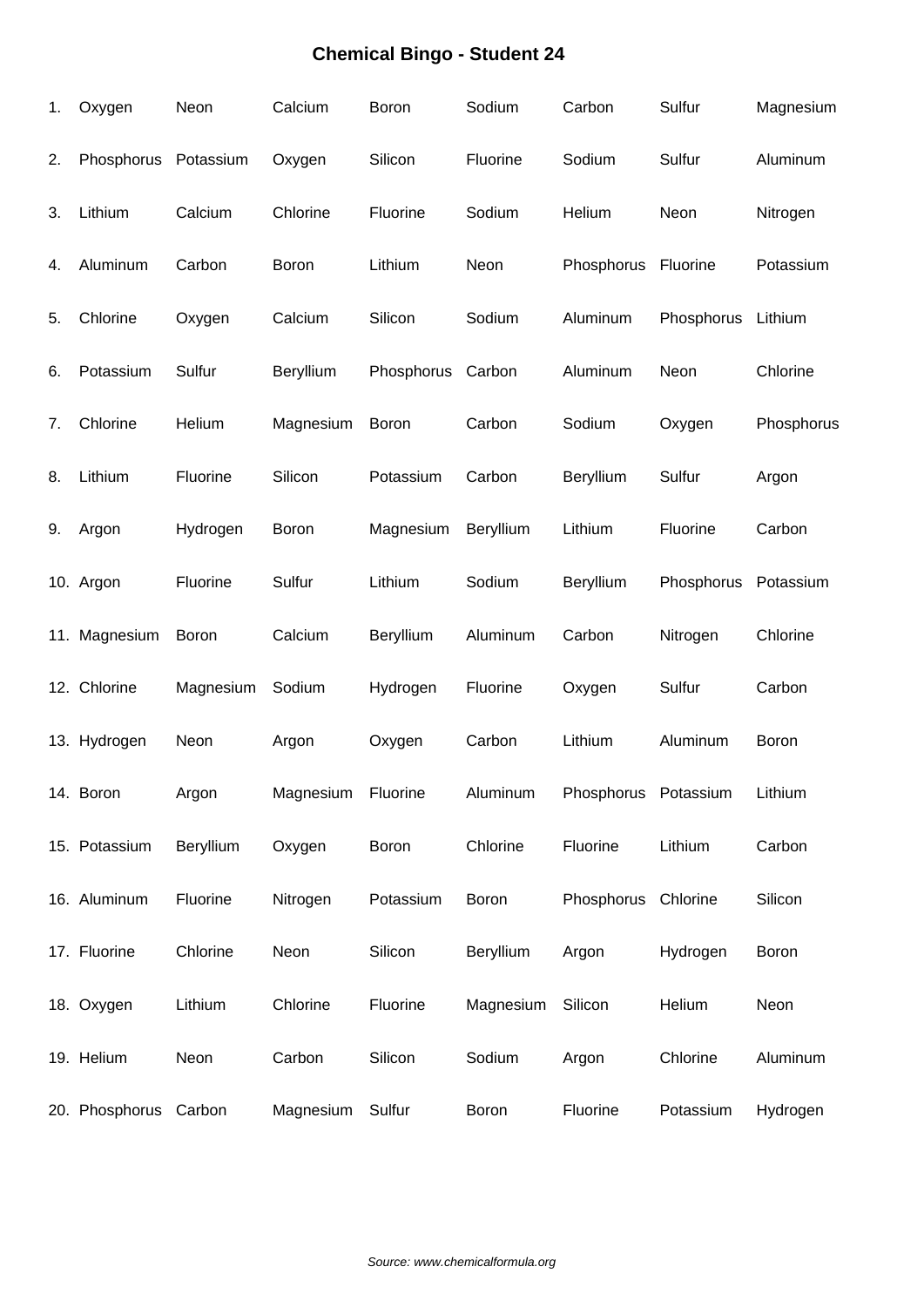| 1. | Oxygen                | Neon      | Calcium   | Boron      | Sodium           | Carbon               | Sulfur     | Magnesium  |
|----|-----------------------|-----------|-----------|------------|------------------|----------------------|------------|------------|
| 2. | Phosphorus            | Potassium | Oxygen    | Silicon    | Fluorine         | Sodium               | Sulfur     | Aluminum   |
| 3. | Lithium               | Calcium   | Chlorine  | Fluorine   | Sodium           | Helium               | Neon       | Nitrogen   |
| 4. | Aluminum              | Carbon    | Boron     | Lithium    | Neon             | Phosphorus Fluorine  |            | Potassium  |
| 5. | Chlorine              | Oxygen    | Calcium   | Silicon    | Sodium           | Aluminum             | Phosphorus | Lithium    |
| 6. | Potassium             | Sulfur    | Beryllium | Phosphorus | Carbon           | Aluminum             | Neon       | Chlorine   |
| 7. | Chlorine              | Helium    | Magnesium | Boron      | Carbon           | Sodium               | Oxygen     | Phosphorus |
| 8. | Lithium               | Fluorine  | Silicon   | Potassium  | Carbon           | Beryllium            | Sulfur     | Argon      |
| 9. | Argon                 | Hydrogen  | Boron     | Magnesium  | Beryllium        | Lithium              | Fluorine   | Carbon     |
|    | 10. Argon             | Fluorine  | Sulfur    | Lithium    | Sodium           | Beryllium            | Phosphorus | Potassium  |
|    | 11. Magnesium         | Boron     | Calcium   | Beryllium  | Aluminum         | Carbon               | Nitrogen   | Chlorine   |
|    | 12. Chlorine          | Magnesium | Sodium    | Hydrogen   | Fluorine         | Oxygen               | Sulfur     | Carbon     |
|    | 13. Hydrogen          | Neon      | Argon     | Oxygen     | Carbon           | Lithium              | Aluminum   | Boron      |
|    | 14. Boron             | Argon     | Magnesium | Fluorine   | Aluminum         | Phosphorus Potassium |            | Lithium    |
|    | 15. Potassium         | Beryllium | Oxygen    | Boron      | Chlorine         | Fluorine             | Lithium    | Carbon     |
|    | 16. Aluminum          | Fluorine  | Nitrogen  | Potassium  | <b>Boron</b>     | Phosphorus Chlorine  |            | Silicon    |
|    | 17. Fluorine          | Chlorine  | Neon      | Silicon    | <b>Beryllium</b> | Argon                | Hydrogen   | Boron      |
|    | 18. Oxygen            | Lithium   | Chlorine  | Fluorine   | Magnesium        | Silicon              | Helium     | Neon       |
|    | 19. Helium            | Neon      | Carbon    | Silicon    | Sodium           | Argon                | Chlorine   | Aluminum   |
|    | 20. Phosphorus Carbon |           | Magnesium | Sulfur     | Boron            | Fluorine             | Potassium  | Hydrogen   |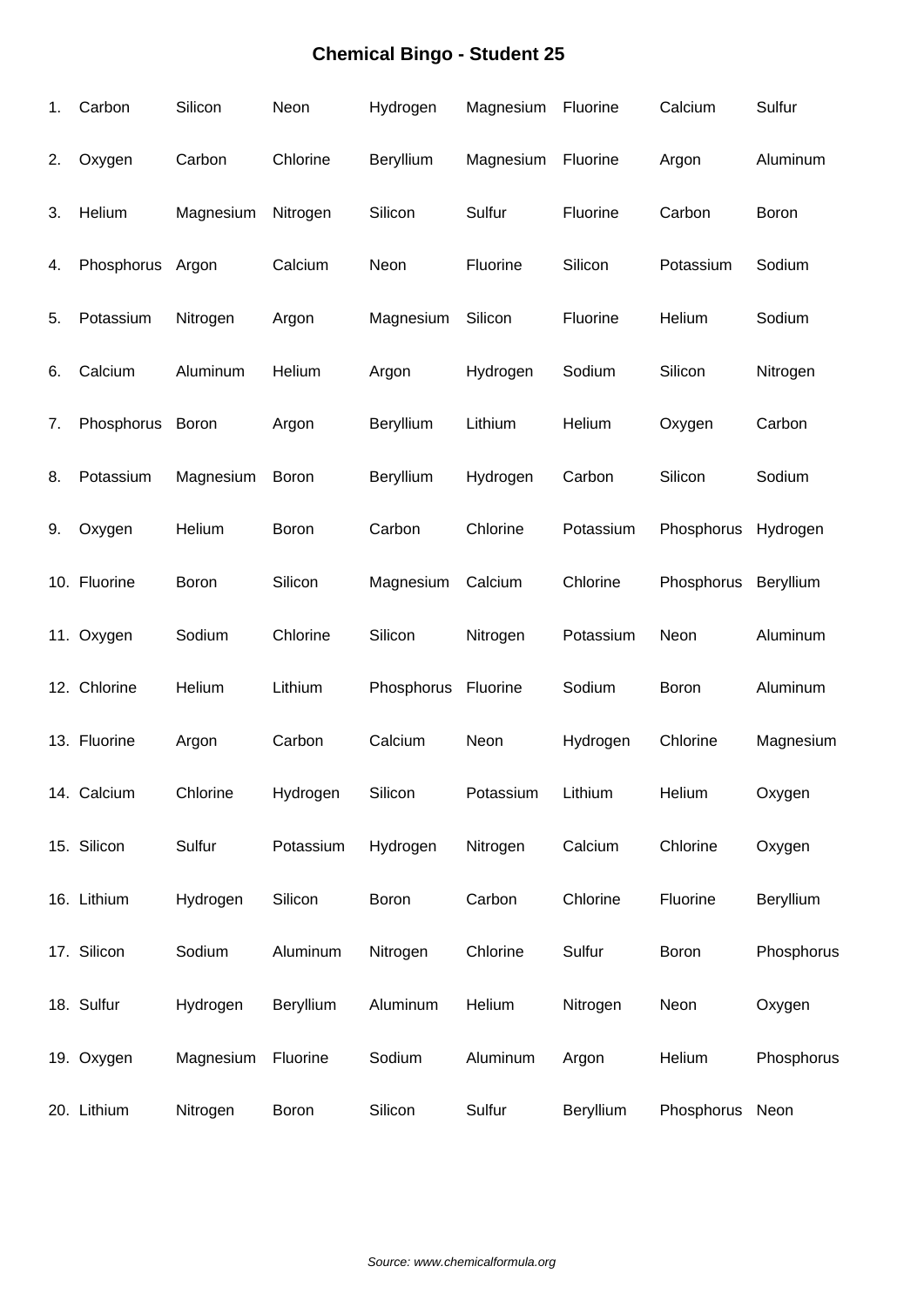| 1. | Carbon       | Silicon      | Neon         | Hydrogen   | Magnesium | Fluorine  | Calcium    | Sulfur     |
|----|--------------|--------------|--------------|------------|-----------|-----------|------------|------------|
| 2. | Oxygen       | Carbon       | Chlorine     | Beryllium  | Magnesium | Fluorine  | Argon      | Aluminum   |
| 3. | Helium       | Magnesium    | Nitrogen     | Silicon    | Sulfur    | Fluorine  | Carbon     | Boron      |
| 4. | Phosphorus   | Argon        | Calcium      | Neon       | Fluorine  | Silicon   | Potassium  | Sodium     |
| 5. | Potassium    | Nitrogen     | Argon        | Magnesium  | Silicon   | Fluorine  | Helium     | Sodium     |
| 6. | Calcium      | Aluminum     | Helium       | Argon      | Hydrogen  | Sodium    | Silicon    | Nitrogen   |
| 7. | Phosphorus   | <b>Boron</b> | Argon        | Beryllium  | Lithium   | Helium    | Oxygen     | Carbon     |
| 8. | Potassium    | Magnesium    | <b>Boron</b> | Beryllium  | Hydrogen  | Carbon    | Silicon    | Sodium     |
| 9. | Oxygen       | Helium       | <b>Boron</b> | Carbon     | Chlorine  | Potassium | Phosphorus | Hydrogen   |
|    | 10. Fluorine | Boron        | Silicon      | Magnesium  | Calcium   | Chlorine  | Phosphorus | Beryllium  |
|    | 11. Oxygen   | Sodium       | Chlorine     | Silicon    | Nitrogen  | Potassium | Neon       | Aluminum   |
|    | 12. Chlorine | Helium       | Lithium      | Phosphorus | Fluorine  | Sodium    | Boron      | Aluminum   |
|    | 13. Fluorine | Argon        | Carbon       | Calcium    | Neon      | Hydrogen  | Chlorine   | Magnesium  |
|    | 14. Calcium  | Chlorine     | Hydrogen     | Silicon    | Potassium | Lithium   | Helium     | Oxygen     |
|    | 15. Silicon  | Sulfur       | Potassium    | Hydrogen   | Nitrogen  | Calcium   | Chlorine   | Oxygen     |
|    | 16. Lithium  | Hydrogen     | Silicon      | Boron      | Carbon    | Chlorine  | Fluorine   | Beryllium  |
|    | 17. Silicon  | Sodium       | Aluminum     | Nitrogen   | Chlorine  | Sulfur    | Boron      | Phosphorus |
|    | 18. Sulfur   | Hydrogen     | Beryllium    | Aluminum   | Helium    | Nitrogen  | Neon       | Oxygen     |
|    | 19. Oxygen   | Magnesium    | Fluorine     | Sodium     | Aluminum  | Argon     | Helium     | Phosphorus |
|    | 20. Lithium  | Nitrogen     | <b>Boron</b> | Silicon    | Sulfur    | Beryllium | Phosphorus | Neon       |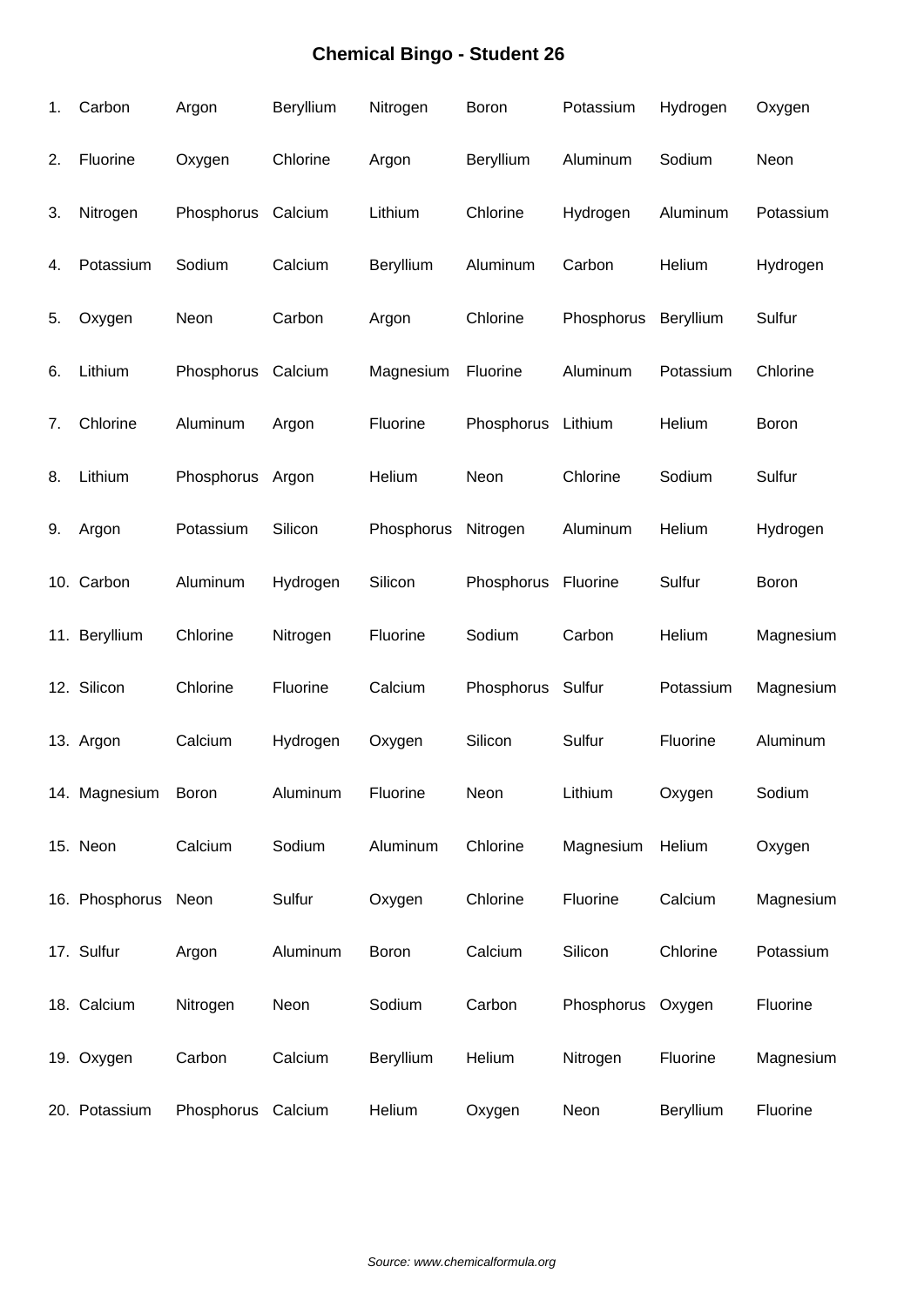| 1. | Carbon              | Argon      | Beryllium | Nitrogen     | Boron            | Potassium  | Hydrogen  | Oxygen    |
|----|---------------------|------------|-----------|--------------|------------------|------------|-----------|-----------|
| 2. | Fluorine            | Oxygen     | Chlorine  | Argon        | <b>Beryllium</b> | Aluminum   | Sodium    | Neon      |
| 3. | Nitrogen            | Phosphorus | Calcium   | Lithium      | Chlorine         | Hydrogen   | Aluminum  | Potassium |
| 4. | Potassium           | Sodium     | Calcium   | Beryllium    | Aluminum         | Carbon     | Helium    | Hydrogen  |
| 5. | Oxygen              | Neon       | Carbon    | Argon        | Chlorine         | Phosphorus | Beryllium | Sulfur    |
| 6. | Lithium             | Phosphorus | Calcium   | Magnesium    | Fluorine         | Aluminum   | Potassium | Chlorine  |
| 7. | Chlorine            | Aluminum   | Argon     | Fluorine     | Phosphorus       | Lithium    | Helium    | Boron     |
| 8. | Lithium             | Phosphorus | Argon     | Helium       | Neon             | Chlorine   | Sodium    | Sulfur    |
| 9. | Argon               | Potassium  | Silicon   | Phosphorus   | Nitrogen         | Aluminum   | Helium    | Hydrogen  |
|    | 10. Carbon          | Aluminum   | Hydrogen  | Silicon      | Phosphorus       | Fluorine   | Sulfur    | Boron     |
|    | 11. Beryllium       | Chlorine   | Nitrogen  | Fluorine     | Sodium           | Carbon     | Helium    | Magnesium |
|    | 12. Silicon         | Chlorine   | Fluorine  | Calcium      | Phosphorus       | Sulfur     | Potassium | Magnesium |
|    | 13. Argon           | Calcium    | Hydrogen  | Oxygen       | Silicon          | Sulfur     | Fluorine  | Aluminum  |
|    | 14. Magnesium       | Boron      | Aluminum  | Fluorine     | Neon             | Lithium    | Oxygen    | Sodium    |
|    | 15. Neon            | Calcium    | Sodium    | Aluminum     | Chlorine         | Magnesium  | Helium    | Oxygen    |
|    | 16. Phosphorus Neon |            | Sulfur    | Oxygen       | Chlorine         | Fluorine   | Calcium   | Magnesium |
|    | 17. Sulfur          | Argon      | Aluminum  | <b>Boron</b> | Calcium          | Silicon    | Chlorine  | Potassium |
|    | 18. Calcium         | Nitrogen   | Neon      | Sodium       | Carbon           | Phosphorus | Oxygen    | Fluorine  |
|    | 19. Oxygen          | Carbon     | Calcium   | Beryllium    | Helium           | Nitrogen   | Fluorine  | Magnesium |
|    | 20. Potassium       | Phosphorus | Calcium   | Helium       | Oxygen           | Neon       | Beryllium | Fluorine  |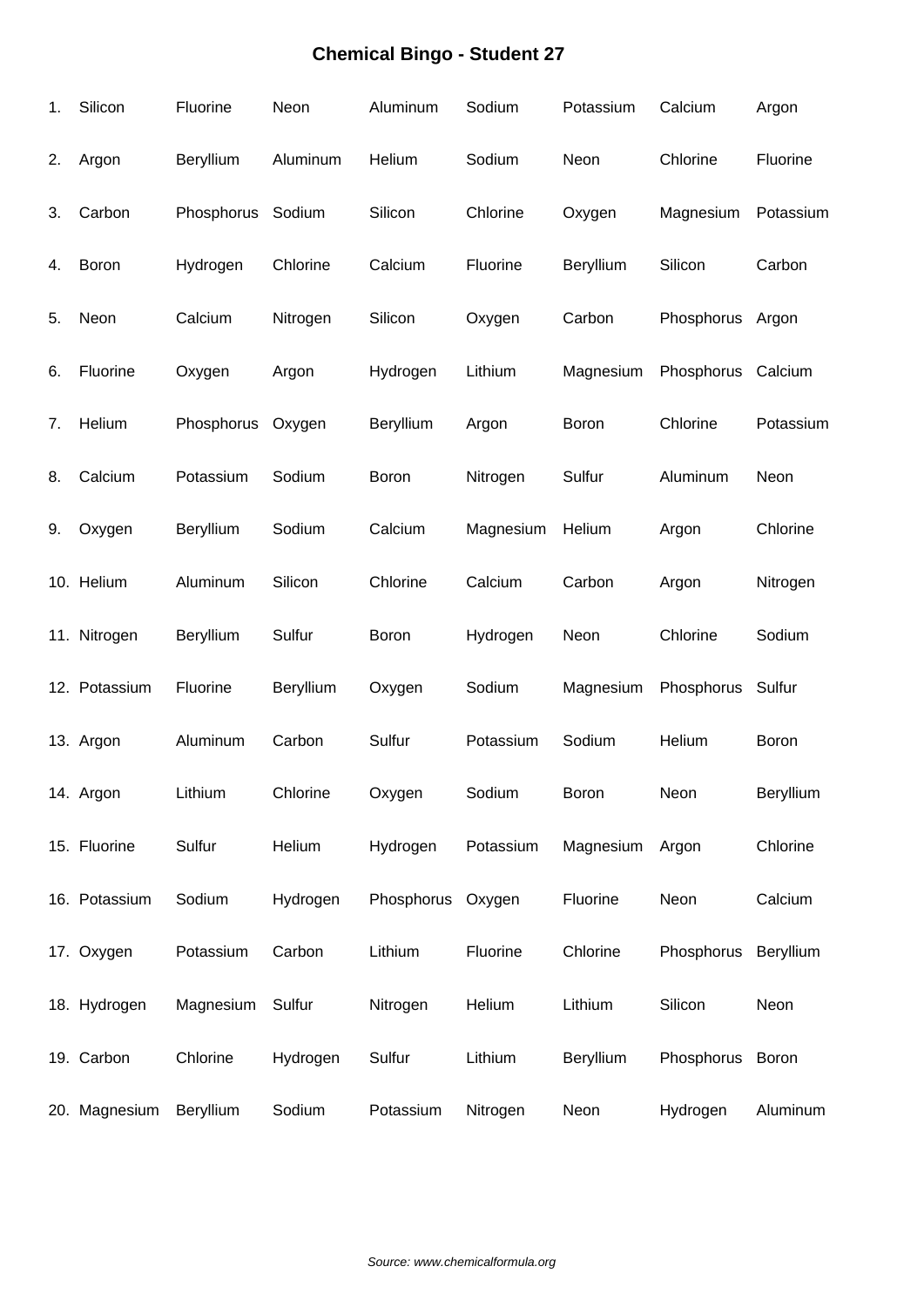| 1. | Silicon       | Fluorine          | Neon      | Aluminum          | Sodium    | Potassium | Calcium          | Argon     |
|----|---------------|-------------------|-----------|-------------------|-----------|-----------|------------------|-----------|
| 2. | Argon         | Beryllium         | Aluminum  | Helium            | Sodium    | Neon      | Chlorine         | Fluorine  |
| 3. | Carbon        | Phosphorus Sodium |           | Silicon           | Chlorine  | Oxygen    | Magnesium        | Potassium |
| 4. | Boron         | Hydrogen          | Chlorine  | Calcium           | Fluorine  | Beryllium | Silicon          | Carbon    |
| 5. | Neon          | Calcium           | Nitrogen  | Silicon           | Oxygen    | Carbon    | Phosphorus       | Argon     |
| 6. | Fluorine      | Oxygen            | Argon     | Hydrogen          | Lithium   | Magnesium | Phosphorus       | Calcium   |
| 7. | Helium        | Phosphorus        | Oxygen    | Beryllium         | Argon     | Boron     | Chlorine         | Potassium |
| 8. | Calcium       | Potassium         | Sodium    | Boron             | Nitrogen  | Sulfur    | Aluminum         | Neon      |
| 9. | Oxygen        | Beryllium         | Sodium    | Calcium           | Magnesium | Helium    | Argon            | Chlorine  |
|    | 10. Helium    | Aluminum          | Silicon   | Chlorine          | Calcium   | Carbon    | Argon            | Nitrogen  |
|    | 11. Nitrogen  | Beryllium         | Sulfur    | Boron             | Hydrogen  | Neon      | Chlorine         | Sodium    |
|    | 12. Potassium | Fluorine          | Beryllium | Oxygen            | Sodium    | Magnesium | Phosphorus       | Sulfur    |
|    | 13. Argon     | Aluminum          | Carbon    | Sulfur            | Potassium | Sodium    | Helium           | Boron     |
|    | 14. Argon     | Lithium           | Chlorine  | Oxygen            | Sodium    | Boron     | Neon             | Beryllium |
|    | 15. Fluorine  | Sulfur            | Helium    | Hydrogen          | Potassium | Magnesium | Argon            | Chlorine  |
|    | 16. Potassium | Sodium            | Hydrogen  | Phosphorus Oxygen |           | Fluorine  | Neon             | Calcium   |
|    | 17. Oxygen    | Potassium         | Carbon    | Lithium           | Fluorine  | Chlorine  | Phosphorus       | Beryllium |
|    | 18. Hydrogen  | Magnesium         | Sulfur    | Nitrogen          | Helium    | Lithium   | Silicon          | Neon      |
|    | 19. Carbon    | Chlorine          | Hydrogen  | Sulfur            | Lithium   | Beryllium | Phosphorus Boron |           |
|    | 20. Magnesium | Beryllium         | Sodium    | Potassium         | Nitrogen  | Neon      | Hydrogen         | Aluminum  |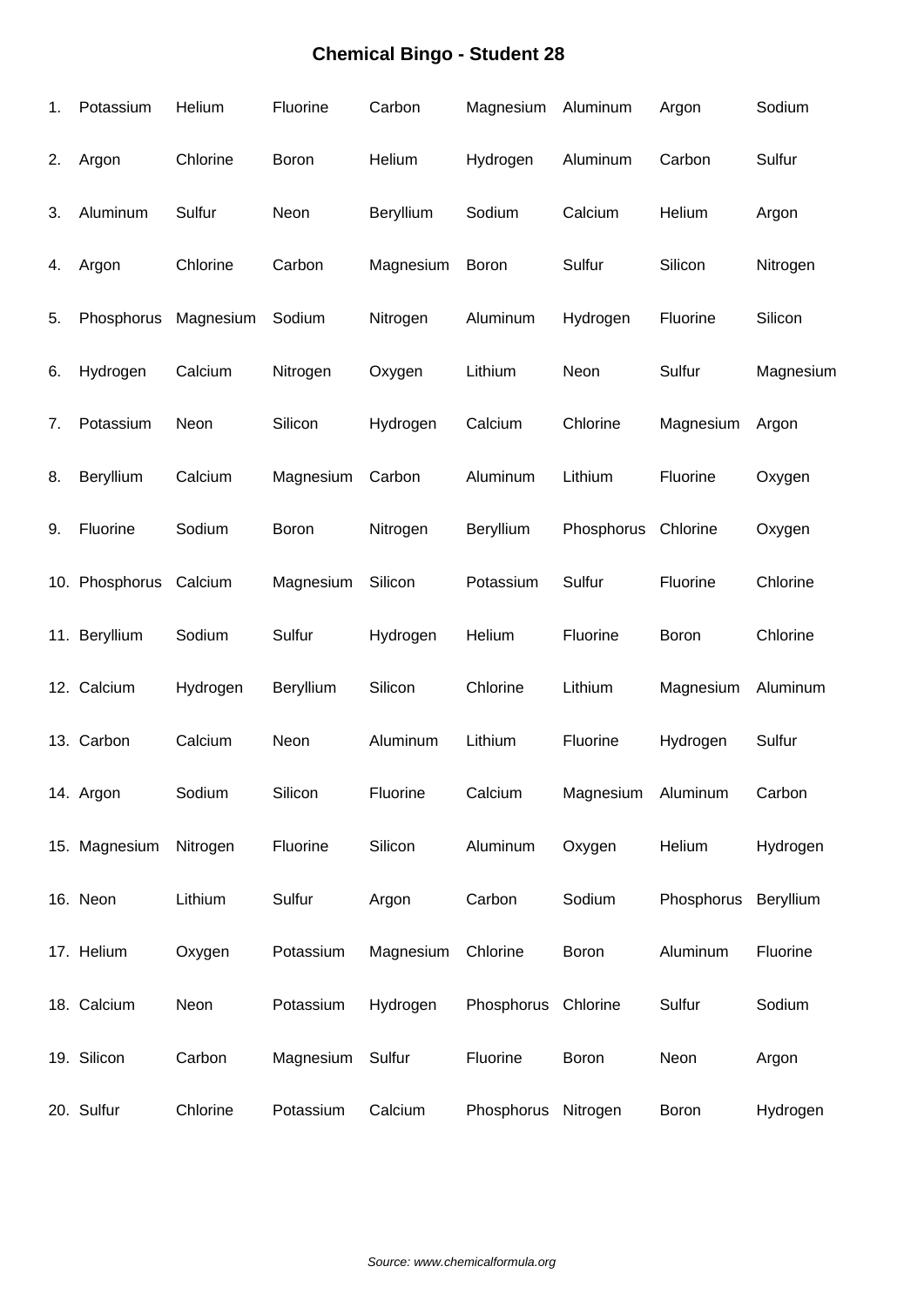| 1. | Potassium      | Helium    | Fluorine  | Carbon    | Magnesium  | Aluminum           | Argon        | Sodium    |
|----|----------------|-----------|-----------|-----------|------------|--------------------|--------------|-----------|
| 2. | Argon          | Chlorine  | Boron     | Helium    | Hydrogen   | Aluminum           | Carbon       | Sulfur    |
| 3. | Aluminum       | Sulfur    | Neon      | Beryllium | Sodium     | Calcium            | Helium       | Argon     |
| 4. | Argon          | Chlorine  | Carbon    | Magnesium | Boron      | Sulfur             | Silicon      | Nitrogen  |
| 5. | Phosphorus     | Magnesium | Sodium    | Nitrogen  | Aluminum   | Hydrogen           | Fluorine     | Silicon   |
| 6. | Hydrogen       | Calcium   | Nitrogen  | Oxygen    | Lithium    | Neon               | Sulfur       | Magnesium |
| 7. | Potassium      | Neon      | Silicon   | Hydrogen  | Calcium    | Chlorine           | Magnesium    | Argon     |
| 8. | Beryllium      | Calcium   | Magnesium | Carbon    | Aluminum   | Lithium            | Fluorine     | Oxygen    |
| 9. | Fluorine       | Sodium    | Boron     | Nitrogen  | Beryllium  | Phosphorus         | Chlorine     | Oxygen    |
|    | 10. Phosphorus | Calcium   | Magnesium | Silicon   | Potassium  | Sulfur             | Fluorine     | Chlorine  |
|    | 11. Beryllium  | Sodium    | Sulfur    | Hydrogen  | Helium     | Fluorine           | Boron        | Chlorine  |
|    | 12. Calcium    | Hydrogen  | Beryllium | Silicon   | Chlorine   | Lithium            | Magnesium    | Aluminum  |
|    | 13. Carbon     | Calcium   | Neon      | Aluminum  | Lithium    | Fluorine           | Hydrogen     | Sulfur    |
|    | 14. Argon      | Sodium    | Silicon   | Fluorine  | Calcium    | Magnesium Aluminum |              | Carbon    |
|    | 15. Magnesium  | Nitrogen  | Fluorine  | Silicon   | Aluminum   | Oxygen             | Helium       | Hydrogen  |
|    | 16. Neon       | Lithium   | Sulfur    | Argon     | Carbon     | Sodium             | Phosphorus   | Beryllium |
|    | 17. Helium     | Oxygen    | Potassium | Magnesium | Chlorine   | Boron              | Aluminum     | Fluorine  |
|    | 18. Calcium    | Neon      | Potassium | Hydrogen  | Phosphorus | Chlorine           | Sulfur       | Sodium    |
|    | 19. Silicon    | Carbon    | Magnesium | Sulfur    | Fluorine   | <b>Boron</b>       | Neon         | Argon     |
|    | 20. Sulfur     | Chlorine  | Potassium | Calcium   | Phosphorus | Nitrogen           | <b>Boron</b> | Hydrogen  |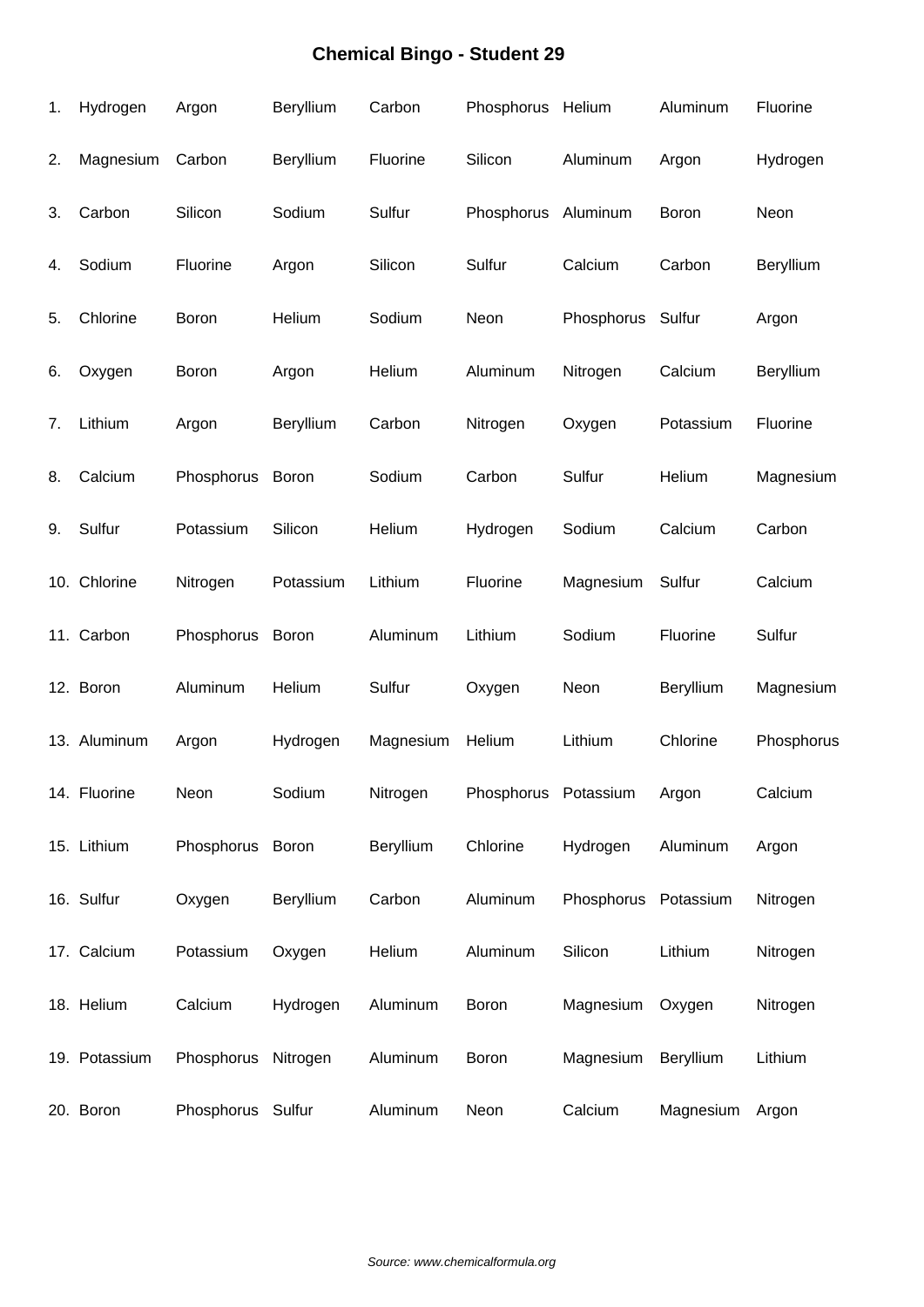| 1. | Hydrogen      | Argon             | Beryllium | Carbon    | Phosphorus Helium    |                      | Aluminum  | Fluorine   |
|----|---------------|-------------------|-----------|-----------|----------------------|----------------------|-----------|------------|
| 2. | Magnesium     | Carbon            | Beryllium | Fluorine  | Silicon              | Aluminum             | Argon     | Hydrogen   |
| 3. | Carbon        | Silicon           | Sodium    | Sulfur    | Phosphorus           | Aluminum             | Boron     | Neon       |
| 4. | Sodium        | Fluorine          | Argon     | Silicon   | Sulfur               | Calcium              | Carbon    | Beryllium  |
| 5. | Chlorine      | Boron             | Helium    | Sodium    | Neon                 | Phosphorus Sulfur    |           | Argon      |
| 6. | Oxygen        | Boron             | Argon     | Helium    | Aluminum             | Nitrogen             | Calcium   | Beryllium  |
| 7. | Lithium       | Argon             | Beryllium | Carbon    | Nitrogen             | Oxygen               | Potassium | Fluorine   |
| 8. | Calcium       | Phosphorus        | Boron     | Sodium    | Carbon               | Sulfur               | Helium    | Magnesium  |
| 9. | Sulfur        | Potassium         | Silicon   | Helium    | Hydrogen             | Sodium               | Calcium   | Carbon     |
|    | 10. Chlorine  | Nitrogen          | Potassium | Lithium   | Fluorine             | Magnesium            | Sulfur    | Calcium    |
|    | 11. Carbon    | Phosphorus        | Boron     | Aluminum  | Lithium              | Sodium               | Fluorine  | Sulfur     |
|    | 12. Boron     | Aluminum          | Helium    | Sulfur    | Oxygen               | Neon                 | Beryllium | Magnesium  |
|    | 13. Aluminum  | Argon             | Hydrogen  | Magnesium | Helium               | Lithium              | Chlorine  | Phosphorus |
|    | 14. Fluorine  | Neon              | Sodium    | Nitrogen  | Phosphorus Potassium |                      | Argon     | Calcium    |
|    | 15. Lithium   | Phosphorus        | Boron     | Beryllium | Chlorine             | Hydrogen             | Aluminum  | Argon      |
|    | 16. Sulfur    | Oxygen            | Beryllium | Carbon    | Aluminum             | Phosphorus Potassium |           | Nitrogen   |
|    | 17. Calcium   | Potassium         | Oxygen    | Helium    | Aluminum             | Silicon              | Lithium   | Nitrogen   |
|    | 18. Helium    | Calcium           | Hydrogen  | Aluminum  | Boron                | Magnesium            | Oxygen    | Nitrogen   |
|    | 19. Potassium | Phosphorus        | Nitrogen  | Aluminum  | Boron                | Magnesium            | Beryllium | Lithium    |
|    | 20. Boron     | Phosphorus Sulfur |           | Aluminum  | Neon                 | Calcium              | Magnesium | Argon      |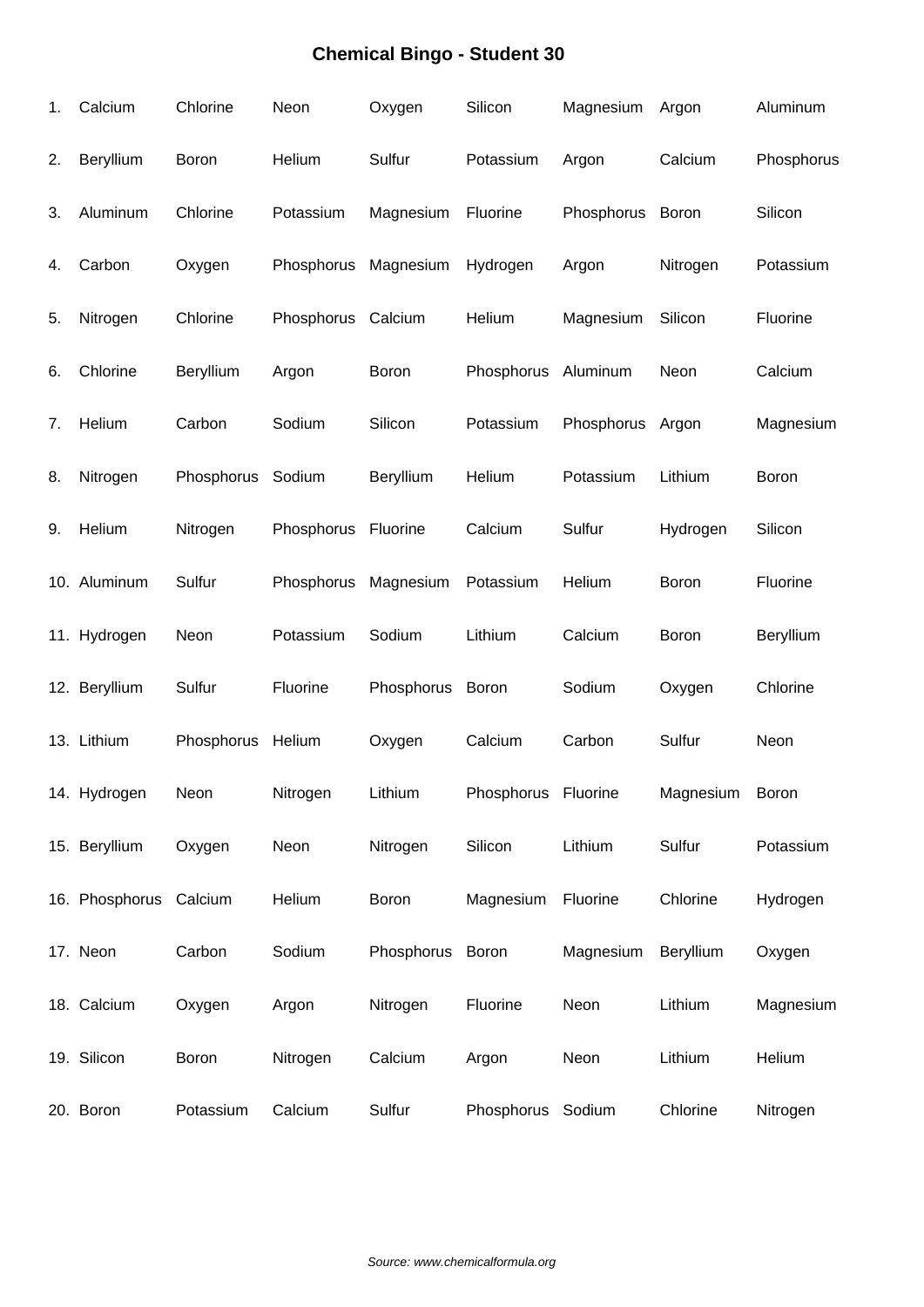| 1. | Calcium                | Chlorine   | Neon       | Oxygen       | Silicon             | Magnesium        | Argon     | Aluminum     |
|----|------------------------|------------|------------|--------------|---------------------|------------------|-----------|--------------|
| 2. | Beryllium              | Boron      | Helium     | Sulfur       | Potassium           | Argon            | Calcium   | Phosphorus   |
| 3. | Aluminum               | Chlorine   | Potassium  | Magnesium    | Fluorine            | Phosphorus Boron |           | Silicon      |
| 4. | Carbon                 | Oxygen     | Phosphorus | Magnesium    | Hydrogen            | Argon            | Nitrogen  | Potassium    |
| 5. | Nitrogen               | Chlorine   | Phosphorus | Calcium      | Helium              | Magnesium        | Silicon   | Fluorine     |
| 6. | Chlorine               | Beryllium  | Argon      | <b>Boron</b> | Phosphorus          | Aluminum         | Neon      | Calcium      |
| 7. | Helium                 | Carbon     | Sodium     | Silicon      | Potassium           | Phosphorus       | Argon     | Magnesium    |
| 8. | Nitrogen               | Phosphorus | Sodium     | Beryllium    | Helium              | Potassium        | Lithium   | Boron        |
| 9. | Helium                 | Nitrogen   | Phosphorus | Fluorine     | Calcium             | Sulfur           | Hydrogen  | Silicon      |
|    | 10. Aluminum           | Sulfur     | Phosphorus | Magnesium    | Potassium           | Helium           | Boron     | Fluorine     |
|    | 11. Hydrogen           | Neon       | Potassium  | Sodium       | Lithium             | Calcium          | Boron     | Beryllium    |
|    | 12. Beryllium          | Sulfur     | Fluorine   | Phosphorus   | <b>Boron</b>        | Sodium           | Oxygen    | Chlorine     |
|    | 13. Lithium            | Phosphorus | Helium     | Oxygen       | Calcium             | Carbon           | Sulfur    | Neon         |
|    | 14. Hydrogen           | Neon       | Nitrogen   | Lithium      | Phosphorus Fluorine |                  | Magnesium | <b>Boron</b> |
|    | 15. Beryllium          | Oxygen     | Neon       | Nitrogen     | Silicon             | Lithium          | Sulfur    | Potassium    |
|    | 16. Phosphorus Calcium |            | Helium     | Boron        | Magnesium           | Fluorine         | Chlorine  | Hydrogen     |
|    | 17. Neon               | Carbon     | Sodium     | Phosphorus   | Boron               | Magnesium        | Beryllium | Oxygen       |
|    | 18. Calcium            | Oxygen     | Argon      | Nitrogen     | Fluorine            | Neon             | Lithium   | Magnesium    |
|    | 19. Silicon            | Boron      | Nitrogen   | Calcium      | Argon               | Neon             | Lithium   | Helium       |
|    | 20. Boron              | Potassium  | Calcium    | Sulfur       | Phosphorus          | Sodium           | Chlorine  | Nitrogen     |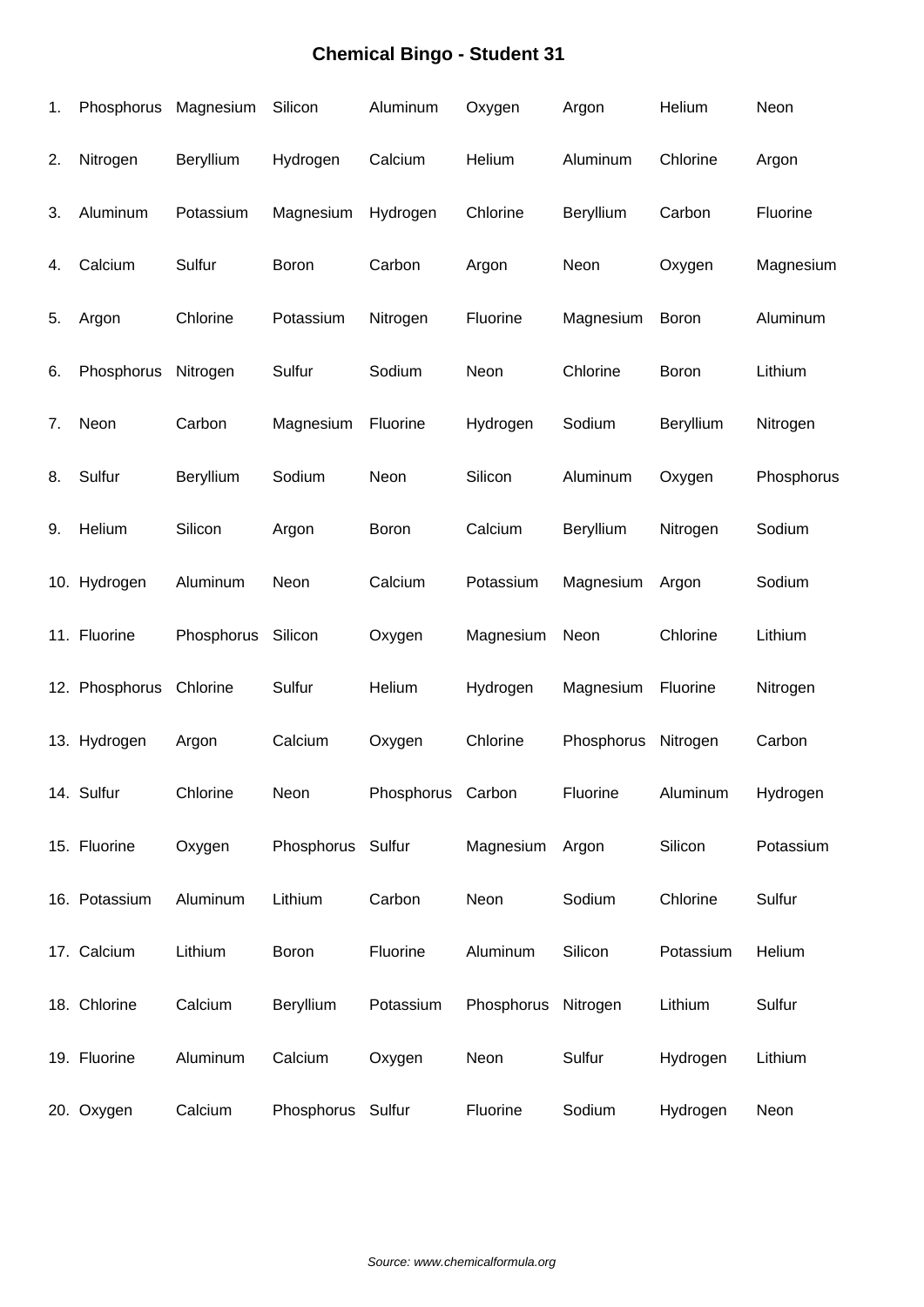| 1. | Phosphorus Magnesium |            | Silicon           | Aluminum          | Oxygen     | Argon      | Helium       | Neon       |
|----|----------------------|------------|-------------------|-------------------|------------|------------|--------------|------------|
| 2. | Nitrogen             | Beryllium  | Hydrogen          | Calcium           | Helium     | Aluminum   | Chlorine     | Argon      |
| 3. | Aluminum             | Potassium  | Magnesium         | Hydrogen          | Chlorine   | Beryllium  | Carbon       | Fluorine   |
| 4. | Calcium              | Sulfur     | <b>Boron</b>      | Carbon            | Argon      | Neon       | Oxygen       | Magnesium  |
| 5. | Argon                | Chlorine   | Potassium         | Nitrogen          | Fluorine   | Magnesium  | <b>Boron</b> | Aluminum   |
| 6. | Phosphorus           | Nitrogen   | Sulfur            | Sodium            | Neon       | Chlorine   | Boron        | Lithium    |
| 7. | Neon                 | Carbon     | Magnesium         | Fluorine          | Hydrogen   | Sodium     | Beryllium    | Nitrogen   |
| 8. | Sulfur               | Beryllium  | Sodium            | Neon              | Silicon    | Aluminum   | Oxygen       | Phosphorus |
| 9. | Helium               | Silicon    | Argon             | Boron             | Calcium    | Beryllium  | Nitrogen     | Sodium     |
|    | 10. Hydrogen         | Aluminum   | Neon              | Calcium           | Potassium  | Magnesium  | Argon        | Sodium     |
|    | 11. Fluorine         | Phosphorus | Silicon           | Oxygen            | Magnesium  | Neon       | Chlorine     | Lithium    |
|    | 12. Phosphorus       | Chlorine   | Sulfur            | Helium            | Hydrogen   | Magnesium  | Fluorine     | Nitrogen   |
|    | 13. Hydrogen         | Argon      | Calcium           | Oxygen            | Chlorine   | Phosphorus | Nitrogen     | Carbon     |
|    | 14. Sulfur           | Chlorine   | Neon              | Phosphorus Carbon |            | Fluorine   | Aluminum     | Hydrogen   |
|    | 15. Fluorine         | Oxygen     | Phosphorus Sulfur |                   | Magnesium  | Argon      | Silicon      | Potassium  |
|    | 16. Potassium        | Aluminum   | Lithium           | Carbon            | Neon       | Sodium     | Chlorine     | Sulfur     |
|    | 17. Calcium          | Lithium    | Boron             | Fluorine          | Aluminum   | Silicon    | Potassium    | Helium     |
|    | 18. Chlorine         | Calcium    | Beryllium         | Potassium         | Phosphorus | Nitrogen   | Lithium      | Sulfur     |
|    | 19. Fluorine         | Aluminum   | Calcium           | Oxygen            | Neon       | Sulfur     | Hydrogen     | Lithium    |
|    | 20. Oxygen           | Calcium    | Phosphorus Sulfur |                   | Fluorine   | Sodium     | Hydrogen     | Neon       |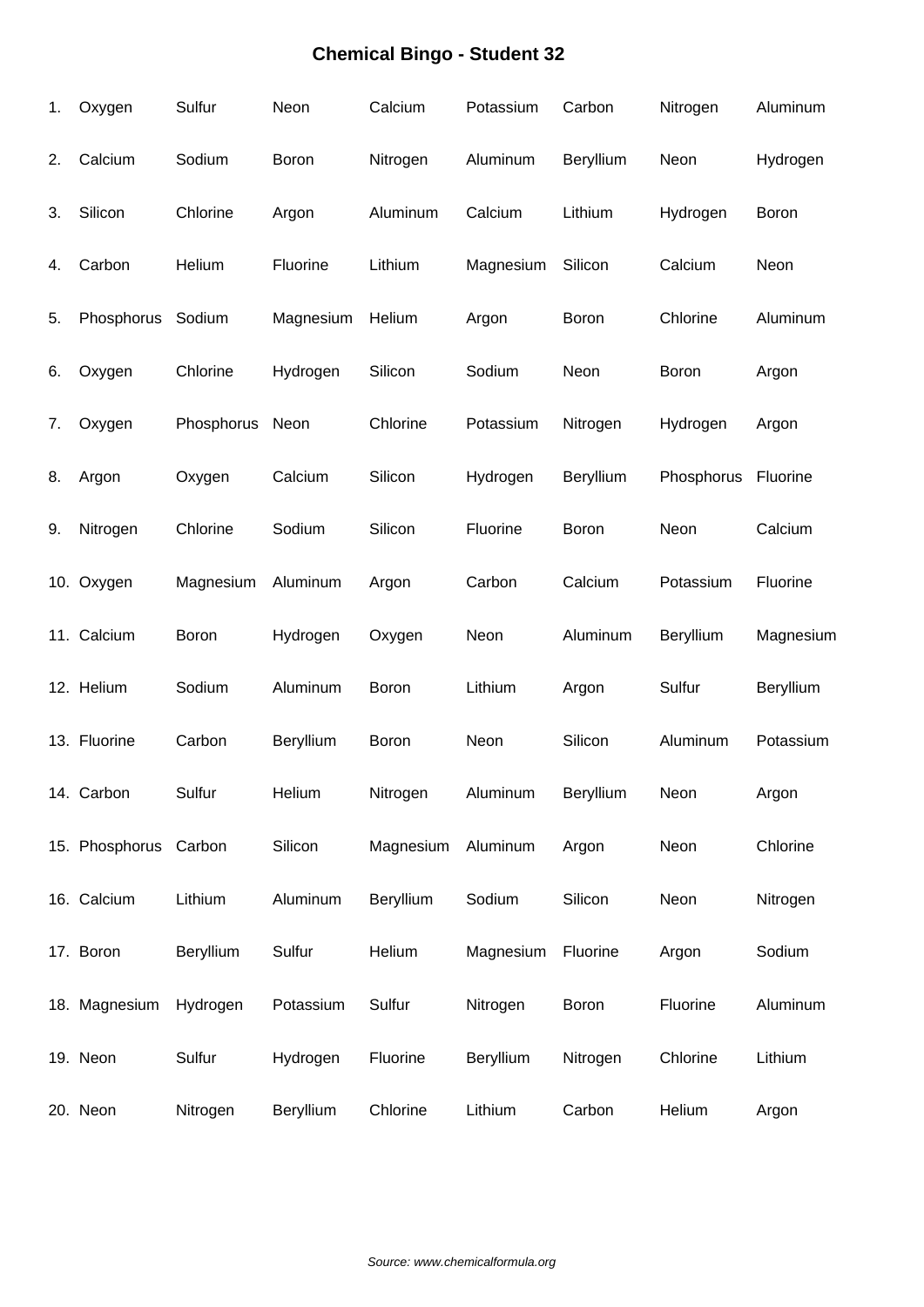| 1. | Oxygen                | Sulfur     | Neon      | Calcium   | Potassium | Carbon       | Nitrogen   | Aluminum  |
|----|-----------------------|------------|-----------|-----------|-----------|--------------|------------|-----------|
| 2. | Calcium               | Sodium     | Boron     | Nitrogen  | Aluminum  | Beryllium    | Neon       | Hydrogen  |
| 3. | Silicon               | Chlorine   | Argon     | Aluminum  | Calcium   | Lithium      | Hydrogen   | Boron     |
| 4. | Carbon                | Helium     | Fluorine  | Lithium   | Magnesium | Silicon      | Calcium    | Neon      |
| 5. | Phosphorus            | Sodium     | Magnesium | Helium    | Argon     | <b>Boron</b> | Chlorine   | Aluminum  |
| 6. | Oxygen                | Chlorine   | Hydrogen  | Silicon   | Sodium    | Neon         | Boron      | Argon     |
| 7. | Oxygen                | Phosphorus | Neon      | Chlorine  | Potassium | Nitrogen     | Hydrogen   | Argon     |
| 8. | Argon                 | Oxygen     | Calcium   | Silicon   | Hydrogen  | Beryllium    | Phosphorus | Fluorine  |
| 9. | Nitrogen              | Chlorine   | Sodium    | Silicon   | Fluorine  | Boron        | Neon       | Calcium   |
|    | 10. Oxygen            | Magnesium  | Aluminum  | Argon     | Carbon    | Calcium      | Potassium  | Fluorine  |
|    | 11. Calcium           | Boron      | Hydrogen  | Oxygen    | Neon      | Aluminum     | Beryllium  | Magnesium |
|    | 12. Helium            | Sodium     | Aluminum  | Boron     | Lithium   | Argon        | Sulfur     | Beryllium |
|    | 13. Fluorine          | Carbon     | Beryllium | Boron     | Neon      | Silicon      | Aluminum   | Potassium |
|    | 14. Carbon            | Sulfur     | Helium    | Nitrogen  | Aluminum  | Beryllium    | Neon       | Argon     |
|    | 15. Phosphorus Carbon |            | Silicon   | Magnesium | Aluminum  | Argon        | Neon       | Chlorine  |
|    | 16. Calcium           | Lithium    | Aluminum  | Beryllium | Sodium    | Silicon      | Neon       | Nitrogen  |
|    | 17. Boron             | Beryllium  | Sulfur    | Helium    | Magnesium | Fluorine     | Argon      | Sodium    |
|    | 18. Magnesium         | Hydrogen   | Potassium | Sulfur    | Nitrogen  | <b>Boron</b> | Fluorine   | Aluminum  |
|    | 19. Neon              | Sulfur     | Hydrogen  | Fluorine  | Beryllium | Nitrogen     | Chlorine   | Lithium   |
|    | 20. Neon              | Nitrogen   | Beryllium | Chlorine  | Lithium   | Carbon       | Helium     | Argon     |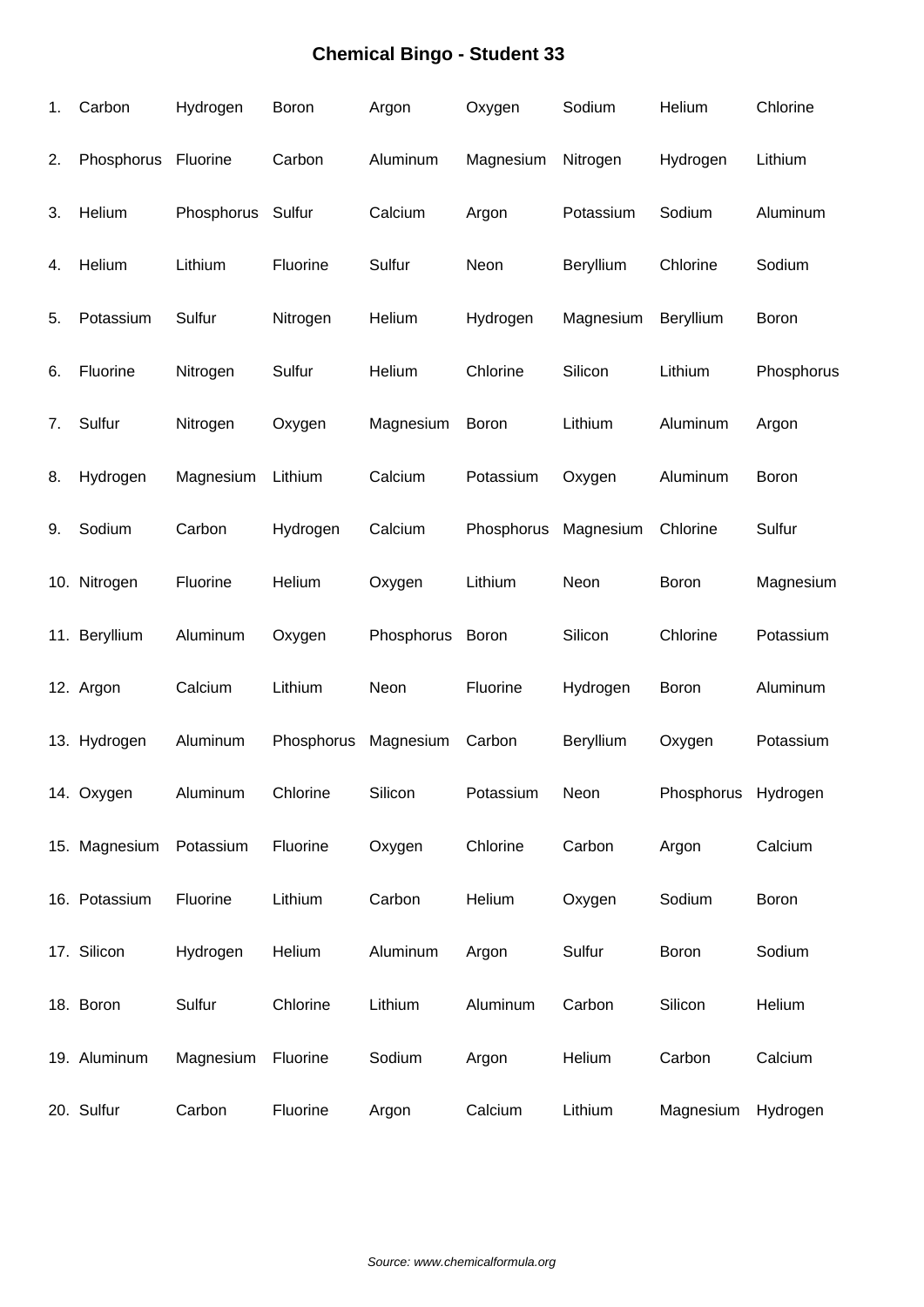| 1. | Carbon              | Hydrogen   | Boron      | Argon            | Oxygen       | Sodium    | Helium              | Chlorine     |
|----|---------------------|------------|------------|------------------|--------------|-----------|---------------------|--------------|
| 2. | Phosphorus Fluorine |            | Carbon     | Aluminum         | Magnesium    | Nitrogen  | Hydrogen            | Lithium      |
| 3. | Helium              | Phosphorus | Sulfur     | Calcium          | Argon        | Potassium | Sodium              | Aluminum     |
| 4. | Helium              | Lithium    | Fluorine   | Sulfur           | Neon         | Beryllium | Chlorine            | Sodium       |
| 5. | Potassium           | Sulfur     | Nitrogen   | Helium           | Hydrogen     | Magnesium | Beryllium           | <b>Boron</b> |
| 6. | Fluorine            | Nitrogen   | Sulfur     | Helium           | Chlorine     | Silicon   | Lithium             | Phosphorus   |
| 7. | Sulfur              | Nitrogen   | Oxygen     | Magnesium        | <b>Boron</b> | Lithium   | Aluminum            | Argon        |
| 8. | Hydrogen            | Magnesium  | Lithium    | Calcium          | Potassium    | Oxygen    | Aluminum            | Boron        |
| 9. | Sodium              | Carbon     | Hydrogen   | Calcium          | Phosphorus   | Magnesium | Chlorine            | Sulfur       |
|    | 10. Nitrogen        | Fluorine   | Helium     | Oxygen           | Lithium      | Neon      | <b>Boron</b>        | Magnesium    |
|    | 11. Beryllium       | Aluminum   | Oxygen     | Phosphorus Boron |              | Silicon   | Chlorine            | Potassium    |
|    | 12. Argon           | Calcium    | Lithium    | Neon             | Fluorine     | Hydrogen  | Boron               | Aluminum     |
|    | 13. Hydrogen        | Aluminum   | Phosphorus | Magnesium        | Carbon       | Beryllium | Oxygen              | Potassium    |
|    | 14. Oxygen          | Aluminum   | Chlorine   | Silicon          | Potassium    | Neon      | Phosphorus Hydrogen |              |
|    | 15. Magnesium       | Potassium  | Fluorine   | Oxygen           | Chlorine     | Carbon    | Argon               | Calcium      |
|    | 16. Potassium       | Fluorine   | Lithium    | Carbon           | Helium       | Oxygen    | Sodium              | Boron        |
|    | 17. Silicon         | Hydrogen   | Helium     | Aluminum         | Argon        | Sulfur    | Boron               | Sodium       |
|    | 18. Boron           | Sulfur     | Chlorine   | Lithium          | Aluminum     | Carbon    | Silicon             | Helium       |
|    | 19. Aluminum        | Magnesium  | Fluorine   | Sodium           | Argon        | Helium    | Carbon              | Calcium      |
|    | 20. Sulfur          | Carbon     | Fluorine   | Argon            | Calcium      | Lithium   | Magnesium           | Hydrogen     |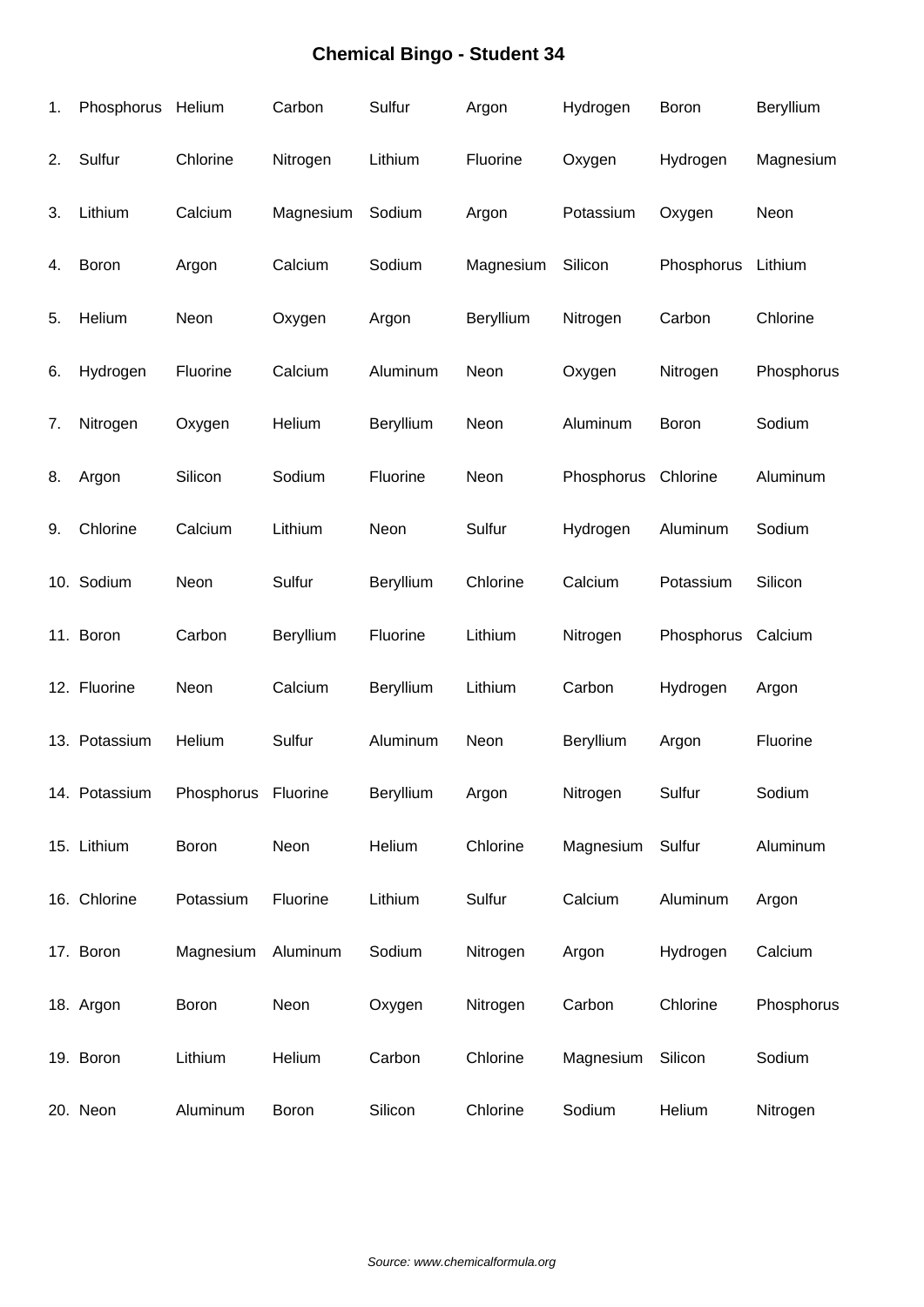| 1. | Phosphorus Helium |                     | Carbon    | Sulfur    | Argon     | Hydrogen   | Boron      | Beryllium  |
|----|-------------------|---------------------|-----------|-----------|-----------|------------|------------|------------|
| 2. | Sulfur            | Chlorine            | Nitrogen  | Lithium   | Fluorine  | Oxygen     | Hydrogen   | Magnesium  |
| 3. | Lithium           | Calcium             | Magnesium | Sodium    | Argon     | Potassium  | Oxygen     | Neon       |
| 4. | Boron             | Argon               | Calcium   | Sodium    | Magnesium | Silicon    | Phosphorus | Lithium    |
| 5. | Helium            | Neon                | Oxygen    | Argon     | Beryllium | Nitrogen   | Carbon     | Chlorine   |
| 6. | Hydrogen          | Fluorine            | Calcium   | Aluminum  | Neon      | Oxygen     | Nitrogen   | Phosphorus |
| 7. | Nitrogen          | Oxygen              | Helium    | Beryllium | Neon      | Aluminum   | Boron      | Sodium     |
| 8. | Argon             | Silicon             | Sodium    | Fluorine  | Neon      | Phosphorus | Chlorine   | Aluminum   |
| 9. | Chlorine          | Calcium             | Lithium   | Neon      | Sulfur    | Hydrogen   | Aluminum   | Sodium     |
|    | 10. Sodium        | Neon                | Sulfur    | Beryllium | Chlorine  | Calcium    | Potassium  | Silicon    |
|    | 11. Boron         | Carbon              | Beryllium | Fluorine  | Lithium   | Nitrogen   | Phosphorus | Calcium    |
|    | 12. Fluorine      | Neon                | Calcium   | Beryllium | Lithium   | Carbon     | Hydrogen   | Argon      |
|    | 13. Potassium     | Helium              | Sulfur    | Aluminum  | Neon      | Beryllium  | Argon      | Fluorine   |
|    | 14. Potassium     | Phosphorus Fluorine |           | Beryllium | Argon     | Nitrogen   | Sulfur     | Sodium     |
|    | 15. Lithium       | Boron               | Neon      | Helium    | Chlorine  | Magnesium  | Sulfur     | Aluminum   |
|    | 16. Chlorine      | Potassium           | Fluorine  | Lithium   | Sulfur    | Calcium    | Aluminum   | Argon      |
|    | 17. Boron         | Magnesium           | Aluminum  | Sodium    | Nitrogen  | Argon      | Hydrogen   | Calcium    |
|    | 18. Argon         | Boron               | Neon      | Oxygen    | Nitrogen  | Carbon     | Chlorine   | Phosphorus |
|    | 19. Boron         | Lithium             | Helium    | Carbon    | Chlorine  | Magnesium  | Silicon    | Sodium     |
|    | 20. Neon          | Aluminum            | Boron     | Silicon   | Chlorine  | Sodium     | Helium     | Nitrogen   |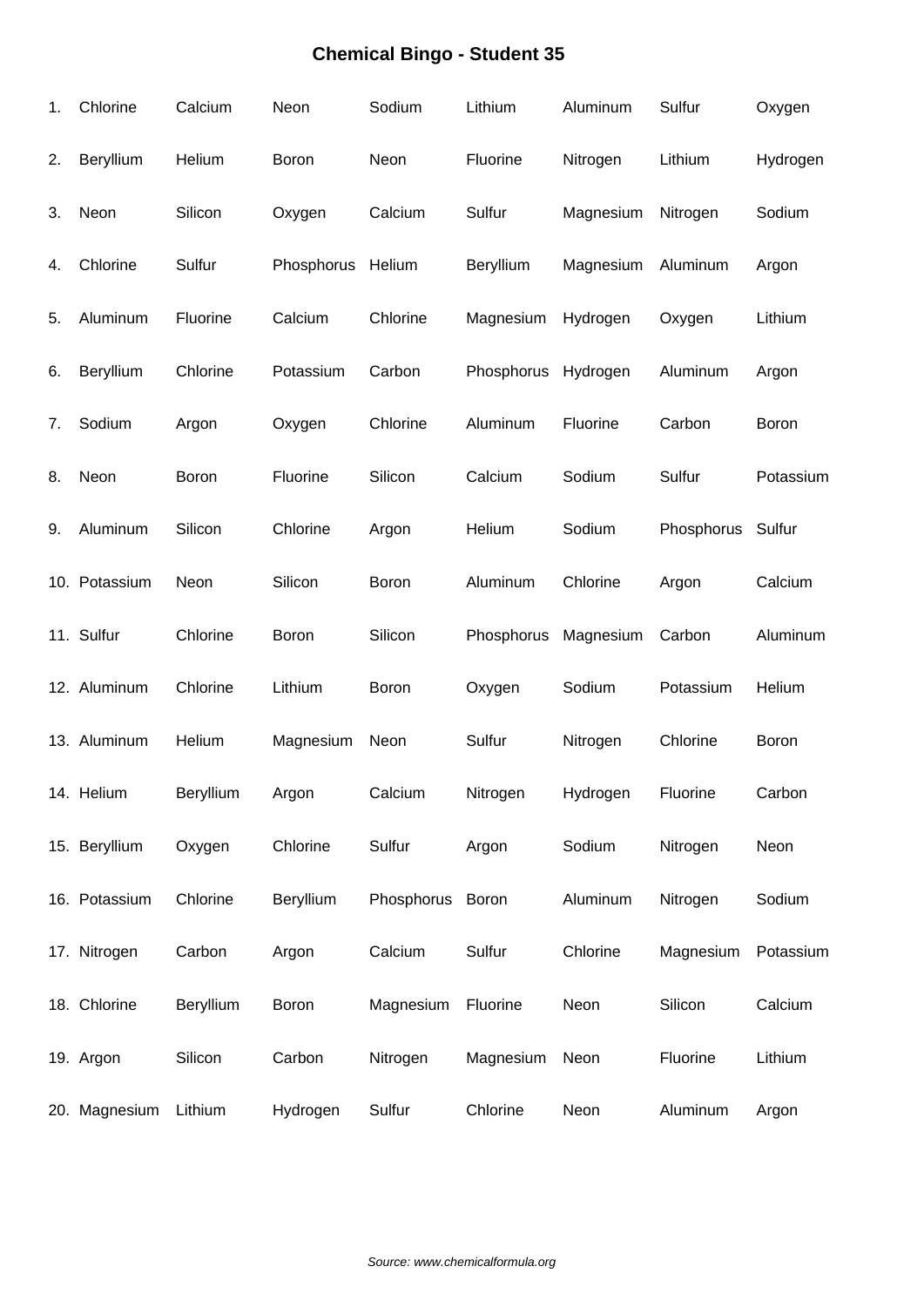| 1. | Chlorine      | Calcium   | Neon              | Sodium           | Lithium    | Aluminum  | Sulfur            | Oxygen    |
|----|---------------|-----------|-------------------|------------------|------------|-----------|-------------------|-----------|
| 2. | Beryllium     | Helium    | Boron             | Neon             | Fluorine   | Nitrogen  | Lithium           | Hydrogen  |
| 3. | Neon          | Silicon   | Oxygen            | Calcium          | Sulfur     | Magnesium | Nitrogen          | Sodium    |
| 4. | Chlorine      | Sulfur    | Phosphorus Helium |                  | Beryllium  | Magnesium | Aluminum          | Argon     |
| 5. | Aluminum      | Fluorine  | Calcium           | Chlorine         | Magnesium  | Hydrogen  | Oxygen            | Lithium   |
| 6. | Beryllium     | Chlorine  | Potassium         | Carbon           | Phosphorus | Hydrogen  | Aluminum          | Argon     |
| 7. | Sodium        | Argon     | Oxygen            | Chlorine         | Aluminum   | Fluorine  | Carbon            | Boron     |
| 8. | Neon          | Boron     | Fluorine          | Silicon          | Calcium    | Sodium    | Sulfur            | Potassium |
| 9. | Aluminum      | Silicon   | Chlorine          | Argon            | Helium     | Sodium    | Phosphorus Sulfur |           |
|    | 10. Potassium | Neon      | Silicon           | Boron            | Aluminum   | Chlorine  | Argon             | Calcium   |
|    | 11. Sulfur    | Chlorine  | Boron             | Silicon          | Phosphorus | Magnesium | Carbon            | Aluminum  |
|    | 12. Aluminum  | Chlorine  | Lithium           | Boron            | Oxygen     | Sodium    | Potassium         | Helium    |
|    | 13. Aluminum  | Helium    | Magnesium         | Neon             | Sulfur     | Nitrogen  | Chlorine          | Boron     |
|    | 14. Helium    | Beryllium | Argon             | Calcium          | Nitrogen   | Hydrogen  | Fluorine          | Carbon    |
|    | 15. Beryllium | Oxygen    | Chlorine          | Sulfur           | Argon      | Sodium    | Nitrogen          | Neon      |
|    | 16. Potassium | Chlorine  | Beryllium         | Phosphorus Boron |            | Aluminum  | Nitrogen          | Sodium    |
|    | 17. Nitrogen  | Carbon    | Argon             | Calcium          | Sulfur     | Chlorine  | Magnesium         | Potassium |
|    | 18. Chlorine  | Beryllium | Boron             | Magnesium        | Fluorine   | Neon      | Silicon           | Calcium   |
|    | 19. Argon     | Silicon   | Carbon            | Nitrogen         | Magnesium  | Neon      | Fluorine          | Lithium   |
|    | 20. Magnesium | Lithium   | Hydrogen          | Sulfur           | Chlorine   | Neon      | Aluminum          | Argon     |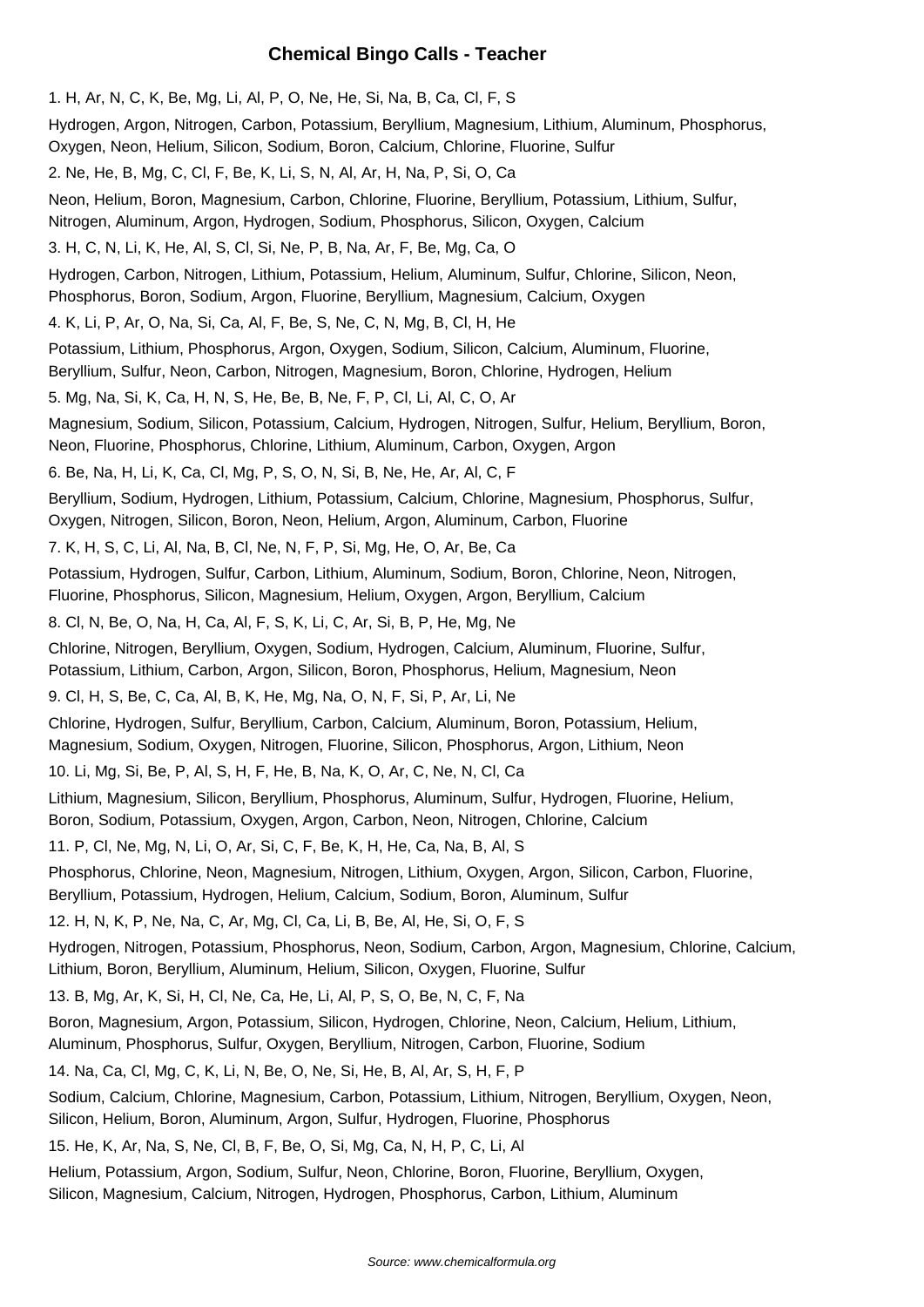#### **Chemical Bingo Calls - Teacher**

1. H, Ar, N, C, K, Be, Mg, Li, Al, P, O, Ne, He, Si, Na, B, Ca, Cl, F, S Hydrogen, Argon, Nitrogen, Carbon, Potassium, Beryllium, Magnesium, Lithium, Aluminum, Phosphorus, Oxygen, Neon, Helium, Silicon, Sodium, Boron, Calcium, Chlorine, Fluorine, Sulfur 2. Ne, He, B, Mg, C, Cl, F, Be, K, Li, S, N, Al, Ar, H, Na, P, Si, O, Ca Neon, Helium, Boron, Magnesium, Carbon, Chlorine, Fluorine, Beryllium, Potassium, Lithium, Sulfur, Nitrogen, Aluminum, Argon, Hydrogen, Sodium, Phosphorus, Silicon, Oxygen, Calcium 3. H, C, N, Li, K, He, Al, S, Cl, Si, Ne, P, B, Na, Ar, F, Be, Mg, Ca, O Hydrogen, Carbon, Nitrogen, Lithium, Potassium, Helium, Aluminum, Sulfur, Chlorine, Silicon, Neon, Phosphorus, Boron, Sodium, Argon, Fluorine, Beryllium, Magnesium, Calcium, Oxygen 4. K, Li, P, Ar, O, Na, Si, Ca, Al, F, Be, S, Ne, C, N, Mg, B, Cl, H, He Potassium, Lithium, Phosphorus, Argon, Oxygen, Sodium, Silicon, Calcium, Aluminum, Fluorine, Beryllium, Sulfur, Neon, Carbon, Nitrogen, Magnesium, Boron, Chlorine, Hydrogen, Helium 5. Mg, Na, Si, K, Ca, H, N, S, He, Be, B, Ne, F, P, Cl, Li, Al, C, O, Ar Magnesium, Sodium, Silicon, Potassium, Calcium, Hydrogen, Nitrogen, Sulfur, Helium, Beryllium, Boron, Neon, Fluorine, Phosphorus, Chlorine, Lithium, Aluminum, Carbon, Oxygen, Argon 6. Be, Na, H, Li, K, Ca, Cl, Mg, P, S, O, N, Si, B, Ne, He, Ar, Al, C, F Beryllium, Sodium, Hydrogen, Lithium, Potassium, Calcium, Chlorine, Magnesium, Phosphorus, Sulfur, Oxygen, Nitrogen, Silicon, Boron, Neon, Helium, Argon, Aluminum, Carbon, Fluorine 7. K, H, S, C, Li, Al, Na, B, Cl, Ne, N, F, P, Si, Mg, He, O, Ar, Be, Ca Potassium, Hydrogen, Sulfur, Carbon, Lithium, Aluminum, Sodium, Boron, Chlorine, Neon, Nitrogen, Fluorine, Phosphorus, Silicon, Magnesium, Helium, Oxygen, Argon, Beryllium, Calcium 8. Cl, N, Be, O, Na, H, Ca, Al, F, S, K, Li, C, Ar, Si, B, P, He, Mg, Ne Chlorine, Nitrogen, Beryllium, Oxygen, Sodium, Hydrogen, Calcium, Aluminum, Fluorine, Sulfur, Potassium, Lithium, Carbon, Argon, Silicon, Boron, Phosphorus, Helium, Magnesium, Neon 9. Cl, H, S, Be, C, Ca, Al, B, K, He, Mg, Na, O, N, F, Si, P, Ar, Li, Ne Chlorine, Hydrogen, Sulfur, Beryllium, Carbon, Calcium, Aluminum, Boron, Potassium, Helium, Magnesium, Sodium, Oxygen, Nitrogen, Fluorine, Silicon, Phosphorus, Argon, Lithium, Neon 10. Li, Mg, Si, Be, P, Al, S, H, F, He, B, Na, K, O, Ar, C, Ne, N, Cl, Ca Lithium, Magnesium, Silicon, Beryllium, Phosphorus, Aluminum, Sulfur, Hydrogen, Fluorine, Helium, Boron, Sodium, Potassium, Oxygen, Argon, Carbon, Neon, Nitrogen, Chlorine, Calcium 11. P, Cl, Ne, Mg, N, Li, O, Ar, Si, C, F, Be, K, H, He, Ca, Na, B, Al, S Phosphorus, Chlorine, Neon, Magnesium, Nitrogen, Lithium, Oxygen, Argon, Silicon, Carbon, Fluorine, Beryllium, Potassium, Hydrogen, Helium, Calcium, Sodium, Boron, Aluminum, Sulfur 12. H, N, K, P, Ne, Na, C, Ar, Mg, Cl, Ca, Li, B, Be, Al, He, Si, O, F, S Hydrogen, Nitrogen, Potassium, Phosphorus, Neon, Sodium, Carbon, Argon, Magnesium, Chlorine, Calcium, Lithium, Boron, Beryllium, Aluminum, Helium, Silicon, Oxygen, Fluorine, Sulfur 13. B, Mg, Ar, K, Si, H, Cl, Ne, Ca, He, Li, Al, P, S, O, Be, N, C, F, Na Boron, Magnesium, Argon, Potassium, Silicon, Hydrogen, Chlorine, Neon, Calcium, Helium, Lithium, Aluminum, Phosphorus, Sulfur, Oxygen, Beryllium, Nitrogen, Carbon, Fluorine, Sodium 14. Na, Ca, Cl, Mg, C, K, Li, N, Be, O, Ne, Si, He, B, Al, Ar, S, H, F, P Sodium, Calcium, Chlorine, Magnesium, Carbon, Potassium, Lithium, Nitrogen, Beryllium, Oxygen, Neon, Silicon, Helium, Boron, Aluminum, Argon, Sulfur, Hydrogen, Fluorine, Phosphorus 15. He, K, Ar, Na, S, Ne, Cl, B, F, Be, O, Si, Mg, Ca, N, H, P, C, Li, Al

Helium, Potassium, Argon, Sodium, Sulfur, Neon, Chlorine, Boron, Fluorine, Beryllium, Oxygen, Silicon, Magnesium, Calcium, Nitrogen, Hydrogen, Phosphorus, Carbon, Lithium, Aluminum